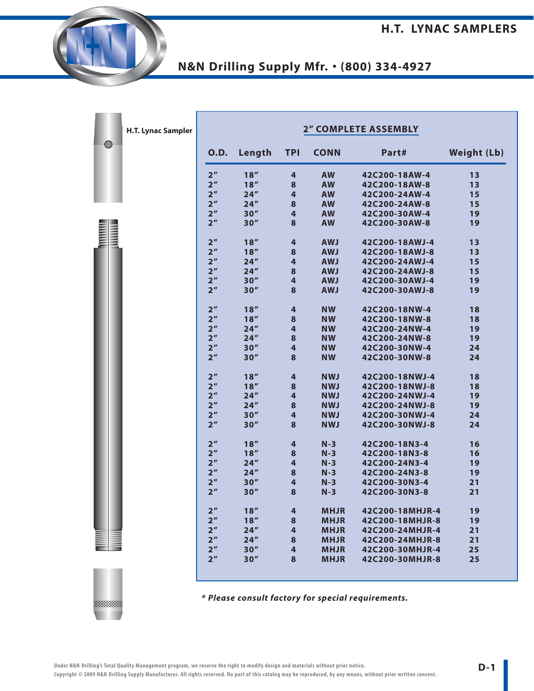| H.T. Lynac Sampler |                 | <b>2" COMPLETE ASSEMBLY</b> |                         |             |                 |                    |
|--------------------|-----------------|-----------------------------|-------------------------|-------------|-----------------|--------------------|
|                    | <b>O.D.</b>     | Length                      | <b>TPI</b>              | <b>CONN</b> | Part#           | <b>Weight (Lb)</b> |
|                    | 2 <sup>''</sup> | 18''                        | 4                       | <b>AW</b>   | 42C200-18AW-4   | 13                 |
|                    | 2 <sup>n</sup>  | 18''                        | 8                       | <b>AW</b>   | 42C200-18AW-8   | 13                 |
|                    | 2 <sup>''</sup> | 24''                        | 4                       | <b>AW</b>   | 42C200-24AW-4   | 15                 |
|                    | 2 <sup>n</sup>  | 24''                        | 8                       | <b>AW</b>   | 42C200-24AW-8   | 15                 |
|                    | 2 <sup>n</sup>  | 30''                        | 4                       | <b>AW</b>   | 42C200-30AW-4   | 19                 |
|                    | 2 <sup>n</sup>  | 30''                        | 8                       | <b>AW</b>   | 42C200-30AW-8   | 19                 |
|                    | 2 <sup>n</sup>  | 18''                        | $\overline{\mathbf{r}}$ | <b>AWJ</b>  | 42C200-18AWJ-4  | 13                 |
|                    | 2 <sup>''</sup> | 18''                        | 8                       | <b>AWJ</b>  | 42C200-18AWJ-8  | 13                 |
|                    | 2 <sup>n</sup>  | 24''                        | 4                       | <b>AWJ</b>  | 42C200-24AWJ-4  | 15                 |
|                    | 2 <sup>n</sup>  | 24''                        | 8                       | <b>AWJ</b>  | 42C200-24AWJ-8  | 15                 |
|                    | 2 <sup>n</sup>  | 30''                        | 4                       | <b>AWJ</b>  | 42C200-30AWJ-4  | 19                 |
|                    | 2 <sup>n</sup>  | 30''                        | 8                       | <b>AWJ</b>  | 42C200-30AWJ-8  | 19                 |
|                    | 2 <sup>n</sup>  | 18''                        | 4                       | <b>NW</b>   | 42C200-18NW-4   | 18                 |
|                    | 2 <sup>n</sup>  | 18''                        | 8                       | <b>NW</b>   | 42C200-18NW-8   | 18                 |
|                    | 2 <sup>n</sup>  | 24''                        | 4                       | <b>NW</b>   | 42C200-24NW-4   | 19                 |
|                    | 2 <sup>n</sup>  | 24''                        | 8                       | <b>NW</b>   | 42C200-24NW-8   | 19                 |
|                    | 2 <sup>''</sup> | 30''                        | 4                       | <b>NW</b>   | 42C200-30NW-4   | 24                 |
|                    | 2 <sup>n</sup>  | 30''                        | 8                       | <b>NW</b>   | 42C200-30NW-8   | 24                 |
|                    | 2 <sup>''</sup> | 18''                        | 4                       | <b>NWJ</b>  | 42C200-18NWJ-4  | 18                 |
|                    | 2 <sup>n</sup>  | 18''                        | 8                       | <b>NWJ</b>  | 42C200-18NWJ-8  | 18                 |
|                    | 2 <sup>n</sup>  | 24''                        | 4                       | <b>NWJ</b>  | 42C200-24NWJ-4  | 19                 |
|                    | 2 <sup>n</sup>  | 24''                        | 8                       | <b>NWJ</b>  | 42C200-24NWJ-8  | 19                 |
|                    | 2 <sup>''</sup> | 30''                        | 4                       | <b>NWJ</b>  | 42C200-30NWJ-4  | 24                 |
|                    | 2 <sup>n</sup>  | 30''                        | 8                       | <b>NWJ</b>  | 42C200-30NWJ-8  | 24                 |
|                    | 2 <sup>n</sup>  | 18''                        | 4                       | $N-3$       | 42C200-18N3-4   | 16                 |
|                    | 2 <sup>n</sup>  | 18''                        | 8                       | $N-3$       | 42C200-18N3-8   | 16                 |
|                    | 2 <sup>''</sup> | 24''                        | 4                       | $N-3$       | 42C200-24N3-4   | 19                 |
|                    | 2 <sup>n</sup>  | 24''                        | 8                       | $N-3$       | 42C200-24N3-8   | 19                 |
|                    | 2 <sup>''</sup> | 30''                        | 4                       | $N-3$       | 42C200-30N3-4   | 21                 |
|                    | 2 <sup>n</sup>  | 30''                        | 8                       | $N-3$       | 42C200-30N3-8   | 21                 |
|                    | 2 <sup>n</sup>  | 18''                        | 4                       | <b>MHJR</b> | 42C200-18MHJR-4 | 19                 |
|                    | 2 <sup>n</sup>  | 18''                        | 8                       | <b>MHJR</b> | 42C200-18MHJR-8 | 19                 |
|                    | 2 <sup>''</sup> | 24''                        | $\overline{4}$          | <b>MHJR</b> | 42C200-24MHJR-4 | 21                 |
|                    | 2 <sup>''</sup> | 24''                        | 8                       | <b>MHJR</b> | 42C200-24MHJR-8 | 21                 |
|                    | 2 <sup>''</sup> | 30''                        | 4                       | <b>MHJR</b> | 42C200-30MHJR-4 | 25                 |
|                    |                 |                             |                         |             |                 |                    |

**\* Please consult factory for special requirements.**

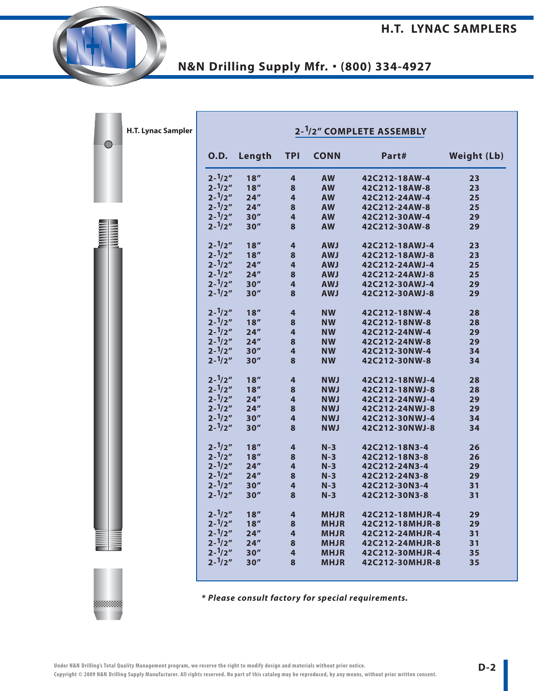| H.T. Lynac Sampler |                   |        |                         | 2- <sup>1</sup> /2" COMPLETE ASSEMBLY |                 |                    |
|--------------------|-------------------|--------|-------------------------|---------------------------------------|-----------------|--------------------|
|                    | <b>O.D.</b>       | Length | <b>TPI</b>              | <b>CONN</b>                           | Part#           | <b>Weight (Lb)</b> |
|                    | $2 - \frac{1}{2}$ | 18''   | 4                       | <b>AW</b>                             | 42C212-18AW-4   | 23                 |
|                    | $2 - \frac{1}{2}$ | 18''   | 8                       | <b>AW</b>                             | 42C212-18AW-8   | 23                 |
|                    | $2 - \frac{1}{2}$ | 24''   | 4                       | <b>AW</b>                             | 42C212-24AW-4   | 25                 |
|                    | $2 - \frac{1}{2}$ | 24''   | 8                       | <b>AW</b>                             | 42C212-24AW-8   | 25                 |
|                    | $2 - \frac{1}{2}$ | 30''   | 4                       | <b>AW</b>                             | 42C212-30AW-4   | 29                 |
|                    | $2 - \frac{1}{2}$ | 30''   | 8                       | <b>AW</b>                             | 42C212-30AW-8   | 29                 |
|                    | $2 - \frac{1}{2}$ | 18''   | 4                       | <b>AWJ</b>                            | 42C212-18AWJ-4  | 23                 |
|                    | $2 - \frac{1}{2}$ | 18''   | 8                       | <b>AWJ</b>                            | 42C212-18AWJ-8  | 23                 |
|                    | $2 - \frac{1}{2}$ | 24''   | $\overline{\mathbf{4}}$ | <b>AWJ</b>                            | 42C212-24AWJ-4  | 25                 |
|                    | $2 - \frac{1}{2}$ | 24''   | 8                       | <b>AWJ</b>                            | 42C212-24AWJ-8  | 25                 |
|                    | $2 - \frac{1}{2}$ | 30''   | 4                       | <b>AWJ</b>                            | 42C212-30AWJ-4  | 29                 |
|                    | $2 - \frac{1}{2}$ | 30''   | 8                       | <b>AWJ</b>                            | 42C212-30AWJ-8  | 29                 |
|                    | $2 - \frac{1}{2}$ | 18''   | 4                       | <b>NW</b>                             | 42C212-18NW-4   | 28                 |
|                    | $2 - \frac{1}{2}$ | 18''   | 8                       | <b>NW</b>                             | 42C212-18NW-8   | 28                 |
|                    | $2 - \frac{1}{2}$ | 24''   | $\overline{\mathbf{4}}$ | <b>NW</b>                             | 42C212-24NW-4   | 29                 |
|                    | $2 - \frac{1}{2}$ | 24''   | 8                       | <b>NW</b>                             | 42C212-24NW-8   | 29                 |
|                    | $2 - \frac{1}{2}$ | 30''   | 4                       | <b>NW</b>                             | 42C212-30NW-4   | 34                 |
|                    | $2 - \frac{1}{2}$ | 30''   | 8                       | <b>NW</b>                             | 42C212-30NW-8   | 34                 |
|                    | $2 - \frac{1}{2}$ | 18''   | 4                       | <b>NWJ</b>                            | 42C212-18NWJ-4  | 28                 |
|                    | $2 - \frac{1}{2}$ | 18''   | 8                       | <b>NWJ</b>                            | 42C212-18NWJ-8  | 28                 |
|                    | $2 - \frac{1}{2}$ | 24''   | $\overline{\mathbf{r}}$ | <b>NWJ</b>                            | 42C212-24NWJ-4  | 29                 |
|                    | $2 - \frac{1}{2}$ | 24''   | 8                       | <b>NWJ</b>                            | 42C212-24NWJ-8  | 29                 |
|                    | $2 - \frac{1}{2}$ | 30''   | 4                       | <b>NWJ</b>                            | 42C212-30NWJ-4  | 34                 |
|                    | $2 - \frac{1}{2}$ | 30''   | 8                       | <b>NWJ</b>                            | 42C212-30NWJ-8  | 34                 |
|                    | $2 - \frac{1}{2}$ | 18''   | 4                       | $N-3$                                 | 42C212-18N3-4   | 26                 |
|                    | $2 - \frac{1}{2}$ | 18''   | 8                       | $N-3$                                 | 42C212-18N3-8   | 26                 |
|                    | $2 - \frac{1}{2}$ | 24''   | $\overline{\mathbf{4}}$ | $N-3$                                 | 42C212-24N3-4   | 29                 |
|                    | $2 - \frac{1}{2}$ | 24''   | 8                       | $N-3$                                 | 42C212-24N3-8   | 29                 |
|                    | $2 - \frac{1}{2}$ | 30''   | 4                       | $N-3$                                 | 42C212-30N3-4   | 31                 |
|                    | $2 - \frac{1}{2}$ | 30''   | 8                       | $N-3$                                 | 42C212-30N3-8   | 31                 |
|                    | $2 - \frac{1}{2}$ | 18''   | 4                       | <b>MHJR</b>                           | 42C212-18MHJR-4 | 29                 |
|                    | $2 - \frac{1}{2}$ | 18''   | 8                       | <b>MHJR</b>                           | 42C212-18MHJR-8 | 29                 |
|                    | $2 - \frac{1}{2}$ | 24''   | $\overline{4}$          | <b>MHJR</b>                           | 42C212-24MHJR-4 | 31                 |
|                    | $2 - \frac{1}{2}$ | 24''   | 8                       | <b>MHJR</b>                           | 42C212-24MHJR-8 | 31                 |
|                    | $2 - \frac{1}{2}$ | 30''   | $\overline{\mathbf{4}}$ | <b>MHJR</b>                           | 42C212-30MHJR-4 | 35                 |
|                    | $2 - \frac{1}{2}$ | 30''   | 8                       | <b>MHJR</b>                           | 42C212-30MHJR-8 | 35                 |

**\* Please consult factory for special requirements.**

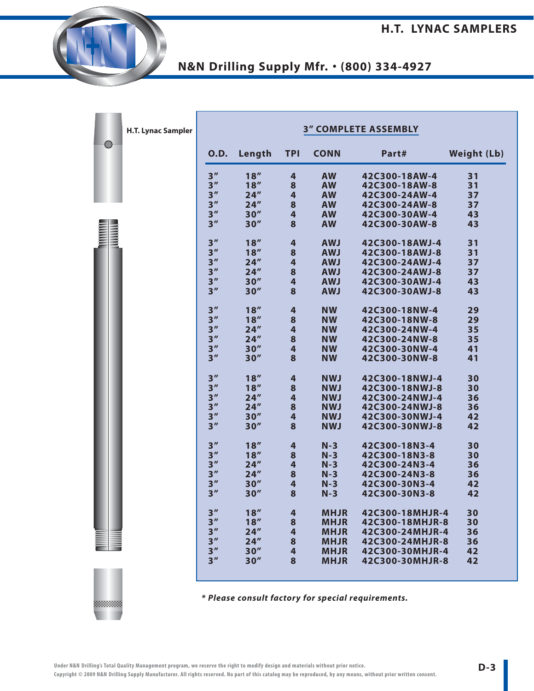| H.T. Lynac Sampler |                 |        |                         |             | <b>3" COMPLETE ASSEMBLY</b> |                    |
|--------------------|-----------------|--------|-------------------------|-------------|-----------------------------|--------------------|
|                    | <b>O.D.</b>     | Length | <b>TPI</b>              | <b>CONN</b> | Part#                       | <b>Weight (Lb)</b> |
|                    | 3''             | 18''   | 4                       | <b>AW</b>   | 42C300-18AW-4               | 31                 |
|                    | 3 <sup>''</sup> | 18''   | 8                       | <b>AW</b>   | 42C300-18AW-8               | 31                 |
|                    | 3 <sup>''</sup> | 24''   | 4                       | <b>AW</b>   | 42C300-24AW-4               | 37                 |
|                    | 3 <sup>''</sup> | 24''   | 8                       | <b>AW</b>   | 42C300-24AW-8               | 37                 |
|                    | 3''             | 30''   | 4                       | <b>AW</b>   | 42C300-30AW-4               | 43                 |
|                    | 3''             | 30''   | 8                       | <b>AW</b>   | 42C300-30AW-8               | 43                 |
|                    | 3 <sup>''</sup> | 18''   | $\overline{\mathbf{r}}$ | <b>AWJ</b>  | 42C300-18AWJ-4              | 31                 |
|                    | 3 <sup>''</sup> | 18''   | 8                       | <b>AWJ</b>  | 42C300-18AWJ-8              | 31                 |
|                    | 3 <sup>''</sup> | 24''   | 4                       | <b>AWJ</b>  | 42C300-24AWJ-4              | 37                 |
|                    | 3''             | 24''   | 8                       | <b>AWJ</b>  | 42C300-24AWJ-8              | 37                 |
|                    | 3 <sup>''</sup> | 30''   | 4                       | <b>AWJ</b>  | 42C300-30AWJ-4              | 43                 |
|                    | 3''             | 30''   | 8                       | <b>AWJ</b>  | 42C300-30AWJ-8              | 43                 |
|                    | 3 <sup>''</sup> | 18''   | $\overline{\mathbf{r}}$ | <b>NW</b>   | 42C300-18NW-4               | 29                 |
|                    | 3 <sup>''</sup> | 18''   | 8                       | <b>NW</b>   | 42C300-18NW-8               | 29                 |
|                    | 3''             | 24''   | 4                       | <b>NW</b>   | 42C300-24NW-4               | 35                 |
|                    | 3 <sup>''</sup> | 24''   | 8                       | <b>NW</b>   | 42C300-24NW-8               | 35                 |
|                    | 3 <sup>''</sup> | 30''   | 4                       | <b>NW</b>   | 42C300-30NW-4               | 41                 |
|                    | 3 <sup>''</sup> | 30''   | 8                       | <b>NW</b>   | 42C300-30NW-8               | 41                 |
|                    | 3 <sup>''</sup> | 18''   | $\overline{\mathbf{r}}$ | <b>NWJ</b>  | 42C300-18NWJ-4              | 30                 |
|                    | 3 <sup>''</sup> | 18''   | 8                       | <b>NWJ</b>  | 42C300-18NWJ-8              | 30                 |
|                    | 3''             | 24''   | 4                       | <b>NWJ</b>  | 42C300-24NWJ-4              | 36                 |
|                    | 3 <sup>''</sup> | 24''   | 8                       | <b>NWJ</b>  | 42C300-24NWJ-8              | 36                 |
|                    | 3 <sup>''</sup> | 30''   | 4                       | <b>NWJ</b>  | 42C300-30NWJ-4              | 42                 |
|                    | 3''             | 30''   | 8                       | <b>NWJ</b>  | 42C300-30NWJ-8              | 42                 |
|                    | 3 <sup>''</sup> | 18''   | $\overline{\mathbf{r}}$ | $N-3$       | 42C300-18N3-4               | 30                 |
|                    | 3''             | 18''   | 8                       | $N-3$       | 42C300-18N3-8               | 30                 |
|                    | 3 <sup>''</sup> | 24''   | 4                       | $N-3$       | 42C300-24N3-4               | 36                 |
|                    | 3 <sup>''</sup> | 24''   | 8                       | $N-3$       | 42C300-24N3-8               | 36                 |
|                    | 3 <sup>''</sup> | 30''   | 4                       | $N-3$       | 42C300-30N3-4               | 42                 |
|                    | 3''             | 30''   | 8                       | $N-3$       | 42C300-30N3-8               | 42                 |
|                    | 3 <sup>''</sup> | 18''   | 4                       | <b>MHJR</b> | 42C300-18MHJR-4             | 30                 |
|                    | 3''             | 18''   | 8                       | <b>MHJR</b> | 42C300-18MHJR-8             | 30                 |
|                    | 3 <sup>''</sup> | 24''   | $\overline{4}$          | <b>MHJR</b> | 42C300-24MHJR-4             | 36                 |
|                    | 3 <sup>''</sup> | 24''   | 8                       | <b>MHJR</b> | 42C300-24MHJR-8             | 36                 |
|                    | 3 <sup>''</sup> | 30''   | $\overline{4}$          | <b>MHJR</b> | 42C300-30MHJR-4             | 42                 |
|                    | 3''             | 30''   | 8                       | <b>MHJR</b> | 42C300-30MHJR-8             | 42                 |

**\* Please consult factory for special requirements.**

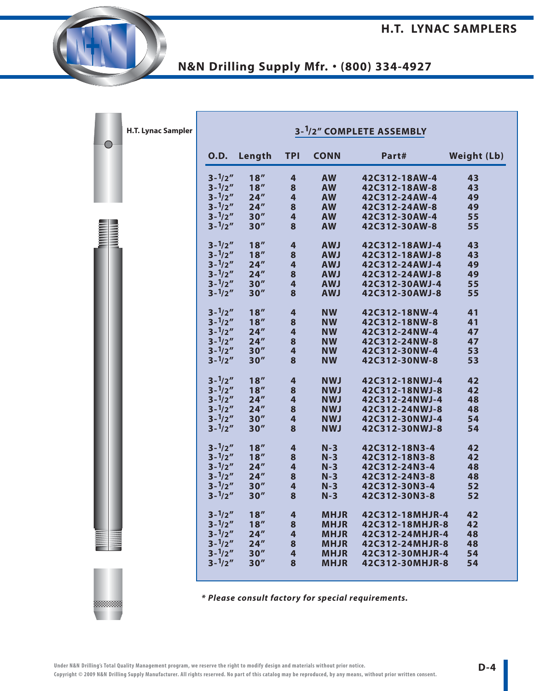|               | H.T. Lynac Sampler |                                        |              |                              |                          | 3- <sup>1</sup> /2" COMPLETE ASSEMBLY |                    |
|---------------|--------------------|----------------------------------------|--------------|------------------------------|--------------------------|---------------------------------------|--------------------|
|               |                    | <b>O.D.</b>                            | Length       | <b>TPI</b>                   | <b>CONN</b>              | Part#                                 | <b>Weight (Lb)</b> |
|               |                    | $3 - \frac{1}{2}$                      | 18''         | 4                            | <b>AW</b>                | 42C312-18AW-4                         | 43                 |
|               |                    | $3 - \frac{1}{2}$                      | 18''         | $\bf{8}$                     | <b>AW</b>                | 42C312-18AW-8                         | 43                 |
|               |                    | $3 - \frac{1}{2}$                      | 24''         | $\overline{\mathbf{r}}$      | <b>AW</b>                | 42C312-24AW-4                         | 49                 |
|               |                    | $3 - \frac{1}{2}$                      | 24''         | 8                            | <b>AW</b>                | 42C312-24AW-8                         | 49                 |
|               |                    | $3 - \frac{1}{2}$                      | 30''         | $\overline{\mathbf{4}}$      | <b>AW</b>                | 42C312-30AW-4                         | 55                 |
| <b>HANANA</b> |                    | $3 - \frac{1}{2}$                      | 30''         | 8                            | <b>AW</b>                | 42C312-30AW-8                         | 55                 |
|               |                    | $3 - \frac{1}{2}$                      | 18''         | $\overline{\mathbf{r}}$      | <b>AWJ</b>               | 42C312-18AWJ-4                        | 43                 |
|               |                    | $3 - \frac{1}{2}$                      | 18''         | 8                            | <b>AWJ</b>               | 42C312-18AWJ-8                        | 43                 |
|               |                    | $3 - \frac{1}{2}$                      | 24''         | $\overline{\mathbf{4}}$      | <b>AWJ</b>               | 42C312-24AWJ-4                        | 49                 |
|               |                    | $3 - \frac{1}{2}$<br>$3 - \frac{1}{2}$ | 24''<br>30'' | 8<br>$\overline{\mathbf{4}}$ | <b>AWJ</b>               | 42C312-24AWJ-8                        | 49                 |
|               |                    | $3 - \frac{1}{2}$                      | 30''         | 8                            | <b>AWJ</b><br><b>AWJ</b> | 42C312-30AWJ-4<br>42C312-30AWJ-8      | 55<br>55           |
|               |                    |                                        |              |                              |                          |                                       |                    |
|               |                    | $3 - \frac{1}{2}$                      | 18''         | $\overline{\mathbf{r}}$      | <b>NW</b>                | 42C312-18NW-4                         | 41                 |
|               |                    | $3 - \frac{1}{2}$                      | 18''         | 8                            | <b>NW</b>                | 42C312-18NW-8                         | 41                 |
|               |                    | $3 - \frac{1}{2}$                      | 24''         | $\overline{\mathbf{4}}$      | <b>NW</b>                | 42C312-24NW-4                         | 47                 |
|               |                    | $3 - \frac{1}{2}$                      | 24''         | $\bf{8}$                     | <b>NW</b>                | 42C312-24NW-8                         | 47                 |
|               |                    | $3 - \frac{1}{2}$                      | 30''         | $\overline{\mathbf{4}}$      | <b>NW</b>                | 42C312-30NW-4                         | 53                 |
|               |                    | $3 - \frac{1}{2}$                      | 30''         | 8                            | <b>NW</b>                | 42C312-30NW-8                         | 53                 |
|               |                    | $3 - \frac{1}{2}$                      | 18''         | $\overline{\mathbf{r}}$      | <b>NWJ</b>               | 42C312-18NWJ-4                        | 42                 |
|               |                    | $3 - \frac{1}{2}$                      | 18''         | 8                            | <b>NWJ</b>               | 42C312-18NWJ-8                        | 42                 |
|               |                    | $3 - \frac{1}{2}$                      | 24''         | $\overline{\mathbf{4}}$      | <b>NWJ</b>               | 42C312-24NWJ-4                        | 48                 |
|               |                    | $3 - \frac{1}{2}$                      | 24''         | 8                            | <b>NWJ</b>               | 42C312-24NWJ-8                        | 48                 |
|               |                    | $3 - \frac{1}{2}$                      | 30''         | $\overline{\mathbf{4}}$      | <b>NWJ</b>               | 42C312-30NWJ-4                        | 54                 |
|               |                    | $3 - \frac{1}{2}$                      | 30''         | 8                            | <b>NWJ</b>               | 42C312-30NWJ-8                        | 54                 |
|               |                    | $3 - \frac{1}{2}$                      | 18''         | $\overline{\mathbf{r}}$      | $N-3$                    | 42C312-18N3-4                         | 42                 |
|               |                    | $3 - \frac{1}{2}$                      | 18''         | $\bf{8}$                     | $N-3$                    | 42C312-18N3-8                         | 42                 |
|               |                    | $3 - \frac{1}{2}$                      | 24''         | $\overline{\mathbf{4}}$      | $N-3$                    | 42C312-24N3-4                         | 48                 |
|               |                    | $3 - \frac{1}{2}$                      | 24''         | $\bf{8}$                     | $N-3$                    | 42C312-24N3-8                         | 48                 |
|               |                    | $3 - \frac{1}{2}$                      | 30''         | $\overline{\mathbf{4}}$      | $N-3$                    | 42C312-30N3-4                         | 52                 |
|               |                    | $3 - \frac{1}{2}$                      | 30''         | 8                            | $N-3$                    | 42C312-30N3-8                         | 52                 |
|               |                    | $3 - \frac{1}{2}$                      | 18''         | 4                            | <b>MHJR</b>              | 42C312-18MHJR-4                       | 42                 |
|               |                    | $3 - \frac{1}{2}$                      | 18''         | 8                            | <b>MHJR</b>              | 42C312-18MHJR-8                       | 42                 |
|               |                    | $3 - \frac{1}{2}$                      | 24''         | 4                            | <b>MHJR</b>              | 42C312-24MHJR-4                       | 48                 |
|               |                    | $3 - \frac{1}{2}$                      | 24''         | 8                            | <b>MHJR</b>              | 42C312-24MHJR-8                       | 48                 |
|               |                    | $3 - \frac{1}{2}$                      | 30''         | 4                            | <b>MHJR</b>              | 42C312-30MHJR-4                       | 54                 |
|               |                    | $3 - \frac{1}{2}$                      | 30''         | 8                            | <b>MHJR</b>              | 42C312-30MHJR-8                       | 54                 |

**\* Please consult factory for special requirements.**

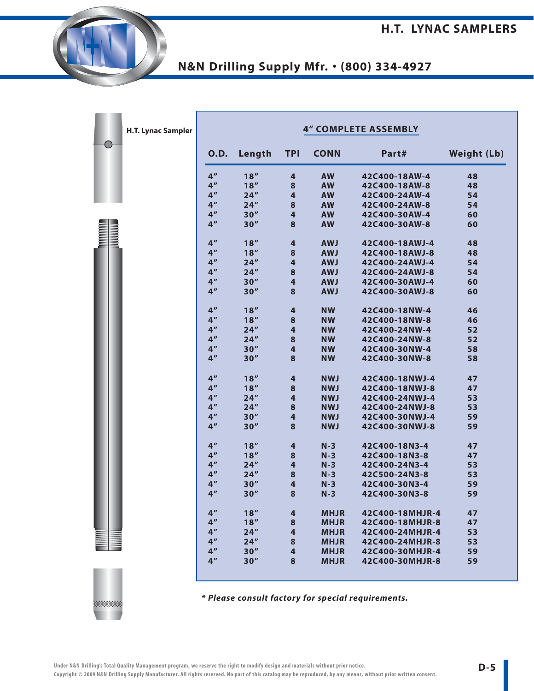| H.T. Lynac Sampler |                 |        |                |             | <b>4" COMPLETE ASSEMBLY</b> |                    |
|--------------------|-----------------|--------|----------------|-------------|-----------------------------|--------------------|
|                    | <b>O.D.</b>     | Length | <b>TPI</b>     | <b>CONN</b> | Part#                       | <b>Weight (Lb)</b> |
|                    | 4 <sup>''</sup> | 18''   | 4              | <b>AW</b>   | 42C400-18AW-4               | 48                 |
|                    | 4 <sup>''</sup> | 18''   | 8              | <b>AW</b>   | 42C400-18AW-8               | 48                 |
|                    | 4 <sup>''</sup> | 24''   | $\overline{4}$ | <b>AW</b>   | 42C400-24AW-4               | 54                 |
|                    | 4 <sup>''</sup> | 24''   | 8              | <b>AW</b>   | 42C400-24AW-8               | 54                 |
|                    | 4 <sup>''</sup> | 30''   | 4              | <b>AW</b>   | 42C400-30AW-4               | 60                 |
|                    | 4 <sup>''</sup> | 30''   | 8              | <b>AW</b>   | 42C400-30AW-8               | 60                 |
|                    | 4 <sup>''</sup> | 18''   | 4              | <b>AWJ</b>  | 42C400-18AWJ-4              | 48                 |
|                    | 4 <sup>''</sup> | 18''   | 8              | <b>AWJ</b>  | 42C400-18AWJ-8              | 48                 |
|                    | 4 <sup>''</sup> | 24''   | 4              | <b>AWJ</b>  | 42C400-24AWJ-4              | 54                 |
|                    | 4 <sup>''</sup> | 24''   | 8              | <b>AWJ</b>  | 42C400-24AWJ-8              | 54                 |
|                    | 4 <sup>''</sup> | 30''   | $\overline{4}$ | <b>AWJ</b>  | 42C400-30AWJ-4              | 60                 |
|                    | 4 <sup>''</sup> | 30''   | 8              | <b>AWJ</b>  | 42C400-30AWJ-8              | 60                 |
|                    | 4 <sup>''</sup> | 18''   | 4              | <b>NW</b>   | 42C400-18NW-4               | 46                 |
|                    | 4 <sup>''</sup> | 18''   | 8              | <b>NW</b>   | 42C400-18NW-8               | 46                 |
|                    | 4 <sup>''</sup> | 24''   | 4              | <b>NW</b>   | 42C400-24NW-4               | 52                 |
|                    | 4 <sup>''</sup> | 24''   | 8              | <b>NW</b>   | 42C400-24NW-8               | 52                 |
|                    | 4 <sup>''</sup> | 30''   | 4              | <b>NW</b>   | 42C400-30NW-4               | 58                 |
|                    | 4 <sup>''</sup> | 30''   | 8              | <b>NW</b>   | 42C400-30NW-8               | 58                 |
|                    | 4 <sup>''</sup> | 18''   | 4              | <b>NWJ</b>  | 42C400-18NWJ-4              | 47                 |
|                    | 4 <sup>''</sup> | 18''   | 8              | <b>NWJ</b>  | 42C400-18NWJ-8              | 47                 |
|                    | 4 <sup>''</sup> | 24''   | 4              | <b>NWJ</b>  | 42C400-24NWJ-4              | 53                 |
|                    | 4 <sup>''</sup> | 24''   | 8              | <b>NWJ</b>  | 42C400-24NWJ-8              | 53                 |
|                    | 4 <sup>''</sup> | 30''   | 4              | <b>NWJ</b>  | 42C400-30NWJ-4              | 59                 |
|                    | 4 <sup>''</sup> | 30''   | 8              | <b>NWJ</b>  | 42C400-30NWJ-8              | 59                 |
|                    | 4 <sup>''</sup> | 18''   | 4              | $N-3$       | 42C400-18N3-4               | 47                 |
|                    | 4 <sup>''</sup> | 18''   | 8              | $N-3$       | 42C400-18N3-8               | 47                 |
|                    | 4 <sup>''</sup> | 24''   | $\overline{4}$ | $N-3$       | 42C400-24N3-4               | 53                 |
|                    | 4 <sup>''</sup> | 24''   | 8              | $N-3$       | 42C500-24N3-8               | 53                 |
|                    | 4 <sup>''</sup> | 30''   | 4              | $N-3$       | 42C400-30N3-4               | 59                 |
|                    | 4 <sup>''</sup> | 30''   | 8              | $N-3$       | 42C400-30N3-8               | 59                 |
|                    |                 |        |                |             |                             |                    |
|                    | 4 <sup>''</sup> | 18''   | $\overline{4}$ | <b>MHJR</b> | 42C400-18MHJR-4             | 47                 |
|                    | 4 <sup>''</sup> | 18''   | 8              | <b>MHJR</b> | 42C400-18MHJR-8             | 47                 |
|                    | 4 <sup>''</sup> | 24''   | 4              | <b>MHJR</b> | 42C400-24MHJR-4             | 53                 |
|                    | 4 <sup>''</sup> | 24''   | 8              | <b>MHJR</b> | 42C400-24MHJR-8             | 53                 |
|                    | 4 <sup>''</sup> | 30''   | $\overline{4}$ | <b>MHJR</b> | 42C400-30MHJR-4             | 59                 |
|                    | 4 <sup>''</sup> | 30''   | 8              | <b>MHJR</b> | 42C400-30MHJR-8             | 59                 |

**\* Please consult factory for special requirements.**

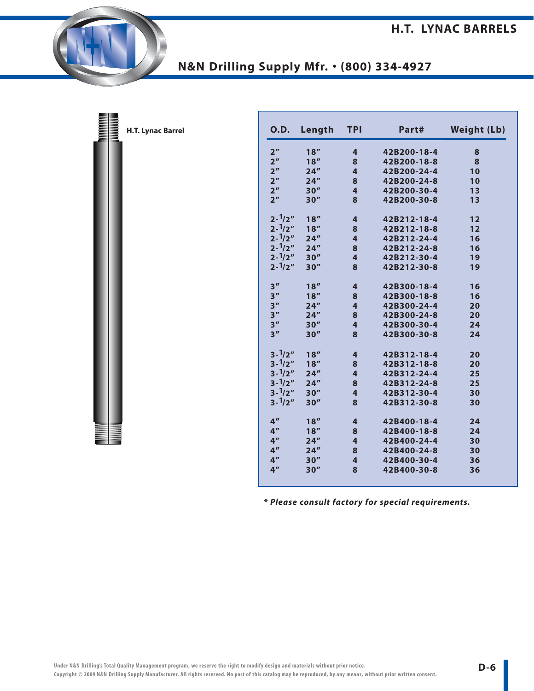| H.T. Lynac Barrel |
|-------------------|
|                   |
|                   |
|                   |
|                   |
|                   |
|                   |
|                   |
|                   |
|                   |
|                   |
|                   |
|                   |

三里

| 0.D.              | Length | <b>TPI</b> | Part#       | <b>Weight (Lb)</b> |
|-------------------|--------|------------|-------------|--------------------|
| 2 <sup>n</sup>    | 18''   | 4          | 42B200-18-4 | 8                  |
| 2 <sup>''</sup>   | 18''   | 8          | 42B200-18-8 | 8                  |
| 2 <sup>''</sup>   | 24''   | 4          | 42B200-24-4 | 10                 |
| 2 <sup>''</sup>   | 24''   | 8          | 42B200-24-8 | 10                 |
| 2 <sup>n</sup>    | 30''   | 4          | 42B200-30-4 | 13                 |
| 2 <sup>''</sup>   | 30''   | 8          | 42B200-30-8 | 13                 |
| $2 - \frac{1}{2}$ | 18''   | 4          | 42B212-18-4 | 12                 |
| $2 - \frac{1}{2}$ | 18''   | 8          | 42B212-18-8 | 12                 |
| $2 - \frac{1}{2}$ | 24''   | 4          | 42B212-24-4 | 16                 |
| $2 - \frac{1}{2}$ | 24''   | 8          | 42B212-24-8 | 16                 |
| $2 - \frac{1}{2}$ | 30''   | 4          | 42B212-30-4 | 19                 |
| $2 - \frac{1}{2}$ | 30''   | 8          | 42B212-30-8 | 19                 |
| 3''               | 18''   | 4          | 42B300-18-4 | 16                 |
| 3''               | 18''   | 8          | 42B300-18-8 | 16                 |
| 3''               | 24''   | 4          | 42B300-24-4 | 20                 |
| 3''               | 24''   | 8          | 42B300-24-8 | 20                 |
| 3''               | 30''   | 4          | 42B300-30-4 | 24                 |
| 3''               | 30''   | 8          | 42B300-30-8 | 24                 |
| $3 - \frac{1}{2}$ | 18''   | 4          | 42B312-18-4 | 20                 |
| $3 - \frac{1}{2}$ | 18''   | 8          | 42B312-18-8 | 20                 |
| $3 - \frac{1}{2}$ | 24''   | 4          | 42B312-24-4 | 25                 |
| $3 - \frac{1}{2}$ | 24''   | 8          | 42B312-24-8 | 25                 |
| $3 - \frac{1}{2}$ | 30''   | 4          | 42B312-30-4 | 30                 |
| $3 - \frac{1}{2}$ | 30''   | 8          | 42B312-30-8 | 30                 |
| 4 <sup>''</sup>   | 18''   | 4          | 42B400-18-4 | 24                 |
| 4 <sup>''</sup>   | 18''   | 8          | 42B400-18-8 | 24                 |
| 4 <sup>''</sup>   | 24''   | 4          | 42B400-24-4 | 30                 |
| 4 <sup>''</sup>   | 24''   | 8          | 42B400-24-8 | 30                 |
| 4 <sup>''</sup>   | 30''   | 4          | 42B400-30-4 | 36                 |
| 4 <sup>''</sup>   | 30''   | 8          | 42B400-30-8 | 36                 |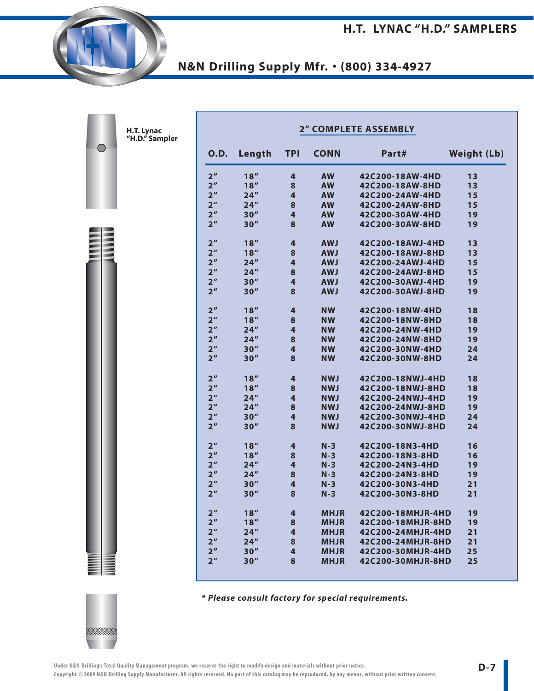**H.T. LYNAC "H.D." SAMPLERS**

## **N&N Drilling Supply Mfr.** • **(800) 334-4927**

| 0.D.            | Length | <b>TPI</b> | <b>CONN</b> | Part#             | <b>Weight (Lb)</b> |
|-----------------|--------|------------|-------------|-------------------|--------------------|
| 2 <sup>n</sup>  | 18''   | 4          | <b>AW</b>   | 42C200-18AW-4HD   | 13                 |
| 2 <sup>n</sup>  | 18''   | 8          | <b>AW</b>   | 42C200-18AW-8HD   | 13                 |
| 2 <sup>n</sup>  | 24''   | 4          | <b>AW</b>   | 42C200-24AW-4HD   | 15                 |
| 2 <sup>n</sup>  | 24''   | 8          | <b>AW</b>   | 42C200-24AW-8HD   | 15                 |
| 2 <sup>n</sup>  | 30''   | 4          | <b>AW</b>   | 42C200-30AW-4HD   | 19                 |
| 2 <sup>n</sup>  | 30''   | 8          | <b>AW</b>   | 42C200-30AW-8HD   | 19                 |
| 2 <sup>n</sup>  | 18''   | 4          | <b>AWJ</b>  | 42C200-18AWJ-4HD  | 13                 |
| 2 <sup>''</sup> | 18''   | 8          | <b>AWJ</b>  | 42C200-18AWJ-8HD  | 13                 |
| 2 <sup>''</sup> | 24''   | 4          | <b>AWJ</b>  | 42C200-24AWJ-4HD  | 15                 |
| 2 <sup>n</sup>  | 24''   | 8          | <b>AWJ</b>  | 42C200-24AWJ-8HD  | 15                 |
| 2 <sup>n</sup>  | 30''   | 4          | <b>AWJ</b>  | 42C200-30AWJ-4HD  | 19                 |
| 2 <sup>n</sup>  | 30''   | 8          | <b>AWJ</b>  | 42C200-30AWJ-8HD  | 19                 |
| 2 <sup>''</sup> | 18''   | 4          | <b>NW</b>   | 42C200-18NW-4HD   | 18                 |
| 2 <sup>n</sup>  | 18''   | 8          | <b>NW</b>   | 42C200-18NW-8HD   | 18                 |
| 2 <sup>n</sup>  | 24''   | 4          | <b>NW</b>   | 42C200-24NW-4HD   | 19                 |
| 2 <sup>''</sup> | 24''   | 8          | <b>NW</b>   | 42C200-24NW-8HD   | 19                 |
| 2 <sup>''</sup> | 30''   | 4          | <b>NW</b>   | 42C200-30NW-4HD   | 24                 |
| 2 <sup>''</sup> | 30''   | 8          | <b>NW</b>   | 42C200-30NW-8HD   | 24                 |
| 2 <sup>n</sup>  | 18''   | 4          | <b>NWJ</b>  | 42C200-18NWJ-4HD  | 18                 |
| 2 <sup>''</sup> | 18''   | 8          | <b>NWJ</b>  | 42C200-18NWJ-8HD  | 18                 |
| 2 <sup>''</sup> | 24''   | 4          | <b>NWJ</b>  | 42C200-24NWJ-4HD  | 19                 |
| 2 <sup>n</sup>  | 24''   | 8          | <b>NWJ</b>  | 42C200-24NWJ-8HD  | 19                 |
| 2 <sup>n</sup>  | 30''   | 4          | <b>NWJ</b>  | 42C200-30NWJ-4HD  | 24                 |
| 2 <sup>n</sup>  | 30''   | 8          | <b>NWJ</b>  | 42C200-30NWJ-8HD  | 24                 |
| 2 <sup>''</sup> | 18''   | 4          | $N-3$       | 42C200-18N3-4HD   | 16                 |
| 2 <sup>''</sup> | 18''   | 8          | $N-3$       | 42C200-18N3-8HD   | 16                 |
| 2 <sup>n</sup>  | 24''   | 4          | $N-3$       | 42C200-24N3-4HD   | 19                 |
| 2 <sup>n</sup>  | 24''   | 8          | $N-3$       | 42C200-24N3-8HD   | 19                 |
| 2 <sup>n</sup>  | 30''   | 4          | $N-3$       | 42C200-30N3-4HD   | 21                 |
| 2 <sup>''</sup> | 30''   | 8          | $N-3$       | 42C200-30N3-8HD   | 21                 |
| 2 <sup>n</sup>  | 18''   | 4          | <b>MHJR</b> | 42C200-18MHJR-4HD | 19                 |
| 2 <sup>n</sup>  | 18''   | 8          | <b>MHJR</b> | 42C200-18MHJR-8HD | 19                 |
| 2 <sup>''</sup> | 24''   | 4          | <b>MHJR</b> | 42C200-24MHJR-4HD | 21                 |
| 2 <sup>n</sup>  | 24''   | 8          | <b>MHJR</b> | 42C200-24MHJR-8HD | 21                 |
| 2 <sup>n</sup>  | 30''   | 4          | <b>MHJR</b> | 42C200-30MHJR-4HD | 25                 |
| 2 <sup>''</sup> | 30''   | 8          | <b>MHJR</b> | 42C200-30MHJR-8HD | 25                 |

**\* Please consult factory for special requirements.**



**H.T. Lynac "H.D." Sampler**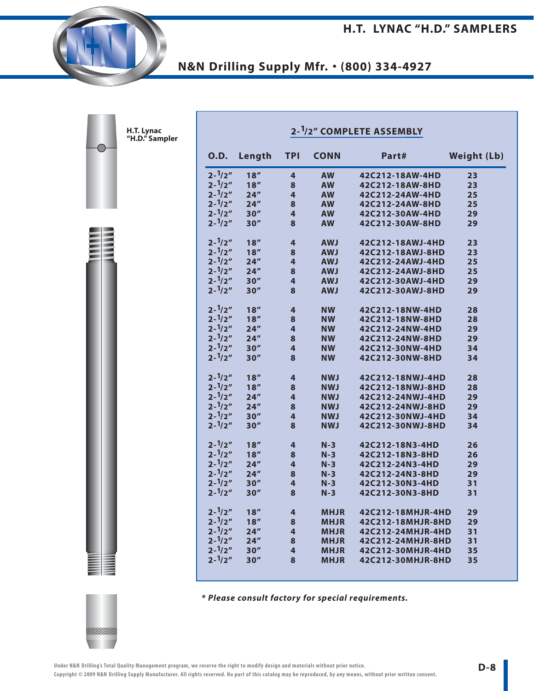| 0.D.              | Length | <b>TPI</b> | <b>CONN</b> | Part#             | <b>Weight (Lb)</b> |
|-------------------|--------|------------|-------------|-------------------|--------------------|
| $2 - \frac{1}{2}$ | 18''   | 4          | <b>AW</b>   | 42C212-18AW-4HD   | 23                 |
| $2 - \frac{1}{2}$ | 18''   | 8          | <b>AW</b>   | 42C212-18AW-8HD   | 23                 |
| $2 - \frac{1}{2}$ | 24"    | 4          | <b>AW</b>   | 42C212-24AW-4HD   | 25                 |
| $2 - \frac{1}{2}$ | 24''   | 8          | <b>AW</b>   | 42C212-24AW-8HD   | 25                 |
| $2 - \frac{1}{2}$ | 30''   | 4          | <b>AW</b>   | 42C212-30AW-4HD   | 29                 |
| $2 - \frac{1}{2}$ | 30''   | 8          | <b>AW</b>   | 42C212-30AW-8HD   | 29                 |
| $2 - \frac{1}{2}$ | 18''   | 4          | <b>AWJ</b>  | 42C212-18AWJ-4HD  | 23                 |
| $2 - \frac{1}{2}$ | 18''   | 8          | <b>AWJ</b>  | 42C212-18AWJ-8HD  | 23                 |
| $2 - \frac{1}{2}$ | 24''   | 4          | <b>AWJ</b>  | 42C212-24AWJ-4HD  | 25                 |
| $2 - \frac{1}{2}$ | 24''   | 8          | <b>AWJ</b>  | 42C212-24AWJ-8HD  | 25                 |
| $2 - \frac{1}{2}$ | 30''   | 4          | <b>AWJ</b>  | 42C212-30AWJ-4HD  | 29                 |
| $2 - \frac{1}{2}$ | 30''   | 8          | <b>LWA</b>  | 42C212-30AWJ-8HD  | 29                 |
| $2 - \frac{1}{2}$ | 18''   | 4          | <b>NW</b>   | 42C212-18NW-4HD   | 28                 |
| $2 - \frac{1}{2}$ | 18''   | 8          | <b>NW</b>   | 42C212-18NW-8HD   | 28                 |
| $2 - \frac{1}{2}$ | 24''   | 4          | <b>NW</b>   | 42C212-24NW-4HD   | 29                 |
| $2 - \frac{1}{2}$ | 24''   | 8          | NW.         | 42C212-24NW-8HD   | 29                 |
| $2 - \frac{1}{2}$ | 30''   | 4          | <b>NW</b>   | 42C212-30NW-4HD   | 34                 |
| $2 - \frac{1}{2}$ | 30''   | 8          | <b>NW</b>   | 42C212-30NW-8HD   | 34                 |
| $2 - \frac{1}{2}$ | 18''   | 4          | <b>NWJ</b>  | 42C212-18NWJ-4HD  | 28                 |
| $2 - \frac{1}{2}$ | 18''   | 8          | <b>NWJ</b>  | 42C212-18NWJ-8HD  | 28                 |
| $2 - \frac{1}{2}$ | 24''   | 4          | <b>NWJ</b>  | 42C212-24NWJ-4HD  | 29                 |
| $2 - \frac{1}{2}$ | 24''   | 8          | <b>NWJ</b>  | 42C212-24NWJ-8HD  | 29                 |
| $2 - \frac{1}{2}$ | 30''   | 4          | <b>NWJ</b>  | 42C212-30NWJ-4HD  | 34                 |
| $2 - \frac{1}{2}$ | 30''   | 8          | <b>NWJ</b>  | 42C212-30NWJ-8HD  | 34                 |
| $2 - \frac{1}{2}$ | 18''   | 4          | $N-3$       | 42C212-18N3-4HD   | 26                 |
| $2 - \frac{1}{2}$ | 18''   | 8          | $N-3$       | 42C212-18N3-8HD   | 26                 |
| $2 - \frac{1}{2}$ | 24''   | 4          | $N-3$       | 42C212-24N3-4HD   | 29                 |
| $2 - \frac{1}{2}$ | 24''   | 8          | $N-3$       | 42C212-24N3-8HD   | 29                 |
| $2 - \frac{1}{2}$ | 30''   | 4          | $N-3$       | 42C212-30N3-4HD   | 31                 |
| $2 - \frac{1}{2}$ | 30''   | 8          | $N-3$       | 42C212-30N3-8HD   | 31                 |
| $2 - \frac{1}{2}$ | 18''   | 4          | <b>MHJR</b> | 42C212-18MHJR-4HD | 29                 |
| $2 - \frac{1}{2}$ | 18''   | 8          | <b>MHJR</b> | 42C212-18MHJR-8HD | 29                 |
| $2 - \frac{1}{2}$ | 24''   | 4          | <b>MHJR</b> | 42C212-24MHJR-4HD | 31                 |
| $2 - \frac{1}{2}$ | 24''   | 8          | <b>MHJR</b> | 42C212-24MHJR-8HD | 31                 |
| $2 - \frac{1}{2}$ | 30''   | 4          | <b>MHJR</b> | 42C212-30MHJR-4HD | 35                 |
| $2 - \frac{1}{2}$ | 30''   | 8          | <b>MHJR</b> | 42C212-30MHJR-8HD | 35                 |

**\* Please consult factory for special requirements.**



**H.T. Lynac "H.D." Sampler**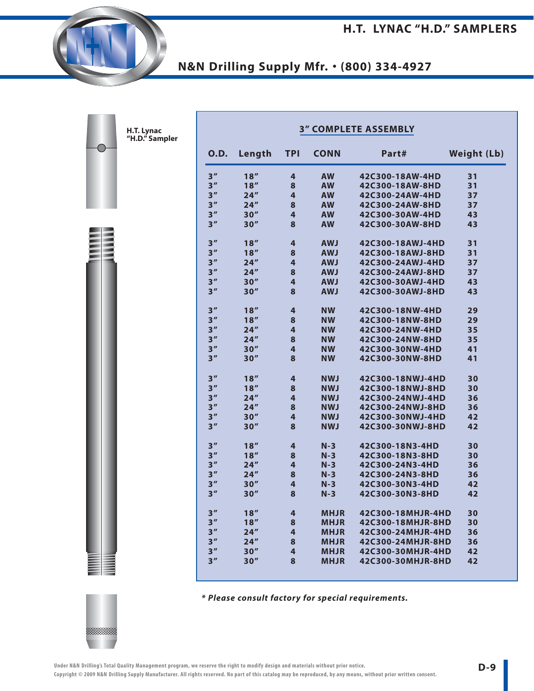| <b>3" COMPLETE ASSEMBLY</b> |                     |                         |             |                   |                    |  |  |  |  |  |
|-----------------------------|---------------------|-------------------------|-------------|-------------------|--------------------|--|--|--|--|--|
| <b>O.D.</b>                 | Length              | <b>TPI</b>              | <b>CONN</b> | Part#             | <b>Weight (Lb)</b> |  |  |  |  |  |
| 3''                         | 18''                | 4                       | <b>AW</b>   | 42C300-18AW-4HD   | 31                 |  |  |  |  |  |
| 3 <sup>''</sup>             | 18''                | 8                       | <b>AW</b>   | 42C300-18AW-8HD   | 31                 |  |  |  |  |  |
| 3''                         | 24''                | 4                       | <b>AW</b>   | 42C300-24AW-4HD   | 37                 |  |  |  |  |  |
| 3 <sup>''</sup>             | 24''                | 8                       | <b>AW</b>   | 42C300-24AW-8HD   | 37                 |  |  |  |  |  |
| 3''                         | 30''                | $\overline{\mathbf{4}}$ | <b>AW</b>   | 42C300-30AW-4HD   | 43                 |  |  |  |  |  |
| 3''                         | 30''                | 8                       | <b>AW</b>   | 42C300-30AW-8HD   | 43                 |  |  |  |  |  |
| 3''                         | 18''                | 4                       | <b>AWJ</b>  | 42C300-18AWJ-4HD  | 31                 |  |  |  |  |  |
| 3''                         | 18''                | 8                       | <b>AWJ</b>  | 42C300-18AWJ-8HD  | 31                 |  |  |  |  |  |
| 3''                         | 24''                | 4                       | <b>LWA</b>  | 42C300-24AWJ-4HD  | 37                 |  |  |  |  |  |
| 3''                         | $24^{\prime\prime}$ | 8                       | <b>AWJ</b>  | 42C300-24AWJ-8HD  | 37                 |  |  |  |  |  |
| 3''                         | 30''                | 4                       | <b>AWJ</b>  | 42C300-30AWJ-4HD  | 43                 |  |  |  |  |  |
| 3''                         | 30''                | 8                       | <b>AWJ</b>  | 42C300-30AWJ-8HD  | 43                 |  |  |  |  |  |
| 3''                         | 18''                | 4                       | <b>NW</b>   | 42C300-18NW-4HD   | 29                 |  |  |  |  |  |
| 3''                         | 18''                | 8                       | <b>NW</b>   | 42C300-18NW-8HD   | 29                 |  |  |  |  |  |
| 3''                         | 24''                | 4                       | <b>NW</b>   | 42C300-24NW-4HD   | 35                 |  |  |  |  |  |
| 3''                         | 24''                | 8                       | <b>NW</b>   | 42C300-24NW-8HD   | 35                 |  |  |  |  |  |
| 3''                         | 30''                | 4                       | <b>NW</b>   | 42C300-30NW-4HD   | 41                 |  |  |  |  |  |
| 3''                         | 30''                | 8                       | <b>NW</b>   | 42C300-30NW-8HD   | 41                 |  |  |  |  |  |
| 3''                         | 18''                | 4                       | <b>NWJ</b>  | 42C300-18NWJ-4HD  | 30                 |  |  |  |  |  |
| 3''                         | 18''                | 8                       | <b>NWJ</b>  | 42C300-18NWJ-8HD  | 30                 |  |  |  |  |  |
| 3''                         | 24''                | 4                       | <b>NWJ</b>  | 42C300-24NWJ-4HD  | 36                 |  |  |  |  |  |
| 3''                         | 24''                | 8                       | <b>NWJ</b>  | 42C300-24NWJ-8HD  | 36                 |  |  |  |  |  |
| 3''                         | 30''                | 4                       | <b>NWJ</b>  | 42C300-30NWJ-4HD  | 42                 |  |  |  |  |  |
| 3''                         | 30''                | 8                       | <b>NWJ</b>  | 42C300-30NWJ-8HD  | 42                 |  |  |  |  |  |
| 3''                         | 18''                | 4                       | $N-3$       | 42C300-18N3-4HD   | 30                 |  |  |  |  |  |
| 3''                         | 18''                | 8                       | $N-3$       | 42C300-18N3-8HD   | 30                 |  |  |  |  |  |
| 3''                         | 24''                | 4                       | $N-3$       | 42C300-24N3-4HD   | 36                 |  |  |  |  |  |
| 3''                         | 24''                | 8                       | $N-3$       | 42C300-24N3-8HD   | 36                 |  |  |  |  |  |
| 3''                         | 30''                | 4                       | $N-3$       | 42C300-30N3-4HD   | 42                 |  |  |  |  |  |
| 3''                         | 30''                | 8                       | $N-3$       | 42C300-30N3-8HD   | 42                 |  |  |  |  |  |
| 3''                         | 18''                | 4                       | <b>MHJR</b> | 42C300-18MHJR-4HD | 30                 |  |  |  |  |  |
| 3''                         | 18''                | 8                       | <b>MHJR</b> | 42C300-18MHJR-8HD | 30                 |  |  |  |  |  |
| 3''                         | 24''                | 4                       | <b>MHJR</b> | 42C300-24MHJR-4HD | 36                 |  |  |  |  |  |
| 3''                         | 24''                | 8                       | <b>MHJR</b> | 42C300-24MHJR-8HD | 36                 |  |  |  |  |  |
| 3''                         | 30''                | 4                       | <b>MHJR</b> | 42C300-30MHJR-4HD | 42                 |  |  |  |  |  |
| 3''                         | 30''                | 8                       | <b>MHJR</b> | 42C300-30MHJR-8HD | 42                 |  |  |  |  |  |

**\* Please consult factory for special requirements.**



**H.T. Lynac "H.D." Sampler**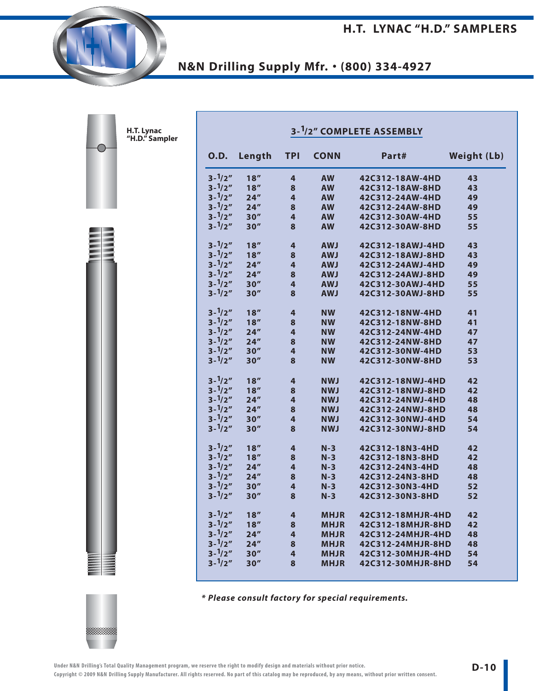**H.T. LYNAC "H.D." SAMPLERS**

**N&N Drilling Supply Mfr.** • **(800) 334-4927**

|                   |        |                |             | 3- <sup>1</sup> /2" COMPLETE ASSEMBLY |                    |
|-------------------|--------|----------------|-------------|---------------------------------------|--------------------|
| <b>O.D.</b>       | Length | <b>TPI</b>     | <b>CONN</b> | Part#                                 | <b>Weight (Lb)</b> |
| $3 - \frac{1}{2}$ | 18''   | 4              | <b>AW</b>   | 42C312-18AW-4HD                       | 43                 |
| $3 - \frac{1}{2}$ | 18''   | 8              | <b>AW</b>   | 42C312-18AW-8HD                       | 43                 |
| $3 - \frac{1}{2}$ | 24''   | 4              | <b>AW</b>   | 42C312-24AW-4HD                       | 49                 |
| $3 - \frac{1}{2}$ | 24''   | 8              | <b>AW</b>   | 42C312-24AW-8HD                       | 49                 |
| $3 - \frac{1}{2}$ | 30''   | 4              | <b>AW</b>   | 42C312-30AW-4HD                       | 55                 |
| $3 - \frac{1}{2}$ | 30''   | 8              | <b>AW</b>   | 42C312-30AW-8HD                       | 55                 |
| $3 - \frac{1}{2}$ | 18''   | 4              | <b>AWJ</b>  | 42C312-18AWJ-4HD                      | 43                 |
| $3 - \frac{1}{2}$ | 18''   | 8              | <b>AWJ</b>  | 42C312-18AWJ-8HD                      | 43                 |
| $3 - \frac{1}{2}$ | 24''   | 4              | <b>AWJ</b>  | 42C312-24AWJ-4HD                      | 49                 |
| $3 - \frac{1}{2}$ | 24''   | 8              | <b>AWJ</b>  | 42C312-24AWJ-8HD                      | 49                 |
| $3 - \frac{1}{2}$ | 30''   | 4              | <b>AWJ</b>  | 42C312-30AWJ-4HD                      | 55                 |
| $3 - \frac{1}{2}$ | 30''   | 8              | <b>AWJ</b>  | 42C312-30AWJ-8HD                      | 55                 |
| $3 - \frac{1}{2}$ | 18''   | 4              | <b>NW</b>   | 42C312-18NW-4HD                       | 41                 |
| $3 - \frac{1}{2}$ | 18''   | 8              | <b>NW</b>   | 42C312-18NW-8HD                       | 41                 |
| $3 - \frac{1}{2}$ | 24''   | $\overline{4}$ | <b>NW</b>   | 42C312-24NW-4HD                       | 47                 |
| $3 - \frac{1}{2}$ | 24''   | 8              | <b>NW</b>   | 42C312-24NW-8HD                       | 47                 |
| $3 - \frac{1}{2}$ | 30''   | 4              | <b>NW</b>   | 42C312-30NW-4HD                       | 53                 |
| $3 - \frac{1}{2}$ | 30''   | 8              | <b>NW</b>   | 42C312-30NW-8HD                       | 53                 |
| $3 - \frac{1}{2}$ | 18''   | 4              | <b>NWJ</b>  | 42C312-18NWJ-4HD                      | 42                 |
| $3 - \frac{1}{2}$ | 18''   | 8              | <b>NWJ</b>  | 42C312-18NWJ-8HD                      | 42                 |
| $3 - \frac{1}{2}$ | 24''   | $\overline{4}$ | <b>NWJ</b>  | 42C312-24NWJ-4HD                      | 48                 |
| $3 - \frac{1}{2}$ | 24''   | 8              | <b>NWJ</b>  | 42C312-24NWJ-8HD                      | 48                 |
| $3 - \frac{1}{2}$ | 30''   | 4              | <b>NWJ</b>  | 42C312-30NWJ-4HD                      | 54                 |
| $3 - \frac{1}{2}$ | 30''   | 8              | <b>NWJ</b>  | 42C312-30NWJ-8HD                      | 54                 |
| $3 - \frac{1}{2}$ | 18''   | 4              | $N-3$       | 42C312-18N3-4HD                       | 42                 |
| $3 - \frac{1}{2}$ | 18''   | 8              | $N-3$       | 42C312-18N3-8HD                       | 42                 |
| $3 - \frac{1}{2}$ | 24''   | 4              | $N-3$       | 42C312-24N3-4HD                       | 48                 |
| $3 - \frac{1}{2}$ | 24''   | 8              | $N-3$       | 42C312-24N3-8HD                       | 48                 |
| $3 - \frac{1}{2}$ | 30''   | 4              | $N-3$       | 42C312-30N3-4HD                       | 52                 |
| $3 - \frac{1}{2}$ | 30''   | 8              | $N-3$       | 42C312-30N3-8HD                       | 52                 |
| $3 - \frac{1}{2}$ | 18''   | 4              | <b>MHJR</b> | 42C312-18MHJR-4HD                     | 42                 |
| $3 - \frac{1}{2}$ | 18''   | 8              | <b>MHJR</b> | 42C312-18MHJR-8HD                     | 42                 |
| $3 - \frac{1}{2}$ | 24''   | 4              | <b>MHJR</b> | 42C312-24MHJR-4HD                     | 48                 |
| $3 - \frac{1}{2}$ | 24''   | 8              | <b>MHJR</b> | 42C312-24MHJR-8HD                     | 48                 |
| $3 - \frac{1}{2}$ | 30''   | 4              | <b>MHJR</b> | 42C312-30MHJR-4HD                     | 54                 |
| $3 - \frac{1}{2}$ | 30''   | 8              | <b>MHJR</b> | 42C312-30MHJR-8HD                     | 54                 |

**\* Please consult factory for special requirements.**



**H.T. Lynac "H.D." Sampler**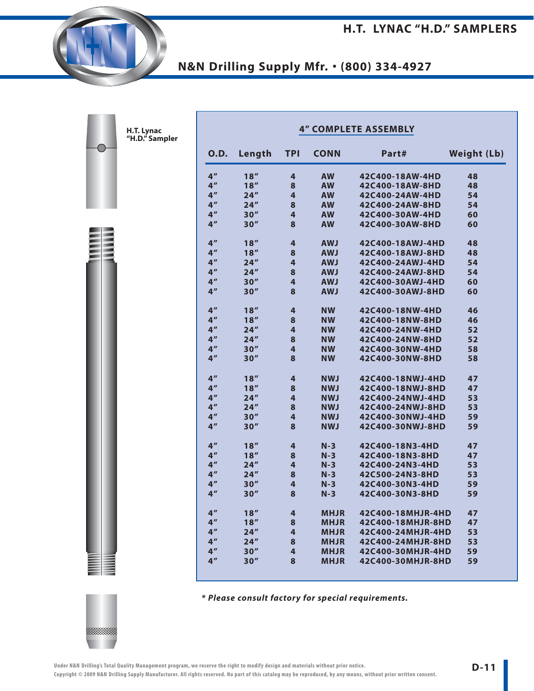| 0.D.            | Length | <b>TPI</b> | <b>CONN</b> | Part#             | <b>Weight (Lb)</b> |
|-----------------|--------|------------|-------------|-------------------|--------------------|
| 4 <sup>''</sup> | 18''   | 4          | <b>AW</b>   | 42C400-18AW-4HD   | 48                 |
| 4 <sup>''</sup> | 18''   | 8          | <b>AW</b>   | 42C400-18AW-8HD   | 48                 |
| 4 <sup>''</sup> | 24''   | 4          | <b>AW</b>   | 42C400-24AW-4HD   | 54                 |
| 4 <sup>''</sup> | 24''   | 8          | <b>AW</b>   | 42C400-24AW-8HD   | 54                 |
| 4 <sup>''</sup> | 30''   | 4          | <b>AW</b>   | 42C400-30AW-4HD   | 60                 |
| 4 <sup>''</sup> | 30''   | 8          | <b>AW</b>   | 42C400-30AW-8HD   | 60                 |
| 4 <sup>''</sup> | 18''   | 4          | <b>AWJ</b>  | 42C400-18AWJ-4HD  | 48                 |
| 4 <sup>''</sup> | 18''   | 8          | <b>AWJ</b>  | 42C400-18AWJ-8HD  | 48                 |
| 4 <sup>''</sup> | 24''   | 4          | <b>LWA</b>  | 42C400-24AWJ-4HD  | 54                 |
| 4 <sup>''</sup> | 24''   | 8          | <b>LWA</b>  | 42C400-24AWJ-8HD  | 54                 |
| 4 <sup>''</sup> | 30''   | 4          | <b>LWA</b>  | 42C400-30AWJ-4HD  | 60                 |
| 4 <sup>''</sup> | 30''   | 8          | <b>LWA</b>  | 42C400-30AWJ-8HD  | 60                 |
| 4 <sup>''</sup> | 18''   | 4          | <b>NW</b>   | 42C400-18NW-4HD   | 46                 |
| 4 <sup>''</sup> | 18''   | 8          | <b>NW</b>   | 42C400-18NW-8HD   | 46                 |
| 4 <sup>''</sup> | 24''   | 4          | <b>NW</b>   | 42C400-24NW-4HD   | 52                 |
| 4 <sup>''</sup> | 24''   | 8          | <b>NW</b>   | 42C400-24NW-8HD   | 52                 |
| 4 <sup>''</sup> | 30''   | 4          | <b>NW</b>   | 42C400-30NW-4HD   | 58                 |
| 4 <sup>''</sup> | 30''   | 8          | <b>NW</b>   | 42C400-30NW-8HD   | 58                 |
| 4 <sup>''</sup> | 18''   | 4          | <b>NWJ</b>  | 42C400-18NWJ-4HD  | 47                 |
| 4 <sup>''</sup> | 18''   | 8          | <b>NWJ</b>  | 42C400-18NWJ-8HD  | 47                 |
| 4 <sup>''</sup> | 24''   | 4          | <b>NWJ</b>  | 42C400-24NWJ-4HD  | 53                 |
| 4 <sup>''</sup> | 24''   | 8          | <b>NWJ</b>  | 42C400-24NWJ-8HD  | 53                 |
| 4 <sup>''</sup> | 30''   | 4          | <b>NWJ</b>  | 42C400-30NWJ-4HD  | 59                 |
| 4 <sup>''</sup> | 30''   | 8          | <b>NWJ</b>  | 42C400-30NWJ-8HD  | 59                 |
| 4 <sup>''</sup> | 18''   | 4          | $N-3$       | 42C400-18N3-4HD   | 47                 |
| 4 <sup>''</sup> | 18''   | 8          | $N-3$       | 42C400-18N3-8HD   | 47                 |
| 4 <sup>''</sup> | 24''   | 4          | $N-3$       | 42C400-24N3-4HD   | 53                 |
| 4 <sup>''</sup> | 24''   | 8          | $N-3$       | 42C500-24N3-8HD   | 53                 |
| 4 <sup>''</sup> | 30''   | 4          | $N-3$       | 42C400-30N3-4HD   | 59                 |
| 4 <sup>''</sup> | 30''   | 8          | $N-3$       | 42C400-30N3-8HD   | 59                 |
| 4 <sup>''</sup> | 18''   | 4          | <b>MHJR</b> | 42C400-18MHJR-4HD | 47                 |
| 4 <sup>''</sup> | 18''   | 8          | <b>MHJR</b> | 42C400-18MHJR-8HD | 47                 |
| 4 <sup>''</sup> | 24"    | 4          | <b>MHJR</b> | 42C400-24MHJR-4HD | 53                 |
| 4 <sup>''</sup> | 24''   | 8          | <b>MHJR</b> | 42C400-24MHJR-8HD | 53                 |
| 4 <sup>''</sup> | 30''   | 4          | <b>MHJR</b> | 42C400-30MHJR-4HD | 59                 |
| 4 <sup>''</sup> | 30''   | 8          | <b>MHJR</b> | 42C400-30MHJR-8HD | 59                 |

**\* Please consult factory for special requirements.**



**H.T. Lynac "H.D." Sampler**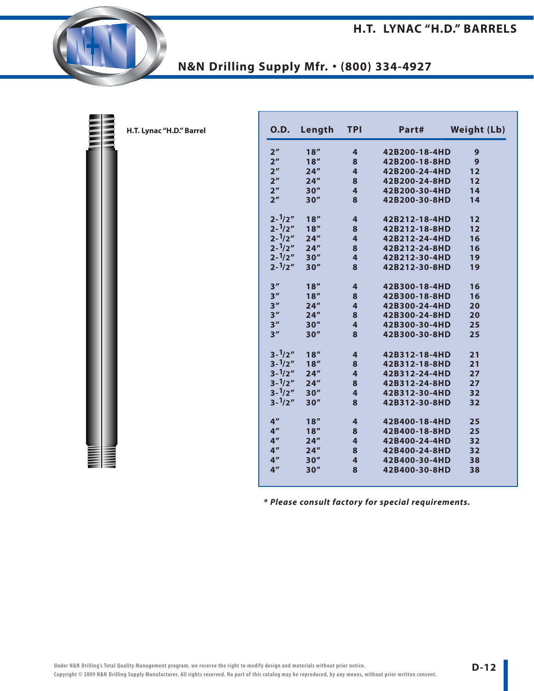

| 0.D.              | Length | <b>TPI</b>              | Part#         | <b>Weight (Lb)</b> |
|-------------------|--------|-------------------------|---------------|--------------------|
| 2 <sup>n</sup>    | 18''   | 4                       | 42B200-18-4HD | 9                  |
| 2 <sup>n</sup>    | 18''   | 8                       | 42B200-18-8HD | 9                  |
| 2 <sup>n</sup>    | 24''   | $\overline{\mathbf{4}}$ | 42B200-24-4HD | 12                 |
| 2 <sup>''</sup>   | 24''   | 8                       | 42B200-24-8HD | 12                 |
| 2 <sup>n</sup>    | 30''   | $\overline{\mathbf{4}}$ | 42B200-30-4HD | 14                 |
| 2 <sup>n</sup>    | 30''   | 8                       | 42B200-30-8HD | 14                 |
| $2 - \frac{1}{2}$ | 18''   | $\overline{\mathbf{4}}$ | 42B212-18-4HD | 12                 |
| $2 - \frac{1}{2}$ | 18''   | 8                       | 42B212-18-8HD | 12                 |
| $2 - \frac{1}{2}$ | 24''   | $\overline{\mathbf{4}}$ | 42B212-24-4HD | 16                 |
| $2 - \frac{1}{2}$ | 24''   | 8                       | 42B212-24-8HD | 16                 |
| $2 - \frac{1}{2}$ | 30''   | $\overline{\mathbf{4}}$ | 42B212-30-4HD | 19                 |
| $2 - \frac{1}{2}$ | 30''   | 8                       | 42B212-30-8HD | 19                 |
| 3''               | 18''   | $\overline{\mathbf{4}}$ | 42B300-18-4HD | 16                 |
| 3''               | 18''   | 8                       | 42B300-18-8HD | 16                 |
| 3''               | 24''   | 4                       | 42B300-24-4HD | 20                 |
| 3''               | 24''   | 8                       | 42B300-24-8HD | 20                 |
| 3''               | 30''   | 4                       | 42B300-30-4HD | 25                 |
| 3''               | 30''   | 8                       | 42B300-30-8HD | 25                 |
| $3 - \frac{1}{2}$ | 18''   | $\overline{\mathbf{4}}$ | 42B312-18-4HD | 21                 |
| $3 - \frac{1}{2}$ | 18''   | 8                       | 42B312-18-8HD | 21                 |
| $3 - \frac{1}{2}$ | 24''   | 4                       | 42B312-24-4HD | 27                 |
| $3 - \frac{1}{2}$ | 24''   | 8                       | 42B312-24-8HD | 27                 |
| $3 - \frac{1}{2}$ | 30''   | $\overline{\mathbf{4}}$ | 42B312-30-4HD | 32                 |
| $3 - \frac{1}{2}$ | 30''   | 8                       | 42B312-30-8HD | 32                 |
| 4 <sup>''</sup>   | 18''   | $\overline{\mathbf{4}}$ | 42B400-18-4HD | 25                 |
| 4 <sup>''</sup>   | 18''   | 8                       | 42B400-18-8HD | 25                 |
| 4 <sup>''</sup>   | 24''   | 4                       | 42B400-24-4HD | 32                 |
| 4 <sup>''</sup>   | 24''   | 8                       | 42B400-24-8HD | 32                 |
| 4 <sup>''</sup>   | 30''   | $\overline{\mathbf{4}}$ | 42B400-30-4HD | 38                 |
| 4 <sup>''</sup>   | 30''   | 8                       | 42B400-30-8HD | 38                 |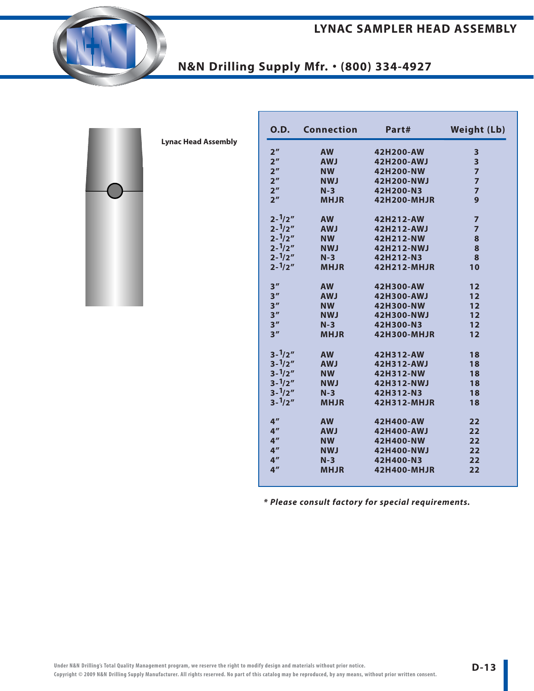

**Lynac Head Assembly**

| <b>O.D.</b>       | <b>Connection</b> | Part#              | <b>Weight (Lb)</b> |
|-------------------|-------------------|--------------------|--------------------|
| 2 <sup>''</sup>   | <b>AW</b>         | 42H200-AW          | 3                  |
| 2 <sup>n</sup>    | <b>AWJ</b>        | 42H200-AWJ         | 3                  |
| 2 <sup>n</sup>    | <b>NW</b>         | 42H200-NW          | $\overline{7}$     |
| 2 <sup>n</sup>    | <b>NWJ</b>        | 42H200-NWJ         | $\overline{7}$     |
| 2 <sup>n</sup>    | $N-3$             | 42H200-N3          | $\overline{7}$     |
| 2 <sup>n</sup>    | <b>MHJR</b>       | <b>42H200-MHJR</b> | 9                  |
| $2 - \frac{1}{2}$ | <b>AW</b>         | 42H212-AW          | $\overline{7}$     |
| $2 - \frac{1}{2}$ | <b>AWJ</b>        | 42H212-AWJ         | $\overline{7}$     |
| $2 - \frac{1}{2}$ | <b>NW</b>         | 42H212-NW          | 8                  |
| $2 - \frac{1}{2}$ | <b>NWJ</b>        | 42H212-NWJ         | 8                  |
| $2 - \frac{1}{2}$ | $N-3$             | 42H212-N3          | 8                  |
| $2 - \frac{1}{2}$ | <b>MHJR</b>       | 42H212-MHJR        | 10                 |
| 3''               | <b>AW</b>         | 42H300-AW          | 12                 |
| 3 <sup>''</sup>   | <b>AWJ</b>        | 42H300-AWJ         | 12                 |
| 3 <sup>''</sup>   | <b>NW</b>         | 42H300-NW          | 12                 |
| 3 <sup>''</sup>   | <b>NWJ</b>        | 42H300-NWJ         | 12                 |
| 3 <sup>''</sup>   | $N-3$             | 42H300-N3          | 12                 |
| 3 <sup>''</sup>   | <b>MHJR</b>       | 42H300-MHJR        | 12                 |
| $3 - \frac{1}{2}$ | <b>AW</b>         | 42H312-AW          | 18                 |
| $3 - \frac{1}{2}$ | <b>AWJ</b>        | 42H312-AWJ         | 18                 |
| $3 - \frac{1}{2}$ | <b>NW</b>         | 42H312-NW          | 18                 |
| $3 - \frac{1}{2}$ | <b>NWJ</b>        | 42H312-NWJ         | 18                 |
| $3 - \frac{1}{2}$ | $N-3$             | 42H312-N3          | 18                 |
| $3 - \frac{1}{2}$ | <b>MHJR</b>       | 42H312-MHJR        | 18                 |
| 4 <sup>''</sup>   | <b>AW</b>         | 42H400-AW          | 22                 |
| 4 <sup>''</sup>   | <b>AWJ</b>        | 42H400-AWJ         | 22                 |
| 4 <sup>''</sup>   | <b>NW</b>         | 42H400-NW          | 22                 |
| 4 <sup>''</sup>   | <b>NWJ</b>        | 42H400-NWJ         | 22                 |
| 4 <sup>''</sup>   | $N-3$             | 42H400-N3          | 22                 |
| 4 <sup>''</sup>   | <b>MHJR</b>       | 42H400-MHJR        | 22                 |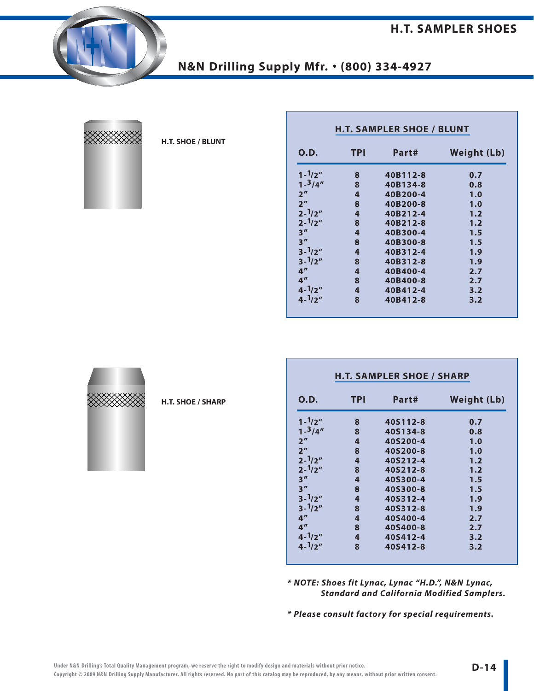

| ⋙⋙ |  |
|----|--|
|    |  |
|    |  |

#### **H.T. SHOE / BLUNT**

| 0.D.              | <b>TPI</b> | Part#    | <b>Weight (Lb)</b> |  |  |  |
|-------------------|------------|----------|--------------------|--|--|--|
| $1 - \frac{1}{2}$ | 8          | 40B112-8 | 0.7                |  |  |  |
| $1 - \frac{3}{4}$ | 8          | 40B134-8 | 0.8                |  |  |  |
| 2 <sup>n</sup>    | 4          | 40B200-4 | 1.0                |  |  |  |
| 2 <sup>n</sup>    | 8          | 40B200-8 | 1.0                |  |  |  |
| $2 - \frac{1}{2}$ | 4          | 40B212-4 | 1.2                |  |  |  |
| $2 - \frac{1}{2}$ | 8          | 40B212-8 | 1.2                |  |  |  |
| 3''               | 4          | 40B300-4 | 1.5                |  |  |  |
| 3''               | 8          | 40B300-8 | 1.5                |  |  |  |
| $3 - \frac{1}{2}$ | 4          | 40B312-4 | 1.9                |  |  |  |
| $3 - \frac{1}{2}$ | 8          | 40B312-8 | 1.9                |  |  |  |
| 4 <sup>''</sup>   | 4          | 40B400-4 | 2.7                |  |  |  |
| 4 <sup>''</sup>   | 8          | 40B400-8 | 2.7                |  |  |  |
| $4 - \frac{1}{2}$ | 4          | 40B412-4 | 3.2                |  |  |  |
| $4 - \frac{1}{2}$ | 8          | 40B412-8 | 3.2                |  |  |  |

| 0.D.              | TPI | Part#    | Weight (Lb) |
|-------------------|-----|----------|-------------|
| $1 - \frac{1}{2}$ | 8   | 40S112-8 | 0.7         |
| $1 - \frac{3}{4}$ | 8   | 40S134-8 | 0.8         |
| 2 <sup>n</sup>    | 4   | 40S200-4 | 1.0         |
| 2 <sup>n</sup>    | 8   | 40S200-8 | 1.0         |
| $2 - \frac{1}{2}$ | 4   | 40S212-4 | 1.2         |
| $2 - \frac{1}{2}$ | 8   | 40S212-8 | 1.2         |
| 3''               | 4   | 40S300-4 | 1.5         |
| 3''               | 8   | 40S300-8 | 1.5         |
| $3 - \frac{1}{2}$ | 4   | 40S312-4 | 1.9         |
| $3 - \frac{1}{2}$ | 8   | 40S312-8 | 1.9         |
| 4 <sup>''</sup>   | 4   | 40S400-4 | 2.7         |
| 4 <sup>''</sup>   | 8   | 40S400-8 | 2.7         |
| $4 - \frac{1}{2}$ | 4   | 40S412-4 | 3.2         |
| $4 - \frac{1}{2}$ | 8   | 40S412-8 | 3.2         |

**\* NOTE: Shoes fit Lynac, Lynac "H.D.", N&N Lynac, Standard and California Modified Samplers.**

**\* Please consult factory for special requirements.**

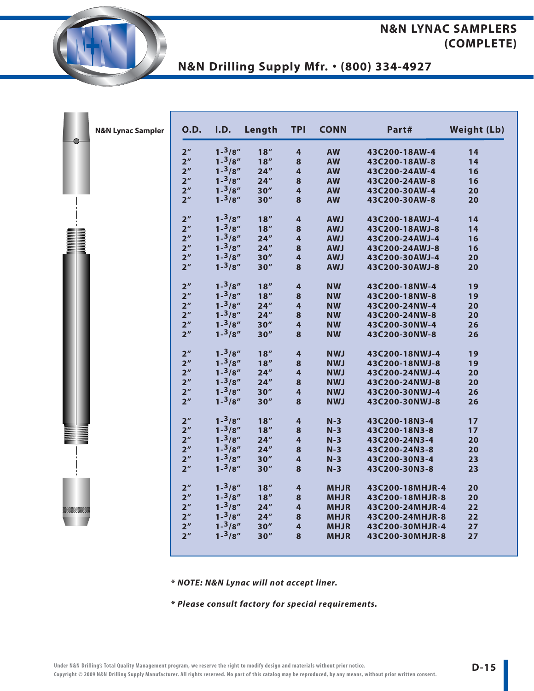#### **N&N LYNAC SAMPLERS (COMPLETE)**

**N&N Drilling Supply Mfr.** • **(800) 334-4927**

|    | <b>N&amp;N Lynac Sampler</b> | <b>O.D.</b>     | I.D.              | Length | <b>TPI</b>              | <b>CONN</b> | Part#           | <b>Weight (Lb)</b> |
|----|------------------------------|-----------------|-------------------|--------|-------------------------|-------------|-----------------|--------------------|
| -0 |                              | 2 <sup>n</sup>  | $1 - \frac{3}{8}$ | 18''   | 4                       | <b>AW</b>   | 43C200-18AW-4   | 14                 |
|    |                              | 2 <sup>n</sup>  | $1 - \frac{3}{8}$ | 18''   | $\bf8$                  | <b>AW</b>   | 43C200-18AW-8   | 14                 |
|    |                              | 2 <sup>''</sup> | $1 - \frac{3}{8}$ | 24''   | $\overline{\mathbf{4}}$ | <b>AW</b>   | 43C200-24AW-4   | 16                 |
|    |                              | 2 <sup>n</sup>  | $1 - \frac{3}{8}$ | 24''   | ${\bf 8}$               | <b>AW</b>   | 43C200-24AW-8   | 16                 |
|    |                              | 2 <sup>n</sup>  | $1 - \frac{3}{8}$ | 30''   | $\overline{\mathbf{4}}$ | <b>AW</b>   | 43C200-30AW-4   | 20                 |
|    |                              | 2 <sup>n</sup>  | $1 - \frac{3}{8}$ | 30''   | $\bf{8}$                | <b>AW</b>   | 43C200-30AW-8   | 20                 |
|    |                              | 2 <sup>n</sup>  | $1 - \frac{3}{8}$ | 18''   | $\overline{\mathbf{r}}$ | <b>AWJ</b>  | 43C200-18AWJ-4  | 14                 |
|    |                              | 2 <sup>n</sup>  | $1 - \frac{3}{8}$ | 18''   | $\bf{8}$                | <b>AWJ</b>  | 43C200-18AWJ-8  | 14                 |
|    |                              | 2 <sup>n</sup>  | $1 - \frac{3}{8}$ | 24''   | $\overline{\mathbf{4}}$ | <b>AWJ</b>  | 43C200-24AWJ-4  | 16                 |
|    |                              | 2 <sup>n</sup>  | $1 - \frac{3}{8}$ | 24''   | $\bf8$                  | <b>AWJ</b>  | 43C200-24AWJ-8  | 16                 |
|    |                              | 2 <sup>n</sup>  | $1 - \frac{3}{8}$ | 30''   | $\overline{\mathbf{r}}$ | <b>AWJ</b>  | 43C200-30AWJ-4  | 20                 |
|    |                              | 2 <sup>n</sup>  | $1 - \frac{3}{8}$ | 30''   | 8                       | <b>AWJ</b>  | 43C200-30AWJ-8  | 20                 |
|    |                              | 2 <sup>n</sup>  | $1 - \frac{3}{8}$ | 18''   | $\overline{\mathbf{4}}$ | <b>NW</b>   | 43C200-18NW-4   | 19                 |
|    |                              | 2 <sup>n</sup>  | $1 - \frac{3}{8}$ | 18''   | ${\bf 8}$               | <b>NW</b>   | 43C200-18NW-8   | 19                 |
|    |                              | 2 <sup>n</sup>  | $1 - \frac{3}{8}$ | 24''   | $\overline{\mathbf{4}}$ | <b>NW</b>   | 43C200-24NW-4   | 20                 |
|    |                              | 2 <sup>n</sup>  | $1 - \frac{3}{8}$ | 24''   | $\bf{8}$                | <b>NW</b>   | 43C200-24NW-8   | 20                 |
|    |                              | 2 <sup>n</sup>  | $1 - \frac{3}{8}$ | 30''   | 4                       | <b>NW</b>   | 43C200-30NW-4   | 26                 |
|    |                              | 2 <sup>n</sup>  | $1 - \frac{3}{8}$ | 30''   | 8                       | <b>NW</b>   | 43C200-30NW-8   | 26                 |
|    |                              | 2 <sup>n</sup>  | $1 - \frac{3}{8}$ | 18''   | $\overline{\mathbf{4}}$ | <b>NWJ</b>  | 43C200-18NWJ-4  | 19                 |
|    |                              | 2 <sup>n</sup>  | $1 - \frac{3}{8}$ | 18''   | $\bf{8}$                | <b>NWJ</b>  | 43C200-18NWJ-8  | 19                 |
|    |                              | 2 <sup>n</sup>  | $1 - \frac{3}{8}$ | 24''   | $\overline{\mathbf{r}}$ | <b>NWJ</b>  | 43C200-24NWJ-4  | 20                 |
|    |                              | 2 <sup>n</sup>  | $1 - \frac{3}{8}$ | 24''   | ${\bf 8}$               | <b>NWJ</b>  | 43C200-24NWJ-8  | 20                 |
|    |                              | 2 <sup>n</sup>  | $1 - \frac{3}{8}$ | 30''   | $\overline{\mathbf{4}}$ | <b>NWJ</b>  | 43C200-30NWJ-4  | 26                 |
|    |                              | 2 <sup>n</sup>  | $1 - \frac{3}{8}$ | 30''   | $\bf{8}$                | <b>NWJ</b>  | 43C200-30NWJ-8  | 26                 |
|    |                              | 2 <sup>n</sup>  | $1 - \frac{3}{8}$ | 18''   | $\overline{\mathbf{r}}$ | $N-3$       | 43C200-18N3-4   | 17                 |
|    |                              | 2 <sup>n</sup>  | $1 - \frac{3}{8}$ | 18''   | 8                       | $N-3$       | 43C200-18N3-8   | 17                 |
|    |                              | 2 <sup>n</sup>  | $1 - \frac{3}{8}$ | 24''   | 4                       | $N-3$       | 43C200-24N3-4   | 20                 |
|    |                              | 2 <sup>n</sup>  | $1 - \frac{3}{8}$ | 24''   | $\bf{8}$                | $N-3$       | 43C200-24N3-8   | 20                 |
|    |                              | 2 <sup>n</sup>  | $1 - \frac{3}{8}$ | 30''   | $\overline{\mathbf{r}}$ | $N-3$       | 43C200-30N3-4   | 23                 |
|    |                              | 2 <sup>n</sup>  | $1 - \frac{3}{8}$ | 30''   | 8                       | $N-3$       | 43C200-30N3-8   | 23                 |
|    |                              | 2 <sup>n</sup>  | $1 - \frac{3}{8}$ | 18''   | $\overline{\mathbf{4}}$ | <b>MHJR</b> | 43C200-18MHJR-4 | 20                 |
|    |                              | 2 <sup>n</sup>  | $1 - \frac{3}{8}$ | 18''   | ${\bf 8}$               | <b>MHJR</b> | 43C200-18MHJR-8 | 20                 |
|    |                              | 2 <sup>n</sup>  | $1 - \frac{3}{8}$ | 24''   | $\overline{\mathbf{r}}$ | <b>MHJR</b> | 43C200-24MHJR-4 | 22                 |
|    |                              | 2 <sup>n</sup>  | $1 - \frac{3}{8}$ | 24''   | $\bf{8}$                | <b>MHJR</b> | 43C200-24MHJR-8 | 22                 |
|    |                              | 2 <sup>n</sup>  | $1 - \frac{3}{8}$ | 30''   | $\overline{\mathbf{4}}$ | <b>MHJR</b> | 43C200-30MHJR-4 | 27                 |
|    |                              | 2 <sup>n</sup>  | $1 - \frac{3}{8}$ | 30''   | 8                       | <b>MHJR</b> | 43C200-30MHJR-8 | 27                 |

**\* NOTE: N&N Lynac will not accept liner.**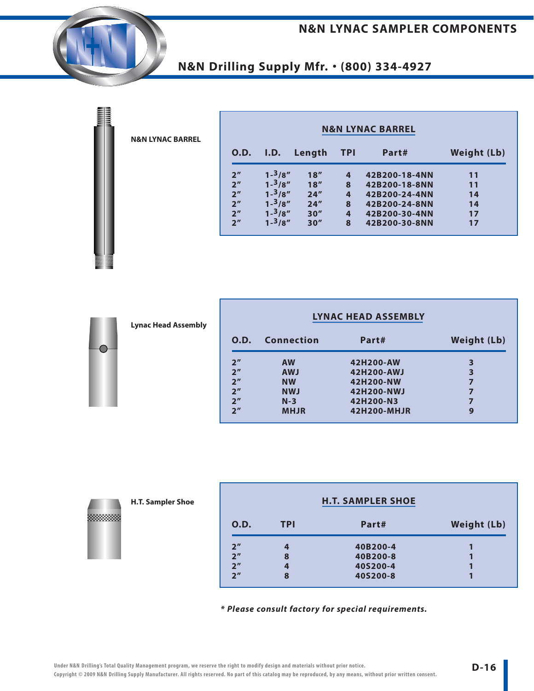#### **N&N LYNAC SAMPLER COMPONENTS**

**N&N Drilling Supply Mfr.** • **(800) 334-4927**

| <b>N&amp;N LYNAC BARREL</b> |
|-----------------------------|
|                             |
|                             |

| <b>N&amp;N LYNAC BARREL</b> |                   |        |                |               |                    |  |
|-----------------------------|-------------------|--------|----------------|---------------|--------------------|--|
| 0.D.                        | I.D.              | Length | TPI            | Part#         | <b>Weight (Lb)</b> |  |
| 2 <sup>''</sup>             | $1 - \frac{3}{8}$ | 18''   | 4              | 42B200-18-4NN | 11                 |  |
| 2 <sup>n</sup>              | $1 - \frac{3}{8}$ | 18''   | 8              | 42B200-18-8NN | 11                 |  |
| 2 <sup>n</sup>              | $1 - \frac{3}{8}$ | 24''   | $\overline{4}$ | 42B200-24-4NN | 14                 |  |
| 2 <sup>n</sup>              | $1 - \frac{3}{8}$ | 24''   | 8              | 42B200-24-8NN | 14                 |  |
| 2 <sup>n</sup>              | $1 - \frac{3}{8}$ | 30''   | 4              | 42B200-30-4NN | 17                 |  |
| 2 <sup>n</sup>              | $1 - \frac{3}{8}$ | 30''   | 8              | 42B200-30-8NN | 17                 |  |

| <b>LYNAC HEAD ASSEMBLY</b> |                   |             |                    |  |  |
|----------------------------|-------------------|-------------|--------------------|--|--|
| 0.D.                       | <b>Connection</b> | Part#       | <b>Weight (Lb)</b> |  |  |
| 2 <sup>''</sup>            | <b>AW</b>         | 42H200-AW   | 3                  |  |  |
| 2 <sup>n</sup>             | <b>AWJ</b>        | 42H200-AWJ  | 3                  |  |  |
| 2 <sup>''</sup>            | <b>NW</b>         | 42H200-NW   | 7                  |  |  |
| 2 <sup>''</sup>            | <b>NWJ</b>        | 42H200-NWJ  | 7                  |  |  |
| 2 <sup>''</sup>            | $N-3$             | 42H200-N3   | 7                  |  |  |
| 2 <sup>''</sup>            | <b>MHJR</b>       | 42H200-MHJR | 9                  |  |  |

| ⋙<br>⋙ | ◇ |
|--------|---|
|        |   |
|        |   |
|        |   |

**H.T. Sampler Shoe**

**Lynac Head Assembly**

| <b>H.T. SAMPLER SHOE</b> |            |          |                    |  |  |  |
|--------------------------|------------|----------|--------------------|--|--|--|
| <b>O.D.</b>              | <b>TPI</b> | Part#    | <b>Weight (Lb)</b> |  |  |  |
| 2 <sup>n</sup>           | 4          | 40B200-4 |                    |  |  |  |
| 2 <sup>n</sup>           | 8          | 40B200-8 |                    |  |  |  |
| 2 <sup>n</sup>           | 4          | 40S200-4 |                    |  |  |  |
| 2 <sup>''</sup>          | 8          | 40S200-8 |                    |  |  |  |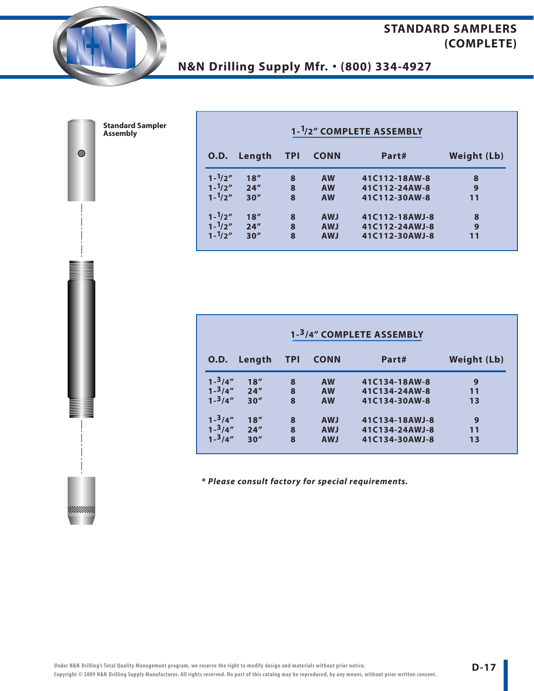

 $\bullet$ 

**Standard Sampler Assembly**

# **N&N Drilling Supply Mfr.** • **(800) 334-4927**

| 1- <sup>1</sup> /2" COMPLETE ASSEMBLY |        |            |             |                |                    |  |  |  |  |
|---------------------------------------|--------|------------|-------------|----------------|--------------------|--|--|--|--|
| 0.D.                                  | Length | <b>TPI</b> | <b>CONN</b> | Part#          | <b>Weight (Lb)</b> |  |  |  |  |
| $1 - \frac{1}{2}$                     | 18''   | 8          | <b>AW</b>   | 41C112-18AW-8  | 8                  |  |  |  |  |
| $1 - \frac{1}{2}$                     | 24''   | 8          | <b>AW</b>   | 41C112-24AW-8  | 9                  |  |  |  |  |
| $1 - \frac{1}{2}$                     | 30''   | 8          | <b>AW</b>   | 41C112-30AW-8  | 11                 |  |  |  |  |
| $1 - \frac{1}{2}$                     | 18''   | 8          | <b>AWJ</b>  | 41C112-18AWJ-8 | 8                  |  |  |  |  |
| $1 - \frac{1}{2}$                     | 24''   | 8          | <b>AWJ</b>  | 41C112-24AWJ-8 | 9                  |  |  |  |  |
| $1 - \frac{1}{2}$                     | 30''   | 8          | <b>AWJ</b>  | 41C112-30AWJ-8 | 11                 |  |  |  |  |

| 1-3/4" COMPLETE ASSEMBLY |        |            |             |                |                    |  |  |  |  |
|--------------------------|--------|------------|-------------|----------------|--------------------|--|--|--|--|
| 0.D.                     | Length | <b>TPI</b> | <b>CONN</b> | Part#          | <b>Weight (Lb)</b> |  |  |  |  |
| $1 - \frac{3}{4}$        | 18''   | 8          | <b>AW</b>   | 41C134-18AW-8  | 9                  |  |  |  |  |
| $1 - \frac{3}{4}$        | 24''   | 8          | <b>AW</b>   | 41C134-24AW-8  | 11                 |  |  |  |  |
| $1 - \frac{3}{4}$        | 30''   | 8          | <b>AW</b>   | 41C134-30AW-8  | 13                 |  |  |  |  |
| $1 - \frac{3}{4}$        | 18''   | 8          | <b>AWJ</b>  | 41C134-18AWJ-8 | 9                  |  |  |  |  |
| $1 - \frac{3}{4}$        | 24''   | 8          | <b>AWJ</b>  | 41C134-24AWJ-8 | 11                 |  |  |  |  |
| $1 - \frac{3}{4}$        | 30''   | 8          | <b>AWJ</b>  | 41C134-30AWJ-8 | 13                 |  |  |  |  |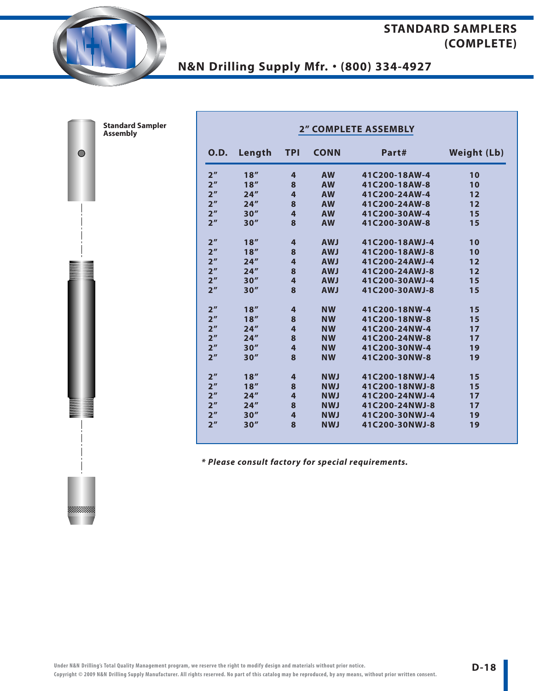# **N&N Drilling Supply Mfr.** • **(800) 334-4927**

 $\bullet$ 

| <b>Standard Sampler</b><br><b>Assembly</b> | <b>2" COMPLETE ASSEMBLY</b> |        |                         |             |                |                    |  |  |
|--------------------------------------------|-----------------------------|--------|-------------------------|-------------|----------------|--------------------|--|--|
|                                            | <b>O.D.</b>                 | Length | <b>TPI</b>              | <b>CONN</b> | Part#          | <b>Weight (Lb)</b> |  |  |
|                                            | 2 <sup>n</sup>              | 18''   | 4                       | <b>AW</b>   | 41C200-18AW-4  | 10                 |  |  |
|                                            | 2 <sup>n</sup>              | 18''   | 8                       | <b>AW</b>   | 41C200-18AW-8  | 10                 |  |  |
|                                            | 2 <sup>''</sup>             | 24''   | $\overline{4}$          | <b>AW</b>   | 41C200-24AW-4  | 12                 |  |  |
|                                            | 2 <sup>n</sup>              | 24''   | 8                       | <b>AW</b>   | 41C200-24AW-8  | 12                 |  |  |
|                                            | 2 <sup>n</sup>              | 30''   | $\overline{4}$          | <b>AW</b>   | 41C200-30AW-4  | 15                 |  |  |
|                                            | 2 <sup>n</sup>              | 30''   | 8                       | <b>AW</b>   | 41C200-30AW-8  | 15                 |  |  |
|                                            | 2 <sup>n</sup>              | 18''   | $\overline{4}$          | <b>AWJ</b>  | 41C200-18AWJ-4 | 10                 |  |  |
|                                            | 2 <sup>n</sup>              | 18''   | 8                       | <b>AWJ</b>  | 41C200-18AWJ-8 | 10                 |  |  |
|                                            | 2 <sup>n</sup>              | 24''   | $\overline{\mathbf{4}}$ | <b>AWJ</b>  | 41C200-24AWJ-4 | 12                 |  |  |
|                                            | 2 <sup>n</sup>              | 24''   | 8                       | <b>AWJ</b>  | 41C200-24AWJ-8 | 12                 |  |  |
|                                            | 2 <sup>n</sup>              | 30''   | 4                       | <b>AWJ</b>  | 41C200-30AWJ-4 | 15                 |  |  |
|                                            | 2 <sup>n</sup>              | 30''   | 8                       | <b>AWJ</b>  | 41C200-30AWJ-8 | 15                 |  |  |
|                                            | 2 <sup>n</sup>              | 18''   | 4                       | <b>NW</b>   | 41C200-18NW-4  | 15                 |  |  |
|                                            | 2 <sup>n</sup>              | 18''   | 8                       | <b>NW</b>   | 41C200-18NW-8  | 15                 |  |  |
|                                            | 2 <sup>n</sup>              | 24''   | $\overline{\mathbf{4}}$ | <b>NW</b>   | 41C200-24NW-4  | 17                 |  |  |
|                                            | 2 <sup>n</sup>              | 24''   | 8                       | <b>NW</b>   | 41C200-24NW-8  | 17                 |  |  |
|                                            | 2 <sup>n</sup>              | 30''   | $\overline{\mathbf{4}}$ | <b>NW</b>   | 41C200-30NW-4  | 19                 |  |  |
|                                            | 2 <sup>n</sup>              | 30''   | 8                       | <b>NW</b>   | 41C200-30NW-8  | 19                 |  |  |
|                                            | 2 <sup>n</sup>              | 18''   | $\overline{4}$          | <b>NWJ</b>  | 41C200-18NWJ-4 | 15                 |  |  |
|                                            | 2 <sup>''</sup>             | 18''   | 8                       | <b>NWJ</b>  | 41C200-18NWJ-8 | 15                 |  |  |
|                                            | 2 <sup>''</sup>             | 24''   | $\overline{4}$          | <b>NWJ</b>  | 41C200-24NWJ-4 | 17                 |  |  |
|                                            | 2 <sup>n</sup>              | 24''   | 8                       | <b>NWJ</b>  | 41C200-24NWJ-8 | 17                 |  |  |
|                                            | 2 <sup>n</sup>              | 30''   | $\overline{4}$          | <b>NWJ</b>  | 41C200-30NWJ-4 | 19                 |  |  |
|                                            | 2 <sup>n</sup>              | 30''   | 8                       | <b>NWJ</b>  | 41C200-30NWJ-8 | 19                 |  |  |
|                                            |                             |        |                         |             |                |                    |  |  |

**\* Please consult factory for special requirements.**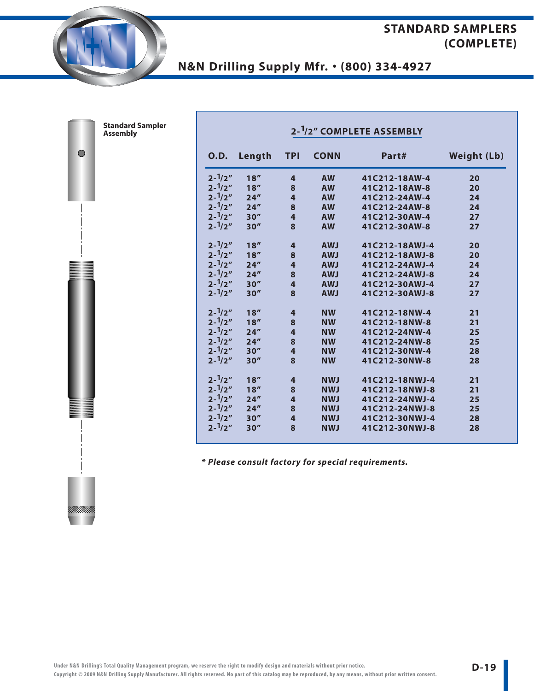# **N&N Drilling Supply Mfr.** • **(800) 334-4927**

| <b>Sampler</b> | 2- <sup>1</sup> /2" COMPLETE ASSEMBLY |        |                         |             |                |                    |  |  |  |
|----------------|---------------------------------------|--------|-------------------------|-------------|----------------|--------------------|--|--|--|
|                | <b>O.D.</b>                           | Length | <b>TPI</b>              | <b>CONN</b> | Part#          | <b>Weight (Lb)</b> |  |  |  |
|                | $2 - \frac{1}{2}$                     | 18''   | $\overline{4}$          | <b>AW</b>   | 41C212-18AW-4  | 20                 |  |  |  |
|                | $2 - \frac{1}{2}$                     | 18''   | 8                       | <b>AW</b>   | 41C212-18AW-8  | 20                 |  |  |  |
|                | $2 - \frac{1}{2}$                     | 24''   | $\overline{\mathbf{4}}$ | <b>AW</b>   | 41C212-24AW-4  | 24                 |  |  |  |
|                | $2 - \frac{1}{2}$                     | 24''   | $\bf{8}$                | <b>AW</b>   | 41C212-24AW-8  | 24                 |  |  |  |
|                | $2 - \frac{1}{2}$                     | 30''   | $\overline{\mathbf{4}}$ | <b>AW</b>   | 41C212-30AW-4  | 27                 |  |  |  |
|                | $2 - \frac{1}{2}$                     | 30''   | 8                       | <b>AW</b>   | 41C212-30AW-8  | 27                 |  |  |  |
|                | $2 - \frac{1}{2}$                     | 18''   | 4                       | <b>AWJ</b>  | 41C212-18AWJ-4 | 20                 |  |  |  |
|                | $2 - \frac{1}{2}$                     | 18''   | $\bf{8}$                | <b>AWJ</b>  | 41C212-18AWJ-8 | 20                 |  |  |  |
|                | $2 - \frac{1}{2}$                     | 24''   | $\overline{\mathbf{4}}$ | <b>AWJ</b>  | 41C212-24AWJ-4 | 24                 |  |  |  |
|                | $2 - \frac{1}{2}$                     | 24''   | $\bf8$                  | <b>AWJ</b>  | 41C212-24AWJ-8 | 24                 |  |  |  |
|                | $2 - \frac{1}{2}$                     | 30''   | $\overline{\mathbf{4}}$ | <b>LWA</b>  | 41C212-30AWJ-4 | 27                 |  |  |  |
|                | $2 - \frac{1}{2}$                     | 30''   | 8                       | <b>AWJ</b>  | 41C212-30AWJ-8 | 27                 |  |  |  |
|                | $2 - \frac{1}{2}$                     | 18''   | 4                       | <b>NW</b>   | 41C212-18NW-4  | 21                 |  |  |  |
|                | $2 - \frac{1}{2}$                     | 18''   | 8                       | <b>NW</b>   | 41C212-18NW-8  | 21                 |  |  |  |
|                | $2 - \frac{1}{2}$                     | 24''   | $\overline{\mathbf{4}}$ | <b>NW</b>   | 41C212-24NW-4  | 25                 |  |  |  |
|                | $2 - \frac{1}{2}$                     | 24''   | $\pmb{8}$               | <b>NW</b>   | 41C212-24NW-8  | 25                 |  |  |  |
|                | $2 - \frac{1}{2}$                     | 30''   | $\overline{\mathbf{4}}$ | <b>NW</b>   | 41C212-30NW-4  | 28                 |  |  |  |
|                | $2 - \frac{1}{2}$                     | 30''   | 8                       | <b>NW</b>   | 41C212-30NW-8  | 28                 |  |  |  |
|                | $2 - \frac{1}{2}$                     | 18''   | $\overline{\mathbf{r}}$ | <b>NWJ</b>  | 41C212-18NWJ-4 | 21                 |  |  |  |
|                | $2 - \frac{1}{2}$                     | 18''   | $\bf8$                  | <b>NWJ</b>  | 41C212-18NWJ-8 | 21                 |  |  |  |
|                | $2 - \frac{1}{2}$                     | 24''   | $\overline{\mathbf{4}}$ | <b>NWJ</b>  | 41C212-24NWJ-4 | 25                 |  |  |  |
|                | $2 - \frac{1}{2}$                     | 24''   | $\bf{8}$                | <b>NWJ</b>  | 41C212-24NWJ-8 | 25                 |  |  |  |
|                | $2 - \frac{1}{2}$                     | 30''   | $\overline{\mathbf{4}}$ | <b>NWJ</b>  | 41C212-30NWJ-4 | 28                 |  |  |  |
|                | $2 - \frac{1}{2}$                     | 30''   | 8                       | <b>NWJ</b>  | 41C212-30NWJ-8 | 28                 |  |  |  |
|                |                                       |        |                         |             |                |                    |  |  |  |

**\* Please consult factory for special requirements.**

|  | <b>Assembly</b> | <b>Standard Sampler</b> |
|--|-----------------|-------------------------|

 $\bullet$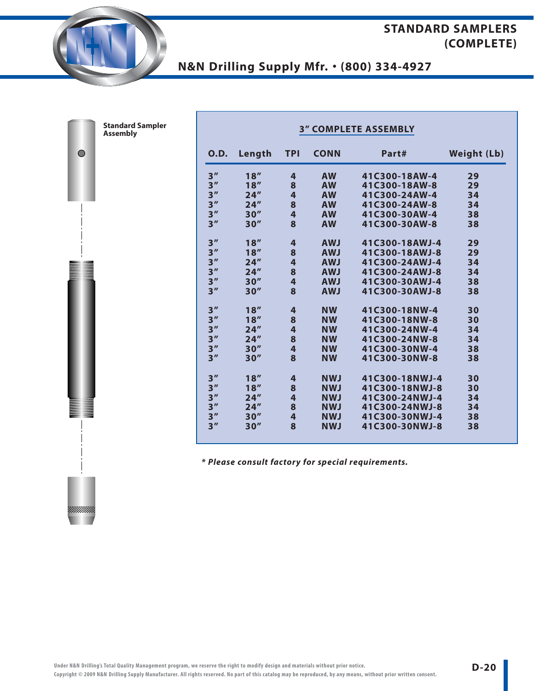# **N&N Drilling Supply Mfr.** • **(800) 334-4927**

| d Sampler<br>ly | <b>3" COMPLETE ASSEMBLY</b> |        |                |             |                |                    |  |  |  |
|-----------------|-----------------------------|--------|----------------|-------------|----------------|--------------------|--|--|--|
|                 | <b>O.D.</b>                 | Length | <b>TPI</b>     | <b>CONN</b> | Part#          | <b>Weight (Lb)</b> |  |  |  |
|                 | 3''                         | 18''   | 4              | <b>AW</b>   | 41C300-18AW-4  | 29                 |  |  |  |
|                 | 3 <sup>''</sup>             | 18''   | 8              | <b>AW</b>   | 41C300-18AW-8  | 29                 |  |  |  |
|                 | 3''                         | 24''   | $\overline{4}$ | <b>AW</b>   | 41C300-24AW-4  | 34                 |  |  |  |
|                 | 3''                         | 24''   | 8              | <b>AW</b>   | 41C300-24AW-8  | 34                 |  |  |  |
|                 | 3 <sup>''</sup>             | 30''   | $\overline{4}$ | <b>AW</b>   | 41C300-30AW-4  | 38                 |  |  |  |
|                 | 3''                         | 30''   | 8              | <b>AW</b>   | 41C300-30AW-8  | 38                 |  |  |  |
|                 | 3 <sup>''</sup>             | 18''   | 4              | <b>AWJ</b>  | 41C300-18AWJ-4 | 29                 |  |  |  |
|                 | 3''                         | 18''   | 8              | <b>AWJ</b>  | 41C300-18AWJ-8 | 29                 |  |  |  |
|                 | 3 <sup>''</sup>             | 24''   | 4              | <b>AWJ</b>  | 41C300-24AWJ-4 | 34                 |  |  |  |
|                 | 3''                         | 24''   | 8              | <b>AWJ</b>  | 41C300-24AWJ-8 | 34                 |  |  |  |
|                 | 3 <sup>''</sup>             | 30''   | 4              | <b>AWJ</b>  | 41C300-30AWJ-4 | 38                 |  |  |  |
|                 | 3''                         | 30''   | 8              | <b>AWJ</b>  | 41C300-30AWJ-8 | 38                 |  |  |  |
|                 | 3''                         | 18''   | 4              | <b>NW</b>   | 41C300-18NW-4  | 30                 |  |  |  |
|                 | 3 <sup>''</sup>             | 18''   | 8              | <b>NW</b>   | 41C300-18NW-8  | 30                 |  |  |  |
|                 | 3 <sup>''</sup>             | 24''   | 4              | <b>NW</b>   | 41C300-24NW-4  | 34                 |  |  |  |
|                 | 3''                         | 24''   | 8              | <b>NW</b>   | 41C300-24NW-8  | 34                 |  |  |  |
|                 | 3''                         | 30''   | $\overline{4}$ | <b>NW</b>   | 41C300-30NW-4  | 38                 |  |  |  |
|                 | 3''                         | 30''   | 8              | <b>NW</b>   | 41C300-30NW-8  | 38                 |  |  |  |
|                 | 3''                         | 18''   | 4              | <b>NWJ</b>  | 41C300-18NWJ-4 | 30                 |  |  |  |
|                 | 3''                         | 18''   | 8              | <b>NWJ</b>  | 41C300-18NWJ-8 | 30                 |  |  |  |
|                 | 3''                         | 24''   | 4              | <b>NWJ</b>  | 41C300-24NWJ-4 | 34                 |  |  |  |
|                 | 3 <sup>''</sup>             | 24''   | 8              | <b>NWJ</b>  | 41C300-24NWJ-8 | 34                 |  |  |  |
|                 | 3''                         | 30''   | 4              | <b>NWJ</b>  | 41C300-30NWJ-4 | 38                 |  |  |  |
|                 | 3''                         | 30''   | 8              | <b>NWJ</b>  | 41C300-30NWJ-8 | 38                 |  |  |  |
|                 |                             |        |                |             |                |                    |  |  |  |

**\* Please consult factory for special requirements.**

**Standard Assembl** 

 $\bullet$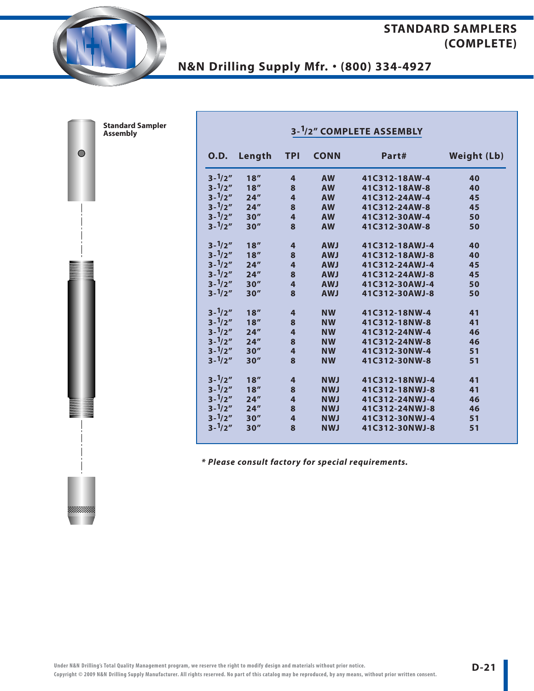# **N&N Drilling Supply Mfr.** • **(800) 334-4927**

| Sampler | 3- <sup>1</sup> /2" COMPLETE ASSEMBLY |        |                         |             |                |                    |  |  |  |
|---------|---------------------------------------|--------|-------------------------|-------------|----------------|--------------------|--|--|--|
|         | <b>O.D.</b>                           | Length | <b>TPI</b>              | <b>CONN</b> | Part#          | <b>Weight (Lb)</b> |  |  |  |
|         | $3 - \frac{1}{2}$                     | 18''   | 4                       | <b>AW</b>   | 41C312-18AW-4  | 40                 |  |  |  |
|         | $3 - \frac{1}{2}$                     | 18''   | $\bf8$                  | <b>AW</b>   | 41C312-18AW-8  | 40                 |  |  |  |
|         | $3 - \frac{1}{2}$                     | 24''   | $\overline{\mathbf{4}}$ | <b>AW</b>   | 41C312-24AW-4  | 45                 |  |  |  |
|         | $3 - \frac{1}{2}$                     | 24''   | 8                       | <b>AW</b>   | 41C312-24AW-8  | 45                 |  |  |  |
|         | $3 - \frac{1}{2}$                     | 30''   | $\overline{\mathbf{4}}$ | <b>AW</b>   | 41C312-30AW-4  | 50                 |  |  |  |
|         | $3 - \frac{1}{2}$                     | 30''   | 8                       | <b>AW</b>   | 41C312-30AW-8  | 50                 |  |  |  |
|         | $3 - \frac{1}{2}$                     | 18''   | $\overline{\mathbf{r}}$ | <b>AWJ</b>  | 41C312-18AWJ-4 | 40                 |  |  |  |
|         | $3 - \frac{1}{2}$                     | 18''   | $\bf{8}$                | <b>AWJ</b>  | 41C312-18AWJ-8 | 40                 |  |  |  |
|         | $3 - \frac{1}{2}$                     | 24''   | $\overline{\mathbf{4}}$ | <b>AWJ</b>  | 41C312-24AWJ-4 | 45                 |  |  |  |
|         | $3 - \frac{1}{2}$                     | 24''   | 8                       | <b>AWJ</b>  | 41C312-24AWJ-8 | 45                 |  |  |  |
|         | $3 - \frac{1}{2}$                     | 30''   | $\overline{\mathbf{r}}$ | <b>AWJ</b>  | 41C312-30AWJ-4 | 50                 |  |  |  |
|         | $3 - \frac{1}{2}$                     | 30''   | 8                       | <b>AWJ</b>  | 41C312-30AWJ-8 | 50                 |  |  |  |
|         | $3 - \frac{1}{2}$                     | 18''   | $\overline{\mathbf{r}}$ | <b>NW</b>   | 41C312-18NW-4  | 41                 |  |  |  |
|         | $3 - \frac{1}{2}$                     | 18''   | $\bf8$                  | <b>NW</b>   | 41C312-18NW-8  | 41                 |  |  |  |
|         | $3 - \frac{1}{2}$                     | 24''   | $\overline{\mathbf{r}}$ | <b>NW</b>   | 41C312-24NW-4  | 46                 |  |  |  |
|         | $3 - \frac{1}{2}$                     | 24''   | 8                       | <b>NW</b>   | 41C312-24NW-8  | 46                 |  |  |  |
|         | $3 - \frac{1}{2}$                     | 30''   | $\overline{\mathbf{4}}$ | <b>NW</b>   | 41C312-30NW-4  | 51                 |  |  |  |
|         | $3 - \frac{1}{2}$                     | 30''   | 8                       | <b>NW</b>   | 41C312-30NW-8  | 51                 |  |  |  |
|         | $3 - \frac{1}{2}$                     | 18''   | $\overline{\mathbf{r}}$ | <b>NWJ</b>  | 41C312-18NWJ-4 | 41                 |  |  |  |
|         | $3 - \frac{1}{2}$                     | 18''   | $\bf8$                  | <b>NWJ</b>  | 41C312-18NWJ-8 | 41                 |  |  |  |
|         | $3 - \frac{1}{2}$                     | 24''   | $\overline{\mathbf{4}}$ | <b>NWJ</b>  | 41C312-24NWJ-4 | 46                 |  |  |  |
|         | $3 - \frac{1}{2}$                     | 24''   | 8                       | <b>NWJ</b>  | 41C312-24NWJ-8 | 46                 |  |  |  |
|         | $3 - \frac{1}{2}$                     | 30''   | $\overline{\mathbf{4}}$ | <b>NWJ</b>  | 41C312-30NWJ-4 | 51                 |  |  |  |
|         | $3 - \frac{1}{2}$                     | 30''   | 8                       | <b>NWJ</b>  | 41C312-30NWJ-8 | 51                 |  |  |  |
|         |                                       |        |                         |             |                |                    |  |  |  |

**\* Please consult factory for special requirements.**

| <b>Standard Sampler</b> |  |
|-------------------------|--|
| <b>Assembly</b>         |  |

 $\bullet$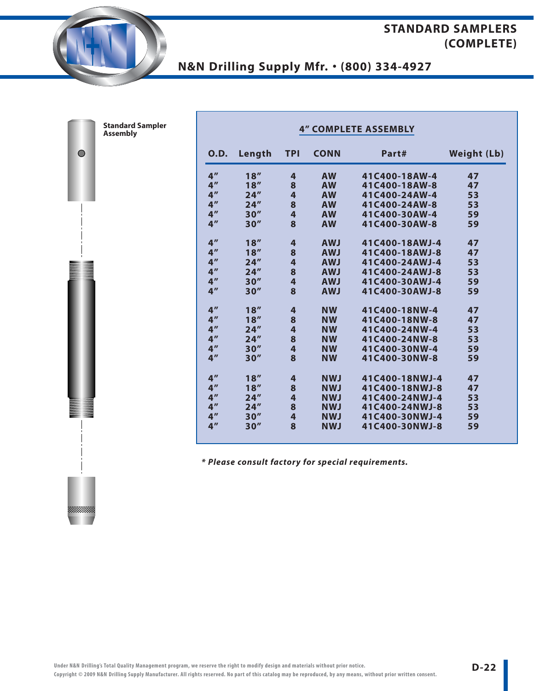# **N&N Drilling Supply Mfr.** • **(800) 334-4927**

| <b>Standard Sampler</b><br><b>Assembly</b> | <b>4" COMPLETE ASSEMBLY</b> |        |                         |             |                |                    |  |  |
|--------------------------------------------|-----------------------------|--------|-------------------------|-------------|----------------|--------------------|--|--|
|                                            | 0.D.                        | Length | <b>TPI</b>              | <b>CONN</b> | Part#          | <b>Weight (Lb)</b> |  |  |
|                                            | 4 <sup>''</sup>             | 18''   | 4                       | <b>AW</b>   | 41C400-18AW-4  | 47                 |  |  |
|                                            | 4 <sup>''</sup>             | 18''   | $\bf{8}$                | <b>AW</b>   | 41C400-18AW-8  | 47                 |  |  |
|                                            | 4 <sup>''</sup>             | 24''   | 4                       | <b>AW</b>   | 41C400-24AW-4  | 53                 |  |  |
|                                            | 4 <sup>''</sup>             | 24''   | 8                       | <b>AW</b>   | 41C400-24AW-8  | 53                 |  |  |
|                                            | 4 <sup>''</sup>             | 30''   | 4                       | <b>AW</b>   | 41C400-30AW-4  | 59                 |  |  |
|                                            | 4 <sup>''</sup>             | 30''   | 8                       | <b>AW</b>   | 41C400-30AW-8  | 59                 |  |  |
|                                            | 4 <sup>''</sup>             | 18''   | 4                       | <b>AWJ</b>  | 41C400-18AWJ-4 | 47                 |  |  |
|                                            | 4 <sup>''</sup>             | 18''   | $\bf{8}$                | <b>AWJ</b>  | 41C400-18AWJ-8 | 47                 |  |  |
|                                            | 4 <sup>''</sup>             | 24''   | 4                       | <b>AWJ</b>  | 41C400-24AWJ-4 | 53                 |  |  |
|                                            | 4 <sup>''</sup>             | 24''   | 8                       | <b>AWJ</b>  | 41C400-24AWJ-8 | 53                 |  |  |
|                                            | 4 <sup>''</sup>             | 30''   | 4                       | <b>AWJ</b>  | 41C400-30AWJ-4 | 59                 |  |  |
|                                            | 4 <sup>''</sup>             | 30''   | 8                       | <b>AWJ</b>  | 41C400-30AWJ-8 | 59                 |  |  |
|                                            | 4 <sup>''</sup>             | 18''   | 4                       | <b>NW</b>   | 41C400-18NW-4  | 47                 |  |  |
|                                            | 4 <sup>''</sup>             | 18''   | 8                       | <b>NW</b>   | 41C400-18NW-8  | 47                 |  |  |
|                                            | 4 <sup>''</sup>             | 24''   | 4                       | <b>NW</b>   | 41C400-24NW-4  | 53                 |  |  |
|                                            | 4 <sup>''</sup>             | 24''   | 8                       | <b>NW</b>   | 41C400-24NW-8  | 53                 |  |  |
|                                            | 4 <sup>''</sup>             | 30''   | $\overline{\mathbf{4}}$ | <b>NW</b>   | 41C400-30NW-4  | 59                 |  |  |
|                                            | 4 <sup>''</sup>             | 30''   | 8                       | <b>NW</b>   | 41C400-30NW-8  | 59                 |  |  |
|                                            | 4 <sup>''</sup>             | 18''   | 4                       | <b>NWJ</b>  | 41C400-18NWJ-4 | 47                 |  |  |
|                                            | 4 <sup>''</sup>             | 18''   | 8                       | <b>NWJ</b>  | 41C400-18NWJ-8 | 47                 |  |  |
|                                            | 4 <sup>''</sup>             | 24''   | 4                       | <b>NWJ</b>  | 41C400-24NWJ-4 | 53                 |  |  |
|                                            | 4 <sup>''</sup>             | 24''   | $\bf{8}$                | <b>NWJ</b>  | 41C400-24NWJ-8 | 53                 |  |  |
|                                            | 4 <sup>''</sup>             | 30''   | 4                       | <b>NWJ</b>  | 41C400-30NWJ-4 | 59                 |  |  |
|                                            | 4 <sup>''</sup>             | 30''   | 8                       | <b>NWJ</b>  | 41C400-30NWJ-8 | 59                 |  |  |
|                                            |                             |        |                         |             |                |                    |  |  |

**\* Please consult factory for special requirements.**

**Standard** 

 $\bullet$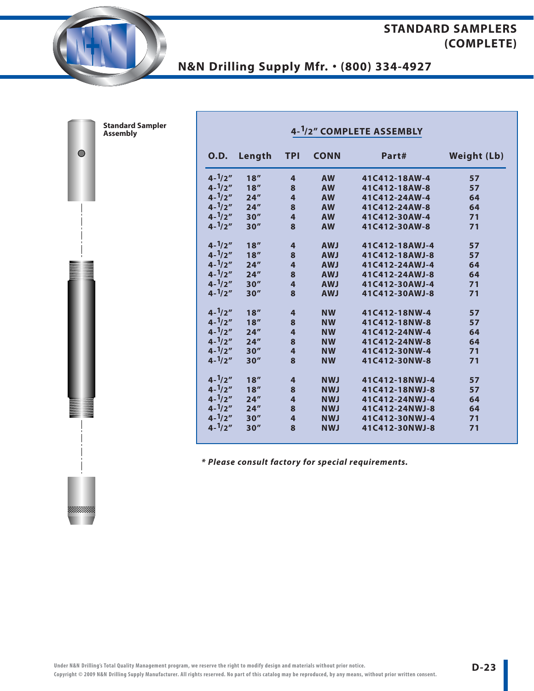# **N&N Drilling Supply Mfr.** • **(800) 334-4927**

|                   | 4- <sup>1</sup> /2" COMPLETE ASSEMBLY |                         |             |                |                    |  |  |  |  |  |
|-------------------|---------------------------------------|-------------------------|-------------|----------------|--------------------|--|--|--|--|--|
| 0.D.              | Length                                | <b>TPI</b>              | <b>CONN</b> | Part#          | <b>Weight (Lb)</b> |  |  |  |  |  |
| $4 - \frac{1}{2}$ | 18''                                  | 4                       | <b>AW</b>   | 41C412-18AW-4  | 57                 |  |  |  |  |  |
| $4 - \frac{1}{2}$ | 18''                                  | 8                       | <b>AW</b>   | 41C412-18AW-8  | 57                 |  |  |  |  |  |
| $4 - \frac{1}{2}$ | 24''                                  | $\overline{\mathbf{4}}$ | <b>AW</b>   | 41C412-24AW-4  | 64                 |  |  |  |  |  |
| $4 - \frac{1}{2}$ | 24''                                  | 8                       | <b>AW</b>   | 41C412-24AW-8  | 64                 |  |  |  |  |  |
| $4 - \frac{1}{2}$ | 30''                                  | 4                       | <b>AW</b>   | 41C412-30AW-4  | 71                 |  |  |  |  |  |
| $4 - \frac{1}{2}$ | 30''                                  | 8                       | <b>AW</b>   | 41C412-30AW-8  | 71                 |  |  |  |  |  |
| $4 - \frac{1}{2}$ | 18''                                  | $\overline{4}$          | <b>AWJ</b>  | 41C412-18AWJ-4 | 57                 |  |  |  |  |  |
| $4 - \frac{1}{2}$ | 18''                                  | 8                       | <b>AWJ</b>  | 41C412-18AWJ-8 | 57                 |  |  |  |  |  |
| $4 - \frac{1}{2}$ | 24''                                  | $\overline{\mathbf{r}}$ | <b>AWJ</b>  | 41C412-24AWJ-4 | 64                 |  |  |  |  |  |
| $4 - \frac{1}{2}$ | 24''                                  | 8                       | <b>LWA</b>  | 41C412-24AWJ-8 | 64                 |  |  |  |  |  |
| $4 - \frac{1}{2}$ | 30''                                  | $\overline{\mathbf{r}}$ | <b>AWJ</b>  | 41C412-30AWJ-4 | 71                 |  |  |  |  |  |
| $4 - \frac{1}{2}$ | 30''                                  | 8                       | <b>LWA</b>  | 41C412-30AWJ-8 | 71                 |  |  |  |  |  |
| $4 - \frac{1}{2}$ | 18''                                  | $\overline{4}$          | <b>NW</b>   | 41C412-18NW-4  | 57                 |  |  |  |  |  |
| $4 - \frac{1}{2}$ | 18''                                  | 8                       | <b>NW</b>   | 41C412-18NW-8  | 57                 |  |  |  |  |  |
| $4 - \frac{1}{2}$ | 24''                                  | $\overline{\mathbf{r}}$ | <b>NW</b>   | 41C412-24NW-4  | 64                 |  |  |  |  |  |
| $4 - \frac{1}{2}$ | 24''                                  | 8                       | <b>NW</b>   | 41C412-24NW-8  | 64                 |  |  |  |  |  |
| $4 - \frac{1}{2}$ | 30''                                  | $\overline{\mathbf{4}}$ | <b>NW</b>   | 41C412-30NW-4  | 71                 |  |  |  |  |  |
| $4 - \frac{1}{2}$ | 30''                                  | 8                       | <b>NW</b>   | 41C412-30NW-8  | 71                 |  |  |  |  |  |
| $4 - \frac{1}{2}$ | 18''                                  | $\overline{\mathbf{r}}$ | <b>NWJ</b>  | 41C412-18NWJ-4 | 57                 |  |  |  |  |  |
| $4 - \frac{1}{2}$ | 18''                                  | 8                       | <b>NWJ</b>  | 41C412-18NWJ-8 | 57                 |  |  |  |  |  |
| $4 - \frac{1}{2}$ | 24''                                  | $\overline{\mathbf{4}}$ | <b>NWJ</b>  | 41C412-24NWJ-4 | 64                 |  |  |  |  |  |
| $4 - \frac{1}{2}$ | 24''                                  | 8                       | <b>NWJ</b>  | 41C412-24NWJ-8 | 64                 |  |  |  |  |  |
| $4 - \frac{1}{2}$ | 30''                                  | $\overline{4}$          | <b>NWJ</b>  | 41C412-30NWJ-4 | 71                 |  |  |  |  |  |
| $4 - \frac{1}{2}$ | 30''                                  | 8                       | <b>NWJ</b>  | 41C412-30NWJ-8 | 71                 |  |  |  |  |  |

**\* Please consult factory for special requirements.**

| <b>Standard Sampler</b> |
|-------------------------|
| <b>Assembly</b>         |
|                         |

 $\bullet$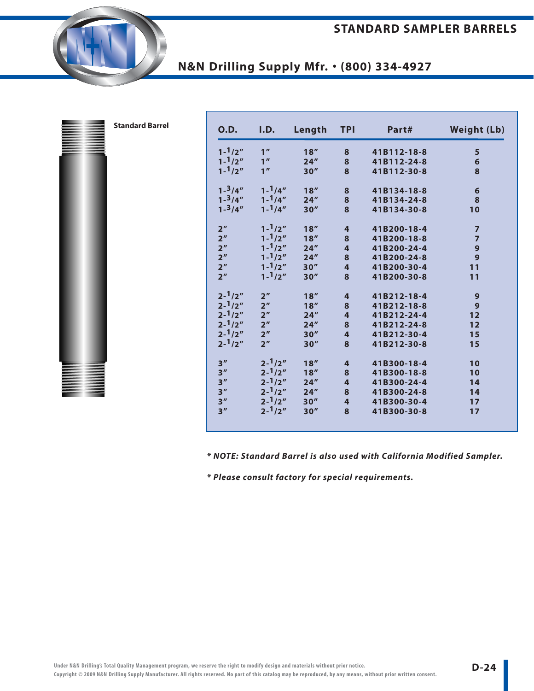| <b>Standard Barrel</b> | <b>O.D.</b>       | I.D.              | Length | <b>TPI</b>              | Part#       | <b>Weight (Lb)</b> |
|------------------------|-------------------|-------------------|--------|-------------------------|-------------|--------------------|
|                        | $1 - \frac{1}{2}$ | 1 <sup>''</sup>   | 18''   | 8                       | 41B112-18-8 | $5\phantom{1}$     |
|                        | $1 - \frac{1}{2}$ | 1 <sup>''</sup>   | 24''   | 8                       | 41B112-24-8 |                    |
|                        | $1 - \frac{1}{2}$ | 1 <sup>''</sup>   | 30''   | 8                       | 41B112-30-8 | $\frac{6}{8}$      |
|                        | $1 - \frac{3}{4}$ | $1 - \frac{1}{4}$ | 18''   | $\bf{8}$                | 41B134-18-8 | $\boldsymbol{6}$   |
|                        | $1 - \frac{3}{4}$ | $1 - \frac{1}{4}$ | 24''   | $\bf8$                  | 41B134-24-8 | 8                  |
|                        | $1 - \frac{3}{4}$ | $1 - \frac{1}{4}$ | 30''   | 8                       | 41B134-30-8 | 10                 |
|                        | 2 <sup>''</sup>   | $1 - \frac{1}{2}$ | 18''   | $\overline{\mathbf{r}}$ | 41B200-18-4 | $\overline{7}$     |
|                        | 2 <sup>''</sup>   | $1 - \frac{1}{2}$ | 18''   | 8                       | 41B200-18-8 | $\overline{7}$     |
|                        | 2 <sup>n</sup>    | $1 - \frac{1}{2}$ | 24''   | $\overline{\mathbf{4}}$ | 41B200-24-4 | 9                  |
|                        | 2 <sup>n</sup>    | $1 - \frac{1}{2}$ | 24''   | 8                       | 41B200-24-8 | $\overline{9}$     |
|                        | 2 <sup>n</sup>    | $1 - \frac{1}{2}$ | 30''   | $\overline{\mathbf{4}}$ | 41B200-30-4 | 11                 |
|                        | 2 <sup>n</sup>    | $1 - \frac{1}{2}$ | 30''   | 8                       | 41B200-30-8 | 11                 |
|                        | $2 - \frac{1}{2}$ | 2 <sup>n</sup>    | 18''   | $\overline{4}$          | 41B212-18-4 | 9                  |
|                        | $2 - \frac{1}{2}$ | 2 <sup>n</sup>    | 18''   | 8                       | 41B212-18-8 | $\mathbf{9}$       |
|                        | $2 - \frac{1}{2}$ | 2 <sup>n</sup>    | 24''   | $\overline{4}$          | 41B212-24-4 | 12                 |
|                        | $2 - \frac{1}{2}$ | 2 <sup>n</sup>    | 24''   | $\bf{8}$                | 41B212-24-8 | 12                 |
|                        | $2 - \frac{1}{2}$ | 2 <sup>n</sup>    | 30''   | $\overline{\mathbf{4}}$ | 41B212-30-4 | 15                 |
|                        | $2 - \frac{1}{2}$ | 2 <sup>n</sup>    | 30''   | 8                       | 41B212-30-8 | 15                 |
|                        | 3''               | $2 - \frac{1}{2}$ | 18''   | $\overline{4}$          | 41B300-18-4 | 10                 |
|                        | 3''               | $2 - \frac{1}{2}$ | 18''   | 8                       | 41B300-18-8 | 10                 |
|                        | 3''               | $2 - \frac{1}{2}$ | 24''   | $\overline{\mathbf{4}}$ | 41B300-24-4 | 14                 |
|                        | 3''               | $2 - \frac{1}{2}$ | 24''   | 8                       | 41B300-24-8 | 14                 |
|                        | 3''               | $2 - \frac{1}{2}$ | 30''   | $\overline{\mathbf{4}}$ | 41B300-30-4 | 17                 |
|                        | 3''               | $2 - \frac{1}{2}$ | 30''   | 8                       | 41B300-30-8 | 17                 |
|                        |                   |                   |        |                         |             |                    |

**\* NOTE: Standard Barrel is also used with California Modified Sampler.**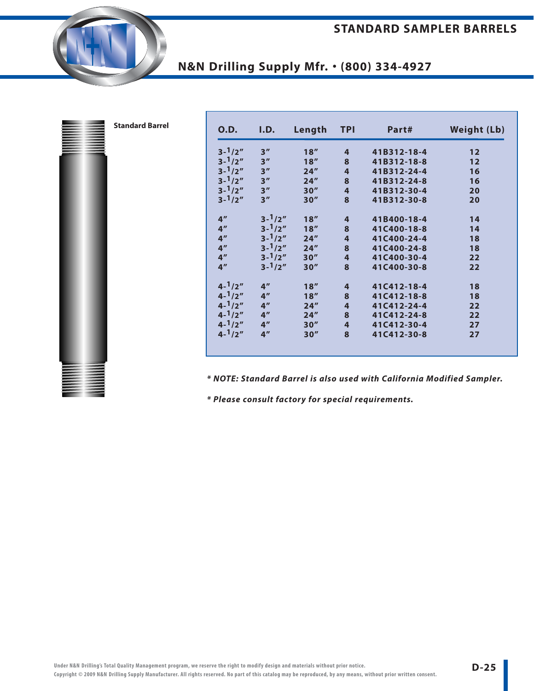| <b>Standard Barrel</b> | <b>O.D.</b>       | I.D.              | Length | <b>TPI</b>              | Part#       | <b>Weight (Lb)</b> |
|------------------------|-------------------|-------------------|--------|-------------------------|-------------|--------------------|
|                        | $3 - \frac{1}{2}$ | 3''               | 18''   | $\overline{4}$          | 41B312-18-4 | 12                 |
|                        | $3 - \frac{1}{2}$ | 3''               | 18''   | 8                       | 41B312-18-8 | 12                 |
|                        | $3 - \frac{1}{2}$ | 3''               | 24''   | $\overline{\mathbf{4}}$ | 41B312-24-4 | 16                 |
|                        | $3 - \frac{1}{2}$ | 3''               | 24''   | $\bf{8}$                | 41B312-24-8 | 16                 |
|                        | $3 - \frac{1}{2}$ | 3''               | 30''   | $\overline{\mathbf{4}}$ | 41B312-30-4 | 20                 |
|                        | $3 - \frac{1}{2}$ | 3''               | 30''   | 8                       | 41B312-30-8 | 20                 |
|                        | 4 <sup>''</sup>   | $3 - \frac{1}{2}$ | 18''   | 4                       | 41B400-18-4 | 14                 |
|                        | 4 <sup>''</sup>   | $3 - \frac{1}{2}$ | 18''   | $\bf{8}$                | 41C400-18-8 | 14                 |
|                        | 4 <sup>''</sup>   | $3 - \frac{1}{2}$ | $24''$ | $\overline{\mathbf{4}}$ | 41C400-24-4 | 18                 |
|                        | 4 <sup>''</sup>   | $3 - \frac{1}{2}$ | 24''   | $\bf{8}$                | 41C400-24-8 | 18                 |
|                        | 4 <sup>''</sup>   | $3 - \frac{1}{2}$ | 30''   | $\overline{\mathbf{4}}$ | 41C400-30-4 | 22                 |
|                        | 4 <sup>n</sup>    | $3 - \frac{1}{2}$ | 30''   | 8                       | 41C400-30-8 | 22                 |
|                        | $4 - \frac{1}{2}$ | 4 <sup>''</sup>   | 18''   | $\overline{\mathbf{r}}$ | 41C412-18-4 | 18                 |
|                        | $4 - \frac{1}{2}$ | 4 <sup>''</sup>   | 18''   | 8                       | 41C412-18-8 | 18                 |
|                        | $4 - \frac{1}{2}$ | 4 <sup>''</sup>   | 24''   | $\overline{\mathbf{4}}$ | 41C412-24-4 | 22                 |
|                        | $4 - \frac{1}{2}$ | 4 <sup>''</sup>   | 24''   | 8                       | 41C412-24-8 | 22                 |
|                        | $4 - \frac{1}{2}$ | 4''               | 30''   | $\overline{4}$          | 41C412-30-4 | 27                 |
|                        | $4 - \frac{1}{2}$ | 4 <sup>''</sup>   | 30''   | 8                       | 41C412-30-8 | 27                 |
|                        |                   |                   |        |                         |             |                    |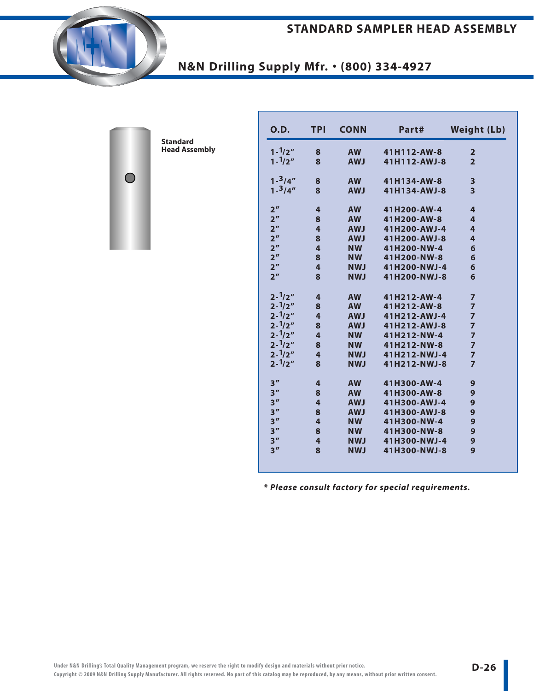#### **STANDARD SAMPLER HEAD ASSEMBLY**



**Standard Head Assembly**

 $\bigcirc$ 

| 0.D.              | <b>TPI</b> | <b>CONN</b> | Part#        | <b>Weight (Lb)</b>      |
|-------------------|------------|-------------|--------------|-------------------------|
| $1 - \frac{1}{2}$ | 8          | <b>AW</b>   | 41H112-AW-8  | $\overline{2}$          |
| $1 - \frac{1}{2}$ | 8          | <b>AWJ</b>  | 41H112-AWJ-8 | $\overline{2}$          |
| $1 - \frac{3}{4}$ | 8          | <b>AW</b>   | 41H134-AW-8  | 3                       |
| $1 - \frac{3}{4}$ | 8          | <b>AWJ</b>  | 41H134-AWJ-8 | $\overline{\mathbf{3}}$ |
| 2 <sup>''</sup>   | 4          | <b>AW</b>   | 41H200-AW-4  | 4                       |
| 2 <sup>n</sup>    | 8          | <b>AW</b>   | 41H200-AW-8  | 4                       |
| 2 <sup>''</sup>   | 4          | <b>AWJ</b>  | 41H200-AWJ-4 | 4                       |
| 2 <sup>n</sup>    | 8          | <b>AWJ</b>  | 41H200-AWJ-8 | $\overline{4}$          |
| 2 <sup>n</sup>    | 4          | <b>NW</b>   | 41H200-NW-4  | 6                       |
| 2 <sup>n</sup>    | 8          | <b>NW</b>   | 41H200-NW-8  | 6                       |
| 2 <sup>n</sup>    | 4          | <b>NWJ</b>  | 41H200-NWJ-4 | 6                       |
| 2 <sup>n</sup>    | 8          | <b>NWJ</b>  | 41H200-NWJ-8 | 6                       |
| $2 - \frac{1}{2}$ | 4          | <b>AW</b>   | 41H212-AW-4  | $\overline{7}$          |
| $2 - \frac{1}{2}$ | 8          | <b>AW</b>   | 41H212-AW-8  | $\overline{z}$          |
| $2 - \frac{1}{2}$ | 4          | <b>AWJ</b>  | 41H212-AWJ-4 | $\overline{z}$          |
| $2 - \frac{1}{2}$ | 8          | <b>AWJ</b>  | 41H212-AWJ-8 | $\overline{z}$          |
| $2 - \frac{1}{2}$ | 4          | <b>NW</b>   | 41H212-NW-4  | $\overline{z}$          |
| $2 - \frac{1}{2}$ | 8          | <b>NW</b>   | 41H212-NW-8  | $\overline{7}$          |
| $2 - \frac{1}{2}$ | 4          | <b>NWJ</b>  | 41H212-NWJ-4 | $\overline{7}$          |
| $2 - \frac{1}{2}$ | 8          | <b>NWJ</b>  | 41H212-NWJ-8 | $\overline{7}$          |
| 3''               | 4          | <b>AW</b>   | 41H300-AW-4  | 9                       |
| 3''               | 8          | <b>AW</b>   | 41H300-AW-8  | 9                       |
| 3''               | 4          | <b>AWJ</b>  | 41H300-AWJ-4 | 9                       |
| 3''               | 8          | <b>AWJ</b>  | 41H300-AWJ-8 | 9                       |
| 3''               | 4          | <b>NW</b>   | 41H300-NW-4  | 9                       |
| 3''               | 8          | <b>NW</b>   | 41H300-NW-8  | 9                       |
| 3''               | 4          | <b>NWJ</b>  | 41H300-NWJ-4 | 9                       |
| 3''               | 8          | <b>NWJ</b>  | 41H300-NWJ-8 | 9                       |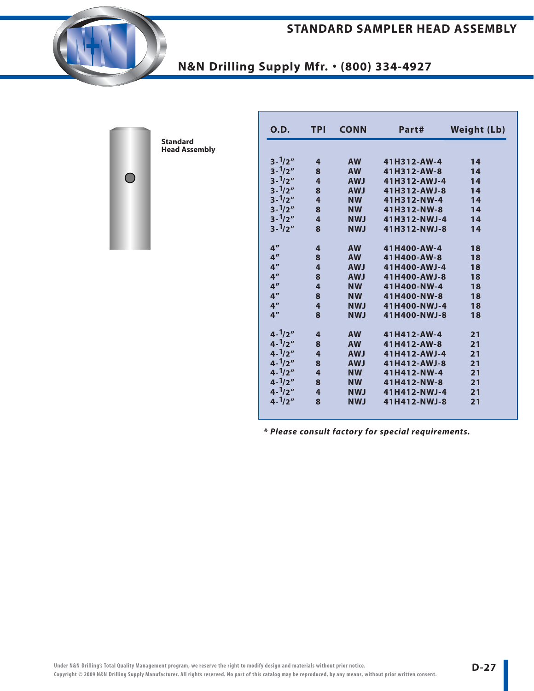#### **STANDARD SAMPLER HEAD ASSEMBLY**



# **N&N Drilling Supply Mfr.** • **(800) 334-4927**



| 0.D.              | <b>TPI</b>              | <b>CONN</b> | Part#        | <b>Weight (Lb)</b> |
|-------------------|-------------------------|-------------|--------------|--------------------|
|                   |                         |             |              |                    |
| $3 - \frac{1}{2}$ | 4                       | <b>AW</b>   | 41H312-AW-4  | 14                 |
| $3 - \frac{1}{2}$ | 8                       | <b>AW</b>   | 41H312-AW-8  | 14                 |
| $3 - \frac{1}{2}$ | 4                       | <b>AWJ</b>  | 41H312-AWJ-4 | 14                 |
| $3 - \frac{1}{2}$ | 8                       | <b>AWJ</b>  | 41H312-AWJ-8 | 14                 |
| $3 - \frac{1}{2}$ | $\overline{4}$          | <b>NW</b>   | 41H312-NW-4  | 14                 |
| $3 - \frac{1}{2}$ | 8                       | <b>NW</b>   | 41H312-NW-8  | 14                 |
| $3 - \frac{1}{2}$ | 4                       | <b>NWJ</b>  | 41H312-NWJ-4 | 14                 |
| $3 - \frac{1}{2}$ | 8                       | <b>NWJ</b>  | 41H312-NWJ-8 | 14                 |
| 4 <sup>''</sup>   | 4                       | <b>AW</b>   | 41H400-AW-4  | 18                 |
| 4 <sup>''</sup>   | 8                       | <b>AW</b>   | 41H400-AW-8  | 18                 |
| 4 <sup>''</sup>   | $\overline{\mathbf{4}}$ | <b>AWJ</b>  | 41H400-AWJ-4 | 18                 |
| 4 <sup>''</sup>   | 8                       | <b>AWJ</b>  | 41H400-AWJ-8 | 18                 |
| 4 <sup>''</sup>   | 4                       | <b>NW</b>   | 41H400-NW-4  | 18                 |
| 4 <sup>''</sup>   | 8                       | <b>NW</b>   | 41H400-NW-8  | 18                 |
| 4 <sup>''</sup>   | $\overline{\mathbf{4}}$ | <b>NWJ</b>  | 41H400-NWJ-4 | 18                 |
| 4 <sup>''</sup>   | 8                       | <b>NWJ</b>  | 41H400-NWJ-8 | 18                 |
| $4 - \frac{1}{2}$ | 4                       | <b>AW</b>   | 41H412-AW-4  | 21                 |
| $4 - \frac{1}{2}$ | 8                       | <b>AW</b>   | 41H412-AW-8  | 21                 |
| $4 - \frac{1}{2}$ | 4                       | <b>AWJ</b>  | 41H412-AWJ-4 | 21                 |
| $4 - \frac{1}{2}$ | 8                       | <b>AWJ</b>  | 41H412-AWJ-8 | 21                 |
| $4 - \frac{1}{2}$ | 4                       | <b>NW</b>   | 41H412-NW-4  | 21                 |
| $4 - \frac{1}{2}$ | 8                       | <b>NW</b>   | 41H412-NW-8  | 21                 |
| $4 - \frac{1}{2}$ | 4                       | <b>NWJ</b>  | 41H412-NWJ-4 | 21                 |
| $4 - \frac{1}{2}$ | 8                       | <b>NWJ</b>  | 41H412-NWJ-8 | 21                 |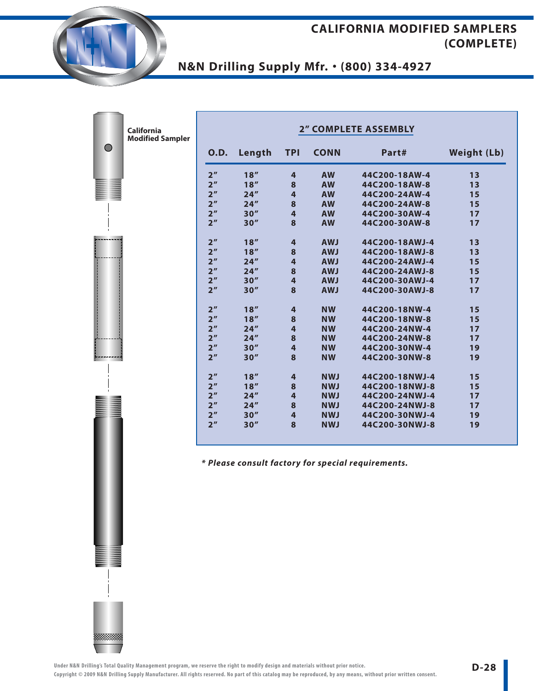**N&N Drilling Supply Mfr.** • **(800) 334-4927**

| California<br><b>Modified Sampler</b> |                 |        |                         |             | <b>2" COMPLETE ASSEMBLY</b> |                    |
|---------------------------------------|-----------------|--------|-------------------------|-------------|-----------------------------|--------------------|
|                                       | <b>O.D.</b>     | Length | <b>TPI</b>              | <b>CONN</b> | Part#                       | <b>Weight (Lb)</b> |
|                                       | 2 <sup>''</sup> | 18''   | 4                       | <b>AW</b>   | 44C200-18AW-4               | 13                 |
|                                       | 2 <sup>''</sup> | 18''   | 8                       | <b>AW</b>   | 44C200-18AW-8               | 13                 |
|                                       | 2 <sup>''</sup> | 24''   | 4                       | <b>AW</b>   | 44C200-24AW-4               | 15                 |
|                                       | 2 <sup>''</sup> | 24''   | 8                       | <b>AW</b>   | 44C200-24AW-8               | 15                 |
|                                       | 2 <sup>n</sup>  | 30''   | $\overline{\mathbf{4}}$ | <b>AW</b>   | 44C200-30AW-4               | 17                 |
|                                       | 2 <sup>n</sup>  | 30''   | 8                       | <b>AW</b>   | 44C200-30AW-8               | 17                 |
|                                       | 2 <sup>n</sup>  | 18''   | 4                       | <b>AWJ</b>  | 44C200-18AWJ-4              | 13                 |
|                                       | 2 <sup>''</sup> | 18''   | 8                       | <b>AWJ</b>  | 44C200-18AWJ-8              | 13                 |
|                                       | 2 <sup>''</sup> | 24''   | $\overline{4}$          | <b>AWJ</b>  | 44C200-24AWJ-4              | 15                 |
|                                       | 2 <sup>n</sup>  | 24''   | 8                       | <b>AWJ</b>  | 44C200-24AWJ-8              | 15                 |
|                                       | 2 <sup>''</sup> | 30''   | $\overline{4}$          | <b>AWJ</b>  | 44C200-30AWJ-4              | 17                 |
|                                       | 2 <sup>n</sup>  | 30''   | 8                       | <b>AWJ</b>  | 44C200-30AWJ-8              | 17                 |
|                                       | 2 <sup>''</sup> | 18''   | $\overline{4}$          | <b>NW</b>   | 44C200-18NW-4               | 15                 |
|                                       | 2 <sup>''</sup> | 18''   | 8                       | <b>NW</b>   | 44C200-18NW-8               | 15                 |
|                                       | 2 <sup>''</sup> | 24''   | 4                       | <b>NW</b>   | 44C200-24NW-4               | 17                 |
|                                       | 2 <sup>''</sup> | 24''   | 8                       | <b>NW</b>   | 44C200-24NW-8               | 17                 |
|                                       | 2 <sup>''</sup> | 30''   | $\overline{\mathbf{4}}$ | <b>NW</b>   | 44C200-30NW-4               | 19                 |
|                                       | 2 <sup>n</sup>  | 30''   | 8                       | <b>NW</b>   | 44C200-30NW-8               | 19                 |
|                                       | 2 <sup>''</sup> | 18''   | 4                       | <b>NWJ</b>  | 44C200-18NWJ-4              | 15                 |
|                                       | 2 <sup>n</sup>  | 18''   | 8                       | <b>NWJ</b>  | 44C200-18NWJ-8              | 15                 |
|                                       | 2 <sup>''</sup> | 24''   | 4                       | <b>NWJ</b>  | 44C200-24NWJ-4              | 17                 |
|                                       | 2 <sup>''</sup> | 24''   | 8                       | <b>NWJ</b>  | 44C200-24NWJ-8              | 17                 |
|                                       | 2 <sup>''</sup> | 30''   | $\overline{4}$          | <b>NWJ</b>  | 44C200-30NWJ-4              | 19                 |
|                                       | 2 <sup>n</sup>  | 30''   | 8                       | <b>NWJ</b>  | 44C200-30NWJ-8              | 19                 |
|                                       |                 |        |                         |             |                             |                    |

**\* Please consult factory for special requirements.**



 $\bigcirc$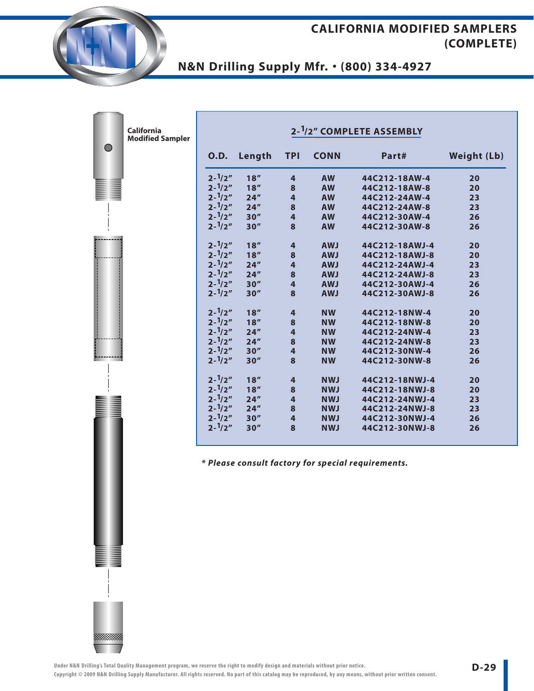## **N&N Drilling Supply Mfr.** • **(800) 334-4927**

| 0.D.              | Length                                                                                                                                                                                                                                                                                                                  | <b>TPI</b>              | <b>CONN</b>                  | Part#          | <b>Weight (Lb)</b> |
|-------------------|-------------------------------------------------------------------------------------------------------------------------------------------------------------------------------------------------------------------------------------------------------------------------------------------------------------------------|-------------------------|------------------------------|----------------|--------------------|
| $2 - \frac{1}{2}$ | 18''                                                                                                                                                                                                                                                                                                                    | $\overline{4}$          | <b>AW</b>                    | 44C212-18AW-4  | 20                 |
|                   | 18''                                                                                                                                                                                                                                                                                                                    | 8                       | <b>AW</b>                    | 44C212-18AW-8  | 20                 |
| $2 - \frac{1}{2}$ | 24''                                                                                                                                                                                                                                                                                                                    | $\overline{\mathbf{4}}$ | <b>AW</b>                    | 44C212-24AW-4  | 23                 |
| $2 - \frac{1}{2}$ | 24''                                                                                                                                                                                                                                                                                                                    | 8                       | <b>AW</b>                    | 44C212-24AW-8  | 23                 |
| $2 - \frac{1}{2}$ | 30''                                                                                                                                                                                                                                                                                                                    | $\overline{\mathbf{4}}$ | <b>AW</b>                    | 44C212-30AW-4  | 26                 |
|                   | 30''                                                                                                                                                                                                                                                                                                                    | 8                       | <b>AW</b>                    | 44C212-30AW-8  | 26                 |
| $2 - \frac{1}{2}$ | 18''                                                                                                                                                                                                                                                                                                                    | $\overline{\mathbf{4}}$ | <b>AWJ</b>                   | 44C212-18AWJ-4 | 20                 |
|                   | 18''                                                                                                                                                                                                                                                                                                                    | 8                       | <b>AWJ</b>                   | 44C212-18AWJ-8 | 20                 |
| $2 - \frac{1}{2}$ | 24''                                                                                                                                                                                                                                                                                                                    | $\overline{4}$          | <b>AWJ</b>                   | 44C212-24AWJ-4 | 23                 |
|                   | 24''                                                                                                                                                                                                                                                                                                                    | 8                       | <b>AWJ</b>                   | 44C212-24AWJ-8 | 23                 |
|                   | 30''                                                                                                                                                                                                                                                                                                                    | $\overline{\mathbf{4}}$ | <b>AWJ</b>                   | 44C212-30AWJ-4 | 26                 |
|                   | 30''                                                                                                                                                                                                                                                                                                                    | 8                       | <b>AWJ</b>                   | 44C212-30AWJ-8 | 26                 |
| $2 - \frac{1}{2}$ | 18''                                                                                                                                                                                                                                                                                                                    | $\overline{4}$          | <b>NW</b>                    | 44C212-18NW-4  | 20                 |
|                   |                                                                                                                                                                                                                                                                                                                         |                         | <b>NW</b>                    |                | 20                 |
|                   | 24''                                                                                                                                                                                                                                                                                                                    |                         |                              | 44C212-24NW-4  | 23                 |
|                   | 24''                                                                                                                                                                                                                                                                                                                    | 8                       | <b>NW</b>                    | 44C212-24NW-8  | 23                 |
|                   |                                                                                                                                                                                                                                                                                                                         | $\overline{4}$          | <b>NW</b>                    | 44C212-30NW-4  | 26                 |
|                   |                                                                                                                                                                                                                                                                                                                         | 8                       | <b>NW</b>                    | 44C212-30NW-8  | 26                 |
| $2 - \frac{1}{2}$ | 18''                                                                                                                                                                                                                                                                                                                    | $\overline{4}$          | <b>NWJ</b>                   | 44C212-18NWJ-4 | 20                 |
|                   | 18''                                                                                                                                                                                                                                                                                                                    | 8                       | <b>NWJ</b>                   | 44C212-18NWJ-8 | 20                 |
|                   | 24''                                                                                                                                                                                                                                                                                                                    | $\overline{4}$          | <b>NWJ</b>                   | 44C212-24NWJ-4 | 23                 |
|                   | 24''                                                                                                                                                                                                                                                                                                                    | 8                       | <b>NWJ</b>                   | 44C212-24NWJ-8 | 23                 |
|                   | 30''                                                                                                                                                                                                                                                                                                                    | $\overline{4}$          | <b>NWJ</b>                   | 44C212-30NWJ-4 | 26                 |
| $2 - \frac{1}{2}$ | 30''                                                                                                                                                                                                                                                                                                                    | 8                       | <b>NWJ</b>                   | 44C212-30NWJ-8 | 26                 |
|                   | $2 - \frac{1}{2}$<br>$2 - \frac{1}{2}$<br>$2 - \frac{1}{2}$<br>$2 - \frac{1}{2}$<br>$2 - \frac{1}{2}$<br>$2 - \frac{1}{2}$<br>$2 - \frac{1}{2}$<br>$2 - \frac{1}{2}$<br>$2 - \frac{1}{2}$<br>$2 - \frac{1}{2}$<br>$2 - \frac{1}{2}$<br>$2 - \frac{1}{2}$<br>$2 - \frac{1}{2}$<br>$2 - \frac{1}{2}$<br>$2 - \frac{1}{2}$ | 18''<br>30''<br>30''    | 8<br>$\overline{\mathbf{4}}$ | <b>NW</b>      | 44C212-18NW-8      |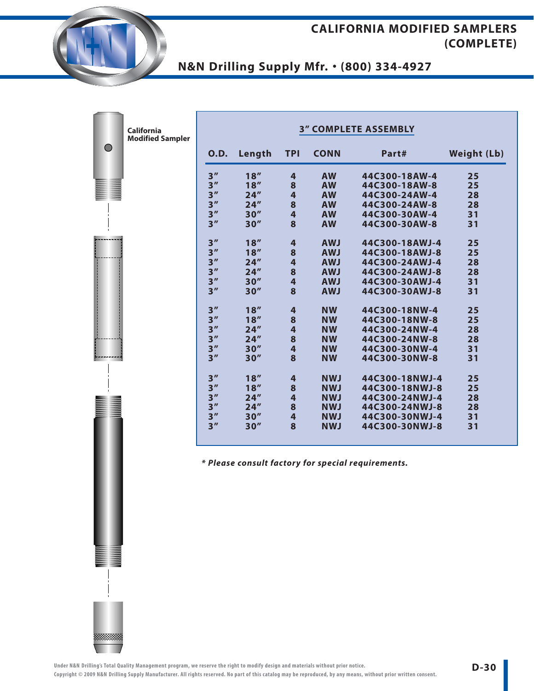# **N&N Drilling Supply Mfr.** • **(800) 334-4927**

| <b>California</b><br><b>Modified Sampler</b> |                 |        |                         |             | <b>3" COMPLETE ASSEMBLY</b> |                    |
|----------------------------------------------|-----------------|--------|-------------------------|-------------|-----------------------------|--------------------|
|                                              | <b>O.D.</b>     | Length | <b>TPI</b>              | <b>CONN</b> | Part#                       | <b>Weight (Lb)</b> |
|                                              | 3 <sup>''</sup> | 18''   | 4                       | <b>AW</b>   | 44C300-18AW-4               | 25                 |
|                                              | 3 <sup>''</sup> | 18''   | 8                       | <b>AW</b>   | 44C300-18AW-8               | 25                 |
|                                              | 3 <sup>''</sup> | 24''   | $\overline{\mathbf{4}}$ | <b>AW</b>   | 44C300-24AW-4               | 28                 |
|                                              | 3''             | 24''   | 8                       | <b>AW</b>   | 44C300-24AW-8               | 28                 |
|                                              | 3 <sup>''</sup> | 30''   | $\overline{\mathbf{4}}$ | <b>AW</b>   | 44C300-30AW-4               | 31                 |
|                                              | 3''             | 30''   | 8                       | <b>AW</b>   | 44C300-30AW-8               | 31                 |
|                                              | 3 <sup>''</sup> | 18''   | $\overline{\mathbf{r}}$ | <b>AWJ</b>  | 44C300-18AWJ-4              | 25                 |
|                                              | 3 <sup>''</sup> | 18''   | 8                       | <b>AWJ</b>  | 44C300-18AWJ-8              | 25                 |
|                                              | 3 <sup>''</sup> | 24''   | 4                       | <b>AWJ</b>  | 44C300-24AWJ-4              | 28                 |
|                                              | 3 <sup>''</sup> | 24''   | 8                       | <b>AWJ</b>  | 44C300-24AWJ-8              | 28                 |
|                                              | 3 <sup>''</sup> | 30''   | $\overline{\mathbf{4}}$ | <b>AWJ</b>  | 44C300-30AWJ-4              | 31                 |
|                                              | 3''             | 30''   | 8                       | <b>AWJ</b>  | 44C300-30AWJ-8              | 31                 |
|                                              | 3 <sup>''</sup> | 18''   | $\overline{\mathbf{4}}$ | <b>NW</b>   | 44C300-18NW-4               | 25                 |
|                                              | 3 <sup>''</sup> | 18''   | 8                       | <b>NW</b>   | 44C300-18NW-8               | 25                 |
|                                              | 3 <sup>''</sup> | 24''   | $\overline{4}$          | <b>NW</b>   | 44C300-24NW-4               | 28                 |
|                                              | 3 <sup>''</sup> | 24''   | 8                       | <b>NW</b>   | 44C300-24NW-8               | 28                 |
|                                              | 3''             | 30''   | 4                       | <b>NW</b>   | 44C300-30NW-4               | 31                 |
|                                              | 3''             | 30''   | 8                       | <b>NW</b>   | 44C300-30NW-8               | 31                 |
|                                              | 3 <sup>''</sup> | 18''   | 4                       | <b>NWJ</b>  | 44C300-18NWJ-4              | 25                 |
|                                              | 3 <sup>''</sup> | 18''   | 8                       | <b>NWJ</b>  | 44C300-18NWJ-8              | 25                 |
|                                              | 3 <sup>''</sup> | 24''   | $\overline{\mathbf{4}}$ | <b>NWJ</b>  | 44C300-24NWJ-4              | 28                 |
|                                              | 3''             | 24''   | 8                       | <b>NWJ</b>  | 44C300-24NWJ-8              | 28                 |
|                                              | 3''             | 30''   | 4                       | <b>NWJ</b>  | 44C300-30NWJ-4              | 31                 |
|                                              | 3''             | 30''   | 8                       | <b>NWJ</b>  | 44C300-30NWJ-8              | 31                 |

**\* Please consult factory for special requirements.**



 $\bigcirc$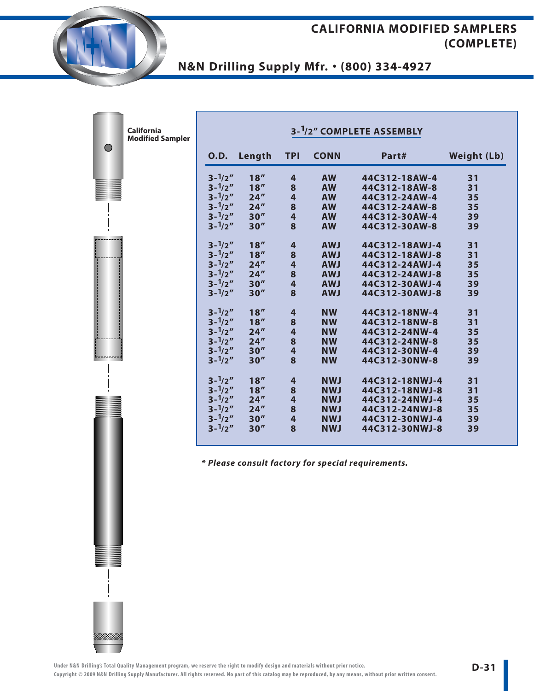## **N&N Drilling Supply Mfr.** • **(800) 334-4927**

| <b>California</b><br><b>Modified Sampler</b> |                   |        |                         |             | 3-1/2" COMPLETE ASSEMBLY                           |                    |
|----------------------------------------------|-------------------|--------|-------------------------|-------------|----------------------------------------------------|--------------------|
|                                              | <b>O.D.</b>       | Length | <b>TPI</b>              | <b>CONN</b> | Part#                                              | <b>Weight (Lb)</b> |
|                                              | $3 - \frac{1}{2}$ | 18''   | 4                       | <b>AW</b>   | 44C312-18AW-4                                      | 31                 |
|                                              | $3 - \frac{1}{2}$ | 18''   | 8                       | <b>AW</b>   | 44C312-18AW-8                                      | 31                 |
|                                              | $3 - \frac{1}{2}$ | 24''   | 4                       | <b>AW</b>   | 44C312-24AW-4                                      | 35                 |
|                                              | $3 - \frac{1}{2}$ | 24''   | 8                       | <b>AW</b>   | 44C312-24AW-8                                      | 35                 |
|                                              | $3 - \frac{1}{2}$ | 30''   | $\overline{4}$          | <b>AW</b>   | 44C312-30AW-4                                      | 39                 |
|                                              | $3 - \frac{1}{2}$ | 30''   | 8                       | <b>AW</b>   | 44C312-30AW-8                                      | 39                 |
|                                              | $3 - \frac{1}{2}$ | 18''   | $\overline{\mathbf{4}}$ | <b>AWJ</b>  | 44C312-18AWJ-4                                     | 31                 |
|                                              | $3 - \frac{1}{2}$ | 18''   | 8                       | <b>AWJ</b>  | 44C312-18AWJ-8                                     | 31                 |
|                                              | $3 - \frac{1}{2}$ | 24''   | $\overline{\mathbf{4}}$ | <b>AWJ</b>  | 44C312-24AWJ-4                                     | 35                 |
|                                              | $3 - \frac{1}{2}$ | 24''   | 8                       | <b>AWJ</b>  | 44C312-24AWJ-8                                     | 35                 |
|                                              | $3 - \frac{1}{2}$ | 30''   | $\overline{\mathbf{4}}$ | <b>AWJ</b>  | 44C312-30AWJ-4                                     | 39                 |
|                                              | $3 - \frac{1}{2}$ | 30''   | 8                       | <b>AWJ</b>  | 44C312-30AWJ-8                                     | 39                 |
|                                              | $3 - \frac{1}{2}$ | 18''   | $\overline{\mathbf{4}}$ | <b>NW</b>   | 44C312-18NW-4                                      | 31                 |
|                                              | $3 - \frac{1}{2}$ | 18''   | 8                       | <b>NW</b>   | 44C312-18NW-8                                      | 31                 |
|                                              | $3 - \frac{1}{2}$ | 24''   | $\overline{\mathbf{4}}$ | <b>NW</b>   | 44C312-24NW-4                                      | 35                 |
|                                              | $3 - \frac{1}{2}$ | 24''   | 8                       | <b>NW</b>   | 44C312-24NW-8                                      | 35                 |
|                                              | $3 - \frac{1}{2}$ | 30''   | 4                       | <b>NW</b>   | 44C312-30NW-4                                      | 39                 |
|                                              | $3 - \frac{1}{2}$ | 30''   | 8                       | <b>NW</b>   | 44C312-30NW-8                                      | 39                 |
|                                              | $3 - \frac{1}{2}$ | 18''   | $\overline{\mathbf{4}}$ | <b>NWJ</b>  | 44C312-18NWJ-4                                     | 31                 |
|                                              | $3 - \frac{1}{2}$ | 18''   | 8                       | <b>NWJ</b>  | 44C312-18NWJ-8                                     | 31                 |
|                                              | $3 - \frac{1}{2}$ | 24''   | $\overline{\mathbf{4}}$ | <b>NWJ</b>  | 44C312-24NWJ-4                                     | 35                 |
|                                              | $3 - \frac{1}{2}$ | 24''   | 8                       | <b>NWJ</b>  | 44C312-24NWJ-8                                     | 35                 |
|                                              | $3 - \frac{1}{2}$ | 30''   | 4                       | <b>NWJ</b>  | 44C312-30NWJ-4                                     | 39                 |
|                                              | $3 - \frac{1}{2}$ | 30''   | 8                       | <b>NWJ</b>  | 44C312-30NWJ-8                                     | 39                 |
|                                              |                   |        |                         |             | * Please consult factory for special requirements. |                    |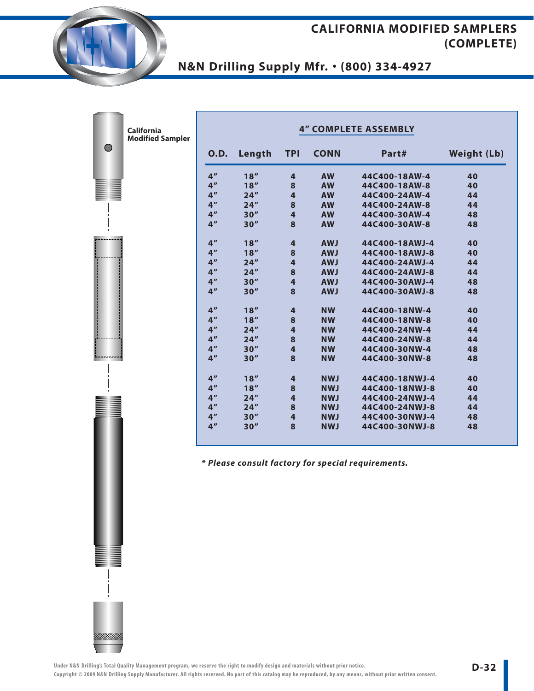# **N&N Drilling Supply Mfr.** • **(800) 334-4927**

| <b>O.D.</b>     | Length | <b>TPI</b>              | <b>CONN</b> | Part#          | Weight (Lb) |
|-----------------|--------|-------------------------|-------------|----------------|-------------|
| 4 <sup>''</sup> | 18''   | $\overline{4}$          | <b>AW</b>   | 44C400-18AW-4  | 40          |
| 4 <sup>''</sup> | 18''   | 8                       | <b>AW</b>   | 44C400-18AW-8  | 40          |
| 4 <sup>''</sup> | 24''   | $\overline{4}$          | <b>AW</b>   | 44C400-24AW-4  | 44          |
| 4 <sup>''</sup> | 24''   | 8                       | <b>AW</b>   | 44C400-24AW-8  | 44          |
| 4 <sup>''</sup> | 30''   | $\overline{\mathbf{4}}$ | <b>AW</b>   | 44C400-30AW-4  | 48          |
| 4 <sup>''</sup> | 30''   | 8                       | <b>AW</b>   | 44C400-30AW-8  | 48          |
| 4 <sup>''</sup> | 18''   | $\overline{\mathbf{r}}$ | <b>AWJ</b>  | 44C400-18AWJ-4 | 40          |
| 4 <sup>''</sup> | 18''   | 8                       | <b>AWJ</b>  | 44C400-18AWJ-8 | 40          |
| 4 <sup>''</sup> | 24''   | $\overline{\mathbf{4}}$ | <b>AWJ</b>  | 44C400-24AWJ-4 | 44          |
| 4 <sup>''</sup> | 24''   | 8                       | <b>AWJ</b>  | 44C400-24AWJ-8 | 44          |
| 4 <sup>''</sup> | 30''   | $\overline{4}$          | <b>AWJ</b>  | 44C400-30AWJ-4 | 48          |
| 4 <sup>''</sup> | 30''   | 8                       | <b>AWJ</b>  | 44C400-30AWJ-8 | 48          |
| 4 <sup>''</sup> | 18''   | $\overline{4}$          | <b>NW</b>   | 44C400-18NW-4  | 40          |
| 4 <sup>''</sup> | 18''   | 8                       | <b>NW</b>   | 44C400-18NW-8  | 40          |
| 4 <sup>''</sup> | 24''   | $\overline{\mathbf{4}}$ | <b>NW</b>   | 44C400-24NW-4  | 44          |
| 4 <sup>''</sup> | 24''   | 8                       | <b>NW</b>   | 44C400-24NW-8  | 44          |
| 4 <sup>''</sup> | 30''   | $\overline{\mathbf{4}}$ | <b>NW</b>   | 44C400-30NW-4  | 48          |
| 4 <sup>''</sup> | 30''   | 8                       | <b>NW</b>   | 44C400-30NW-8  | 48          |
| 4 <sup>''</sup> | 18''   | $\overline{4}$          | <b>NWJ</b>  | 44C400-18NWJ-4 | 40          |
| 4 <sup>''</sup> | 18''   | 8                       | <b>NWJ</b>  | 44C400-18NWJ-8 | 40          |
| 4 <sup>''</sup> | 24''   | $\overline{4}$          | <b>NWJ</b>  | 44C400-24NWJ-4 | 44          |
| 4 <sup>''</sup> | 24''   | 8                       | <b>NWJ</b>  | 44C400-24NWJ-8 | 44          |
| 4 <sup>''</sup> | 30''   | $\overline{\mathbf{4}}$ | <b>NWJ</b>  | 44C400-30NWJ-4 | 48          |
| 4 <sup>''</sup> | 30''   | 8                       | <b>NWJ</b>  | 44C400-30NWJ-8 | 48          |

 $\bigcirc$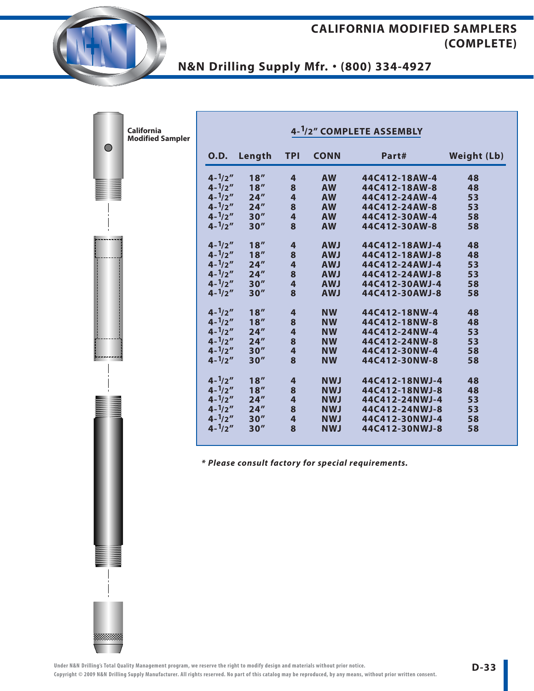# **N&N Drilling Supply Mfr.** • **(800) 334-4927**

|            | <b>California</b><br><b>Modified Sampler</b> |                   |        |                         |             | 4-1/2" COMPLETE ASSEMBLY                           |                    |
|------------|----------------------------------------------|-------------------|--------|-------------------------|-------------|----------------------------------------------------|--------------------|
| $\bigcirc$ |                                              | <b>O.D.</b>       | Length | <b>TPI</b>              | <b>CONN</b> | Part#                                              | <b>Weight (Lb)</b> |
|            |                                              | $4 - \frac{1}{2}$ | 18''   | $\overline{4}$          | <b>AW</b>   | 44C412-18AW-4                                      | 48                 |
|            |                                              | $4 - \frac{1}{2}$ | 18''   | 8                       | <b>AW</b>   | 44C412-18AW-8                                      | 48                 |
|            |                                              | $4 - \frac{1}{2}$ | 24''   | $\overline{\mathbf{4}}$ | <b>AW</b>   | 44C412-24AW-4                                      | 53                 |
|            |                                              | $4 - \frac{1}{2}$ | 24''   | 8                       | <b>AW</b>   | 44C412-24AW-8                                      | 53                 |
|            |                                              | $4 - \frac{1}{2}$ | 30''   | 4                       | <b>AW</b>   | 44C412-30AW-4                                      | 58                 |
|            |                                              | $4 - \frac{1}{2}$ | 30''   | 8                       | <b>AW</b>   | 44C412-30AW-8                                      | 58                 |
|            |                                              | $4 - \frac{1}{2}$ | 18''   | $\overline{\mathbf{4}}$ | <b>AWJ</b>  | 44C412-18AWJ-4                                     | 48                 |
|            |                                              | $4 - \frac{1}{2}$ | 18''   | 8                       | <b>AWJ</b>  | 44C412-18AWJ-8                                     | 48                 |
|            |                                              | $4 - \frac{1}{2}$ | 24''   | $\overline{\mathbf{4}}$ | <b>AWJ</b>  | 44C412-24AWJ-4                                     | 53                 |
|            |                                              | $4 - \frac{1}{2}$ | 24''   | 8                       | <b>AWJ</b>  | 44C412-24AWJ-8                                     | 53                 |
|            |                                              | $4 - \frac{1}{2}$ | 30''   | $\overline{4}$          | <b>AWJ</b>  | 44C412-30AWJ-4                                     | 58                 |
|            |                                              | $4 - \frac{1}{2}$ | 30''   | 8                       | <b>AWJ</b>  | 44C412-30AWJ-8                                     | 58                 |
|            |                                              | $4 - \frac{1}{2}$ | 18''   | $\overline{4}$          | <b>NW</b>   | 44C412-18NW-4                                      | 48                 |
|            |                                              | $4 - \frac{1}{2}$ | 18''   | 8                       | <b>NW</b>   | 44C412-18NW-8                                      | 48                 |
|            |                                              | $4 - \frac{1}{2}$ | 24''   | 4                       | <b>NW</b>   | 44C412-24NW-4                                      | 53                 |
|            |                                              | $4 - \frac{1}{2}$ | 24''   | 8                       | <b>NW</b>   | 44C412-24NW-8                                      | 53                 |
|            |                                              | $4 - \frac{1}{2}$ | 30''   | $\overline{\mathbf{4}}$ | <b>NW</b>   | 44C412-30NW-4                                      | 58                 |
|            |                                              | $4 - \frac{1}{2}$ | 30''   | 8                       | <b>NW</b>   | 44C412-30NW-8                                      | 58                 |
|            |                                              | $4 - \frac{1}{2}$ | 18''   | $\overline{4}$          | <b>NWJ</b>  | 44C412-18NWJ-4                                     | 48                 |
|            |                                              | $4 - \frac{1}{2}$ | 18''   | 8                       | <b>NWJ</b>  | 44C412-18NWJ-8                                     | 48                 |
|            |                                              | $4 - \frac{1}{2}$ | 24''   | $\overline{4}$          | <b>NWJ</b>  | 44C412-24NWJ-4                                     | 53                 |
|            |                                              | $4 - \frac{1}{2}$ | 24''   | 8                       | <b>NWJ</b>  | 44C412-24NWJ-8                                     | 53                 |
|            |                                              | $4 - \frac{1}{2}$ | 30''   | 4                       | <b>NWJ</b>  | 44C412-30NWJ-4                                     | 58                 |
|            |                                              | $4 - \frac{1}{2}$ | 30''   | 8                       | <b>NWJ</b>  | 44C412-30NWJ-8                                     | 58                 |
|            |                                              |                   |        |                         |             | * Please consult factory for special requirements. |                    |



**There's**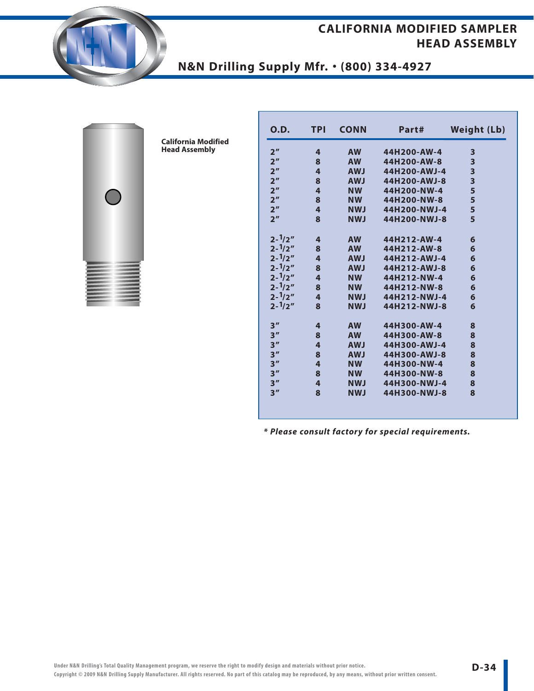#### **CALIFORNIA MODIFIED SAMPLER HEAD ASSEMBLY**





**California Modified Head Assembly**

| <b>O.D.</b>       | <b>TPI</b>              | <b>CONN</b> | Part#        | <b>Weight (Lb)</b>      |
|-------------------|-------------------------|-------------|--------------|-------------------------|
| 2 <sup>''</sup>   | 4                       | <b>AW</b>   | 44H200-AW-4  | 3                       |
| 2 <sup>''</sup>   | 8                       | <b>AW</b>   | 44H200-AW-8  | 3                       |
| 2 <sup>n</sup>    | $\overline{\mathbf{4}}$ | <b>AWJ</b>  | 44H200-AWJ-4 | 3                       |
| 2 <sup>n</sup>    | 8                       | <b>AWJ</b>  | 44H200-AWJ-8 | $\overline{\mathbf{3}}$ |
| 2 <sup>''</sup>   | 4                       | <b>NW</b>   | 44H200-NW-4  | 5                       |
| 2 <sup>n</sup>    | 8                       | <b>NW</b>   | 44H200-NW-8  | 5                       |
| 2 <sup>n</sup>    | $\overline{\mathbf{4}}$ | <b>NWJ</b>  | 44H200-NWJ-4 | 5                       |
| 2 <sup>n</sup>    | 8                       | <b>NWJ</b>  | 44H200-NWJ-8 | 5                       |
| $2 - \frac{1}{2}$ | $\overline{\mathbf{4}}$ | <b>AW</b>   | 44H212-AW-4  | 6                       |
| $2 - \frac{1}{2}$ | 8                       | <b>AW</b>   | 44H212-AW-8  | 6                       |
| $2 - \frac{1}{2}$ | $\overline{a}$          | <b>AWJ</b>  | 44H212-AWJ-4 | 6                       |
| $2 - \frac{1}{2}$ | 8                       | <b>AWJ</b>  | 44H212-AWJ-8 | 6                       |
| $2 - \frac{1}{2}$ | $\overline{\mathbf{4}}$ | <b>NW</b>   | 44H212-NW-4  | 6                       |
| $2 - \frac{1}{2}$ | 8                       | <b>NW</b>   | 44H212-NW-8  | 6                       |
| $2 - \frac{1}{2}$ | 4                       | <b>NWJ</b>  | 44H212-NWJ-4 | 6                       |
| $2 - \frac{1}{2}$ | $\mathbf{8}$            | <b>NWJ</b>  | 44H212-NWJ-8 | 6                       |
| 3''               | 4                       | <b>AW</b>   | 44H300-AW-4  | 8                       |
| 3''               | 8                       | <b>AW</b>   | 44H300-AW-8  | 8                       |
| 3''               | $\overline{\mathbf{4}}$ | <b>AWJ</b>  | 44H300-AWJ-4 | 8                       |
| 3''               | 8                       | <b>AWJ</b>  | 44H300-AWJ-8 | 8                       |
| 3''               | $\overline{\mathbf{4}}$ | <b>NW</b>   | 44H300-NW-4  | 8                       |
| 3''               | 8                       | <b>NW</b>   | 44H300-NW-8  | 8                       |
| 3''               | 4                       | <b>NWJ</b>  | 44H300-NWJ-4 | 8                       |
| 3''               | 8                       | <b>NWJ</b>  | 44H300-NWJ-8 | 8                       |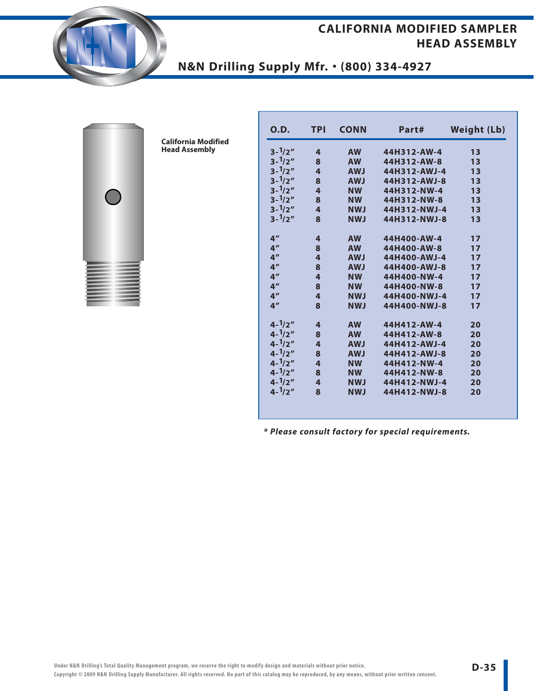#### **CALIFORNIA MODIFIED SAMPLER HEAD ASSEMBLY**





**California Modified Head Assembly**

| 0.D.              | TPI                     | <b>CONN</b> | Part#        | <b>Weight (Lb)</b> |
|-------------------|-------------------------|-------------|--------------|--------------------|
| $3 - \frac{1}{2}$ | 4                       | <b>AW</b>   | 44H312-AW-4  | 13                 |
| $3 - \frac{1}{2}$ | 8                       | <b>AW</b>   | 44H312-AW-8  | 13                 |
| $3 - \frac{1}{2}$ | 4                       | <b>AWJ</b>  | 44H312-AWJ-4 | 13                 |
| $3 - \frac{1}{2}$ | 8                       | <b>AWJ</b>  | 44H312-AWJ-8 | 13                 |
| $3 - \frac{1}{2}$ | 4                       | <b>NW</b>   | 44H312-NW-4  | 13                 |
| $3 - \frac{1}{2}$ | 8                       | <b>NW</b>   | 44H312-NW-8  | 13                 |
| $3 - \frac{1}{2}$ | 4                       | <b>NWJ</b>  | 44H312-NWJ-4 | 13                 |
| $3 - \frac{1}{2}$ | 8                       | <b>NWJ</b>  | 44H312-NWJ-8 | 13                 |
| 4 <sup>''</sup>   | 4                       | <b>AW</b>   | 44H400-AW-4  | 17                 |
| 4 <sup>''</sup>   | 8                       | <b>AW</b>   | 44H400-AW-8  | 17                 |
| 4 <sup>''</sup>   | 4                       | <b>AWJ</b>  | 44H400-AWJ-4 | 17                 |
| 4 <sup>''</sup>   | 8                       | <b>LWA</b>  | 44H400-AWJ-8 | 17                 |
| 4 <sup>''</sup>   | 4                       | <b>NW</b>   | 44H400-NW-4  | 17                 |
| 4 <sup>''</sup>   | 8                       | <b>NW</b>   | 44H400-NW-8  | 17                 |
| 4 <sup>''</sup>   | 4                       | <b>NWJ</b>  | 44H400-NWJ-4 | 17                 |
| 4 <sup>''</sup>   | 8                       | <b>NWJ</b>  | 44H400-NWJ-8 | 17                 |
| $4 - \frac{1}{2}$ | 4                       | <b>AW</b>   | 44H412-AW-4  | 20                 |
| $4 - \frac{1}{2}$ | 8                       | <b>AW</b>   | 44H412-AW-8  | 20                 |
| $4 - \frac{1}{2}$ | 4                       | <b>AWJ</b>  | 44H412-AWJ-4 | 20                 |
| $4 - \frac{1}{2}$ | 8                       | <b>AWJ</b>  | 44H412-AWJ-8 | 20                 |
| $4 - \frac{1}{2}$ | $\overline{\mathbf{4}}$ | <b>NW</b>   | 44H412-NW-4  | 20                 |
| $4 - \frac{1}{2}$ | 8                       | <b>NW</b>   | 44H412-NW-8  | 20                 |
| $4 - \frac{1}{2}$ | 4                       | <b>NWJ</b>  | 44H412-NWJ-4 | 20                 |
| $4 - \frac{1}{2}$ | 8                       | <b>NWJ</b>  | 44H412-NWJ-8 | 20                 |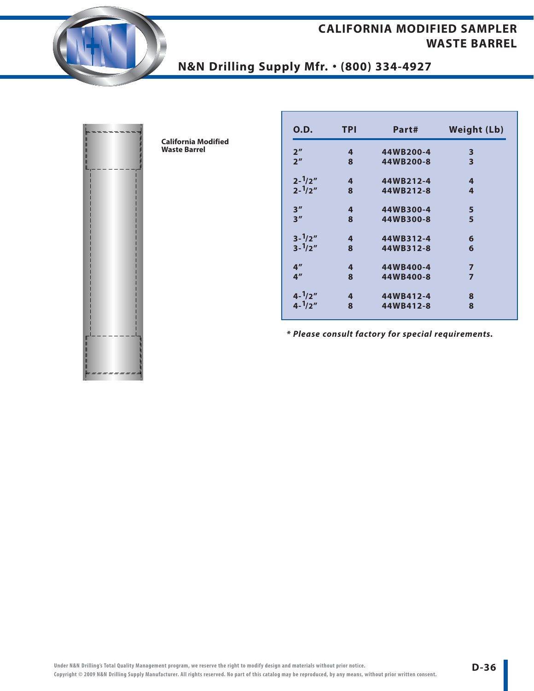### **CALIFORNIA MODIFIED SAMPLER WASTE BARREL**





**California Modified Waste Barrel**

| O.D.              | <b>TPI</b>     | Part#     | <b>Weight (Lb)</b>      |
|-------------------|----------------|-----------|-------------------------|
| 2 <sup>''</sup>   | 4              | 44WB200-4 | 3                       |
| 2 <sup>''</sup>   | 8              | 44WB200-8 | $\overline{\mathbf{3}}$ |
| $2 - \frac{1}{2}$ | $\overline{4}$ | 44WB212-4 | 4                       |
| $2 - \frac{1}{2}$ | 8              | 44WB212-8 | 4                       |
| 3''               | 4              | 44WB300-4 | 5                       |
| 3''               | 8              | 44WB300-8 | 5                       |
| $3 - \frac{1}{2}$ | 4              | 44WB312-4 | 6                       |
| $3 - \frac{1}{2}$ | 8              | 44WB312-8 | 6                       |
| 4 <sup>''</sup>   | 4              | 44WB400-4 | $\overline{7}$          |
| 4 <sup>''</sup>   | 8              | 44WB400-8 | $\overline{z}$          |
| $4 - \frac{1}{2}$ | 4              | 44WB412-4 | 8                       |
| $4 - \frac{1}{2}$ | 8              | 44WB412-8 | 8                       |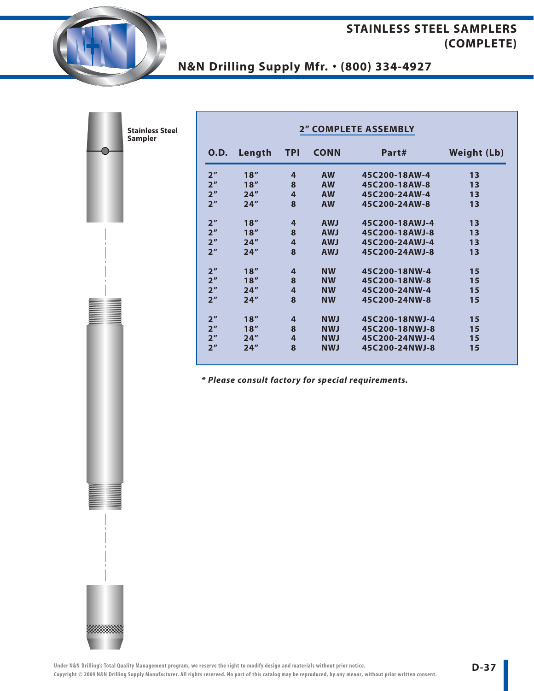### **STAINLESS STEEL SAMPLERS (COMPLETE)**

# **N&N Drilling Supply Mfr.** • **(800) 334-4927**

▒▒▒▒

| <b>Stainless Steel</b><br><b>Sampler</b> | <b>2" COMPLETE ASSEMBLY</b> |                |             |                |                    |  |
|------------------------------------------|-----------------------------|----------------|-------------|----------------|--------------------|--|
| 0.D.                                     | Length                      | <b>TPI</b>     | <b>CONN</b> | Part#          | <b>Weight (Lb)</b> |  |
| 2 <sup>n</sup>                           | 18''                        | $\overline{4}$ | <b>AW</b>   | 45C200-18AW-4  | 13                 |  |
| 2 <sup>n</sup>                           | 18''                        | 8              | <b>AW</b>   | 45C200-18AW-8  | 13                 |  |
| 2 <sup>n</sup>                           | 24''                        | $\overline{4}$ | <b>AW</b>   | 45C200-24AW-4  | 13                 |  |
| 2 <sup>n</sup>                           | 24''                        | 8              | <b>AW</b>   | 45C200-24AW-8  | 13                 |  |
| 2 <sup>n</sup>                           | 18''                        | $\overline{4}$ | <b>AWJ</b>  | 45C200-18AWJ-4 | 13                 |  |
| 2 <sup>n</sup>                           | 18''                        | 8              | <b>AWJ</b>  | 45C200-18AWJ-8 | 13                 |  |
| 2 <sup>n</sup>                           | 24''                        | $\overline{4}$ | <b>AWJ</b>  | 45C200-24AWJ-4 | 13                 |  |
| 2 <sup>n</sup>                           | 24''                        | 8              | <b>AWJ</b>  | 45C200-24AWJ-8 | 13                 |  |
| 2 <sup>n</sup>                           | 18''                        | 4              | <b>NW</b>   | 45C200-18NW-4  | 15                 |  |
| 2 <sup>n</sup>                           | 18''                        | 8              | <b>NW</b>   | 45C200-18NW-8  | 15                 |  |
| 2 <sup>n</sup>                           | 24''                        | $\overline{4}$ | <b>NW</b>   | 45C200-24NW-4  | 15                 |  |
| 2 <sup>n</sup>                           | 24''                        | 8              | <b>NW</b>   | 45C200-24NW-8  | 15                 |  |
| 2 <sup>n</sup>                           | 18''                        | $\overline{4}$ | <b>NWJ</b>  | 45C200-18NWJ-4 | 15                 |  |
| 2 <sup>n</sup>                           | 18''                        | 8              | <b>NWJ</b>  | 45C200-18NWJ-8 | 15                 |  |
| 2 <sup>n</sup>                           | 24''                        | $\overline{4}$ | <b>NWJ</b>  | 45C200-24NWJ-4 | 15                 |  |
| 2 <sup>n</sup>                           | 24''                        | 8              | <b>NWJ</b>  | 45C200-24NWJ-8 | 15                 |  |

**\* Please consult factory for special requirements.**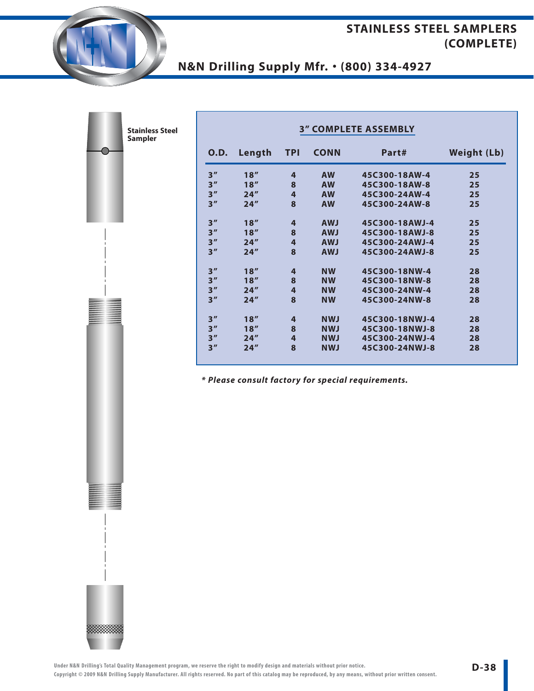### **STAINLESS STEEL SAMPLERS (COMPLETE)**

# **N&N Drilling Supply Mfr.** • **(800) 334-4927**

▒▒▒▒

| <b>Stainless Steel</b><br>Sampler | <b>3" COMPLETE ASSEMBLY</b> |        |                |             |                |                    |
|-----------------------------------|-----------------------------|--------|----------------|-------------|----------------|--------------------|
|                                   | <b>O.D.</b>                 | Length | <b>TPI</b>     | <b>CONN</b> | Part#          | <b>Weight (Lb)</b> |
|                                   | 3''                         | 18''   | 4              | <b>AW</b>   | 45C300-18AW-4  | 25                 |
|                                   | 3''                         | 18''   | 8              | <b>AW</b>   | 45C300-18AW-8  | 25                 |
|                                   | 3''                         | 24''   | $\overline{4}$ | <b>AW</b>   | 45C300-24AW-4  | 25                 |
|                                   | 3''                         | 24''   | 8              | <b>AW</b>   | 45C300-24AW-8  | 25                 |
|                                   | 3''                         | 18''   | $\overline{4}$ | <b>AWJ</b>  | 45C300-18AWJ-4 | 25                 |
|                                   | 3''                         | 18''   | 8              | <b>AWJ</b>  | 45C300-18AWJ-8 | 25                 |
|                                   | 3''                         | 24''   | $\overline{4}$ | <b>AWJ</b>  | 45C300-24AWJ-4 | 25                 |
|                                   | 3''                         | 24''   | 8              | <b>AWJ</b>  | 45C300-24AWJ-8 | 25                 |
|                                   | 3''                         | 18''   | 4              | <b>NW</b>   | 45C300-18NW-4  | 28                 |
|                                   | 3''                         | 18''   | 8              | <b>NW</b>   | 45C300-18NW-8  | 28                 |
|                                   | 3''                         | 24''   | $\overline{4}$ | <b>NW</b>   | 45C300-24NW-4  | 28                 |
|                                   | 3''                         | 24''   | 8              | <b>NW</b>   | 45C300-24NW-8  | 28                 |
|                                   | 3''                         | 18''   | 4              | <b>NWJ</b>  | 45C300-18NWJ-4 | 28                 |
|                                   | 3''                         | 18''   | 8              | <b>NWJ</b>  | 45C300-18NWJ-8 | 28                 |
|                                   | 3''                         | 24''   | $\overline{4}$ | <b>NWJ</b>  | 45C300-24NWJ-4 | 28                 |
|                                   | 3''                         | 24''   | 8              | <b>NWJ</b>  | 45C300-24NWJ-8 | 28                 |

**\* Please consult factory for special requirements.**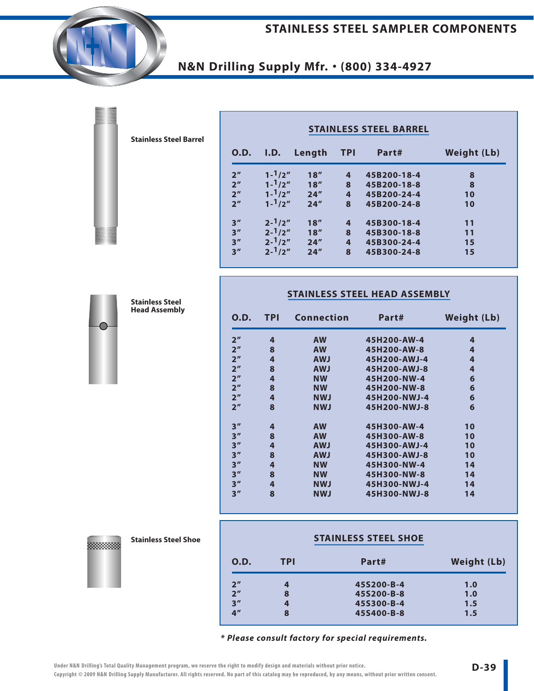#### **STAINLESS STEEL SAMPLER COMPONENTS**

### **N&N Drilling Supply Mfr.** • **(800) 334-4927**

| <b>O.D.</b>    | I.D.              | Length | - TPI                   | Part#       | <b>Weight (Lb)</b> |  |
|----------------|-------------------|--------|-------------------------|-------------|--------------------|--|
| 2 <sup>n</sup> | $1 - 1/2''$       | 18''   | 4                       | 45B200-18-4 | 8                  |  |
| 2 <sup>n</sup> | $1 - \frac{1}{2}$ | 18''   | 8                       | 45B200-18-8 | 8                  |  |
| 2 <sup>n</sup> | $1 - \frac{1}{2}$ | 24''   | $\overline{\mathbf{4}}$ | 45B200-24-4 | 10                 |  |
| 2 <sup>n</sup> | $1 - \frac{1}{2}$ | 24''   | 8                       | 45B200-24-8 | 10                 |  |
| 3''            | $2 - \frac{1}{2}$ | 18''   | 4                       | 45B300-18-4 | 11                 |  |
| 3''            | $2 - \frac{1}{2}$ | 18''   | 8                       | 45B300-18-8 | 11                 |  |
| 3''            | $2 - \frac{1}{2}$ | 24''   | $\overline{\mathbf{4}}$ | 45B300-24-4 | 15                 |  |
| 3''            | $2 - \frac{1}{2}$ | 24''   | 8                       | 45B300-24-8 | 15                 |  |

#### **STAINLESS STEEL HEAD ASSEMBLY**

| 0.D.            | TPI | Connection | Part#        | Weight (Lb) |
|-----------------|-----|------------|--------------|-------------|
| 2 <sup>''</sup> | 4   | <b>AW</b>  | 45H200-AW-4  | 4           |
| 2 <sup>n</sup>  | 8   | <b>AW</b>  | 45H200-AW-8  | 4           |
| 2 <sup>''</sup> | 4   | <b>AWJ</b> | 45H200-AWJ-4 | 4           |
| 2 <sup>n</sup>  | 8   | <b>AWJ</b> | 45H200-AWJ-8 | 4           |
| 2 <sup>n</sup>  | 4   | <b>NW</b>  | 45H200-NW-4  | 6           |
| 2 <sup>n</sup>  | 8   | <b>NW</b>  | 45H200-NW-8  | 6           |
| 2 <sup>n</sup>  | 4   | <b>NWJ</b> | 45H200-NWJ-4 | 6           |
| 2 <sup>n</sup>  | 8   | <b>NWJ</b> | 45H200-NWJ-8 | 6           |
| 3''             | 4   | <b>AW</b>  | 45H300-AW-4  | 10          |
| 3''             | 8   | <b>AW</b>  | 45H300-AW-8  | 10          |
| 3''             | 4   | <b>AWJ</b> | 45H300-AWJ-4 | 10          |
| 3''             | 8   | <b>AWJ</b> | 45H300-AWJ-8 | 10          |
| 3''             | 4   | <b>NW</b>  | 45H300-NW-4  | 14          |
| 3''             | 8   | <b>NW</b>  | 45H300-NW-8  | 14          |
| 3''             | 4   | <b>NWJ</b> | 45H300-NWJ-4 | 14          |
| 3''             | 8   | <b>NWJ</b> | 45H300-NWJ-8 | 14          |

#### **Stainless Steel Shoe**

※※※※※※

|                 |     | <b>STAINLESS STEEL SHOE</b> |                    |  |
|-----------------|-----|-----------------------------|--------------------|--|
| <b>O.D.</b>     | TPI | Part#                       | <b>Weight (Lb)</b> |  |
| 2 <sup>n</sup>  | 4   | 45S200-B-4                  | 1.0                |  |
| 2 <sup>n</sup>  | 8   | 45S200-B-8                  | 1.0                |  |
| 3''             | 4   | 45S300-B-4                  | 1.5                |  |
| 4 <sup>''</sup> | 8   | 45S400-B-8                  | 1.5                |  |

**\* Please consult factory for special requirements.**

**Stainless Steel Barrel**



**Stainless Steel Head Assembly**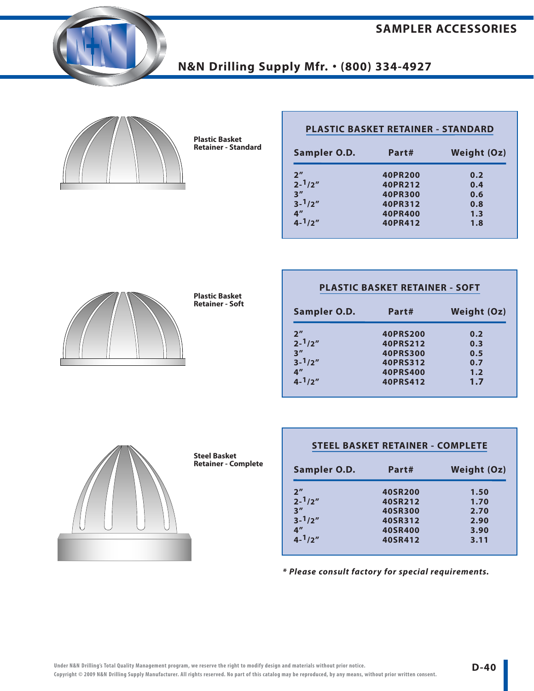**SAMPLER ACCESSORIES**



### **N&N Drilling Supply Mfr.** • **(800) 334-4927**



**Plastic Basket Retainer - Standard**

| Sampler O.D.      | Part#          | <b>Weight (Oz)</b> |
|-------------------|----------------|--------------------|
| 2 <sup>n</sup>    | 40PR200        | 0.2                |
| $2 - \frac{1}{2}$ | 40PR212        | 0.4                |
| 3''               | <b>40PR300</b> | 0.6                |
| $3 - \frac{1}{2}$ | 40PR312        | 0.8                |
| 4 <sup>''</sup>   | 40PR400        | 1.3                |
| $4 - \frac{1}{2}$ | 40PR412        | 1.8                |



**Plastic Basket Retainer - Soft**

#### **PLASTIC BASKET RETAINER - SOFT**

| Sampler O.D.      | Part#           | <b>Weight (Oz)</b> |  |
|-------------------|-----------------|--------------------|--|
| 2 <sup>''</sup>   | <b>40PRS200</b> | 0.2                |  |
| $2 - \frac{1}{2}$ | 40PRS212        | 0.3                |  |
| 3''               | <b>40PRS300</b> | 0.5                |  |
| $3 - \frac{1}{2}$ | 40PRS312        | 0.7                |  |
| 4 <sup>''</sup>   | <b>40PRS400</b> | 1.2                |  |
| $4 - 1/2''$       | 40PRS412        | 1.7                |  |



**Steel Basket Retainer - Complete**

| Sampler O.D.      | Part#          | <b>Weight (Oz)</b> |
|-------------------|----------------|--------------------|
| 2 <sup>''</sup>   | 40SR200        | 1.50               |
| $2 - \frac{1}{2}$ | 40SR212        | 1.70               |
| 3''               | <b>40SR300</b> | 2.70               |
| $3 - \frac{1}{2}$ | 40SR312        | 2.90               |
| 4 <sup>''</sup>   | <b>40SR400</b> | 3.90               |
| $4 - \frac{1}{2}$ | 40SR412        | 3.11               |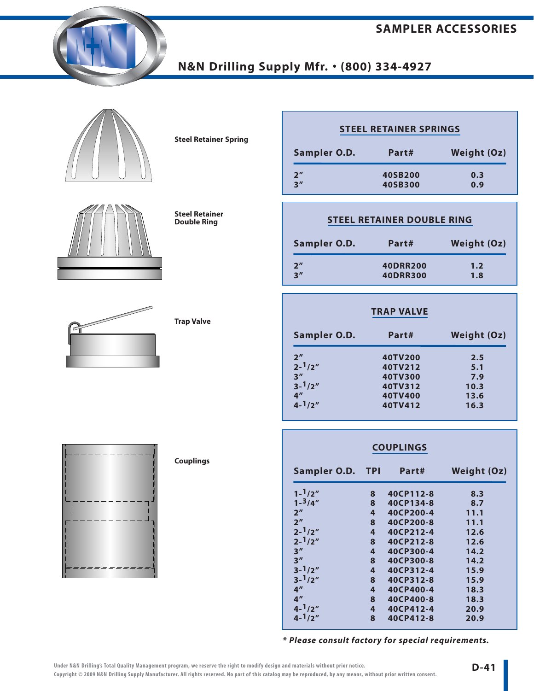





**Steel Retainer Double Ring** 

**Steel Retainer Spring**

| <b>STEEL RETAINER SPRINGS</b> |         |                    |  |  |  |
|-------------------------------|---------|--------------------|--|--|--|
| Sampler O.D.                  | Part#   | <b>Weight (Oz)</b> |  |  |  |
| 2 <sup>n</sup>                | 40SB200 | 0.3                |  |  |  |
| 3''                           | 40SB300 | 0.9                |  |  |  |

| STEEL RETAINER DOUBLE RING |                 |                    |  |  |  |  |
|----------------------------|-----------------|--------------------|--|--|--|--|
| Sampler O.D.               | Part#           | <b>Weight (Oz)</b> |  |  |  |  |
| 2''                        | <b>40DRR200</b> | 1.2                |  |  |  |  |
| 3''                        | <b>40DRR300</b> | 1.8                |  |  |  |  |

|                   | <b>TRAP VALVE</b> |                    |  |
|-------------------|-------------------|--------------------|--|
| Sampler O.D.      | Part#             | <b>Weight (Oz)</b> |  |
| 2 <sup>n</sup>    | 40TV200           | 2.5                |  |
| $2 - \frac{1}{2}$ | 40TV212           | 5.1                |  |
| 3''               | 40TV300           | 7.9                |  |
| $3 - \frac{1}{2}$ | 40TV312           | 10.3               |  |
| 4 <sup>''</sup>   | 40TV400           | 13.6               |  |
| $4 - \frac{1}{2}$ | 40TV412           | 16.3               |  |

### **COUPLINGS**

| Sampler O.D. TPI  |   | Part#     | <b>Weight (Oz)</b> |
|-------------------|---|-----------|--------------------|
| $1 - \frac{1}{2}$ | 8 | 40CP112-8 | 8.3                |
| $1 - \frac{3}{4}$ | 8 | 40CP134-8 | 8.7                |
| 2 <sup>n</sup>    | 4 | 40CP200-4 | 11.1               |
| 2 <sup>n</sup>    | 8 | 40CP200-8 | 11.1               |
| $2 - \frac{1}{2}$ | 4 | 40CP212-4 | 12.6               |
| $2 - \frac{1}{2}$ | 8 | 40CP212-8 | 12.6               |
| 3''               | 4 | 40CP300-4 | 14.2               |
| 3''               | 8 | 40CP300-8 | 14.2               |
| $3 - 1/2''$       | 4 | 40CP312-4 | 15.9               |
| $3 - 1/2''$       | 8 | 40CP312-8 | 15.9               |
| 4 <sup>''</sup>   | 4 | 40CP400-4 | 18.3               |
| 4 <sup>''</sup>   | 8 | 40CP400-8 | 18.3               |
| $4 - \frac{1}{2}$ | 4 | 40CP412-4 | 20.9               |
| $4 - 1/2''$       | 8 | 40CP412-8 | 20.9               |

**\* Please consult factory for special requirements.**



**Trap Valve**

**Couplings**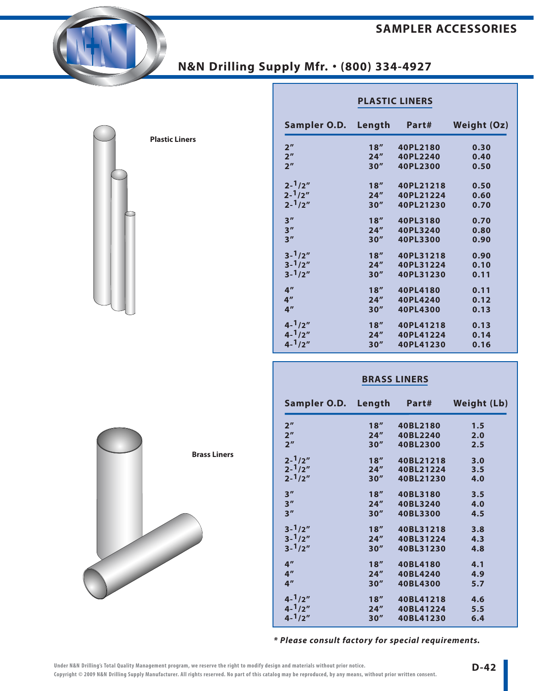#### **SAMPLER ACCESSORIES**



| <b>Plastic Liners</b> |
|-----------------------|
|                       |
|                       |
|                       |
|                       |
|                       |
|                       |

|                     | <b>PLASTIC LINERS</b> |           |                    |
|---------------------|-----------------------|-----------|--------------------|
| Sampler O.D. Length |                       | Part#     | <b>Weight (Oz)</b> |
| 2 <sup>n</sup>      | 18"                   | 40PL2180  | 0.30               |
| 2 <sup>n</sup>      | 24"                   | 40PL2240  | 0.40               |
| 2 <sup>n</sup>      | 30''                  | 40PL2300  | 0.50               |
| $2 - \frac{1}{2}$   | 18"                   | 40PL21218 | 0.50               |
| $2 - \frac{1}{2}$   | 24"                   | 40PL21224 | 0.60               |
| $2 - \frac{1}{2}$   | 30''                  | 40PL21230 | 0.70               |
| 3''                 | 18"                   | 40PL3180  | 0.70               |
| 3''                 | 24"                   | 40PL3240  | 0.80               |
| 3''                 | 30''                  | 40PL3300  | 0.90               |
| $3 - \frac{1}{2}$   | 18''                  | 40PL31218 | 0.90               |
| $3 - \frac{1}{2}$   | 24"                   | 40PL31224 | 0.10               |
| $3 - \frac{1}{2}$   | 30''                  | 40PL31230 | 0.11               |
| 4 <sup>''</sup>     | 18''                  | 40PL4180  | 0.11               |
| 4 <sup>''</sup>     | 24"                   | 40PL4240  | 0.12               |
| 4 <sup>''</sup>     | 30''                  | 40PL4300  | 0.13               |
| $4 - \frac{1}{2}$   | 18"                   | 40PL41218 | 0.13               |
| $4 - \frac{1}{2}$   | 24''                  | 40PL41224 | 0.14               |
| $4 - \frac{1}{2}$   | 30''                  | 40PL41230 | 0.16               |
|                     |                       |           |                    |

#### **BRASS LINERS**

| Sampler O.D. Length |      | Part#     | <b>Weight (Lb)</b> |
|---------------------|------|-----------|--------------------|
| 2 <sup>n</sup>      | 18"  | 40BL2180  | 1.5                |
| 2 <sup>n</sup>      | 24"  | 40BL2240  | 2.0                |
| 2 <sup>n</sup>      | 30'' | 40BL2300  | 2.5                |
| $2 - \frac{1}{2}$   | 18"  | 40BL21218 | 3.0                |
| $2 - \frac{1}{2}$   | 24'' | 40BL21224 | 3.5                |
| $2 - \frac{1}{2}$   | 30'' | 40BL21230 | 4.0                |
| 3''                 | 18'' | 40BL3180  | 3.5                |
| 3''                 | 24"  | 40BL3240  | 4.0                |
| 3 <sup>''</sup>     | 30'' | 40BL3300  | 4.5                |
| $3 - \frac{1}{2}$   | 18"  | 40BL31218 | 3.8                |
| $3 - \frac{1}{2}$   | 24'' | 40BL31224 | 4.3                |
| $3 - \frac{1}{2}$   | 30'' | 40BL31230 | 4.8                |
| 4 <sup>''</sup>     | 18"  | 40BL4180  | 4.1                |
| 4 <sup>''</sup>     | 24"  | 40BL4240  | 4.9                |
| 4 <sup>''</sup>     | 30'' | 40BL4300  | 5.7                |
| $4 - \frac{1}{2}$   | 18"  | 40BL41218 | 4.6                |
| $4 - \frac{1}{2}$   | 24'' | 40BL41224 | 5.5                |
| $4 - \frac{1}{2}$   | 30'' | 40BL41230 | 6.4                |
|                     |      |           |                    |

**\* Please consult factory for special requirements.**